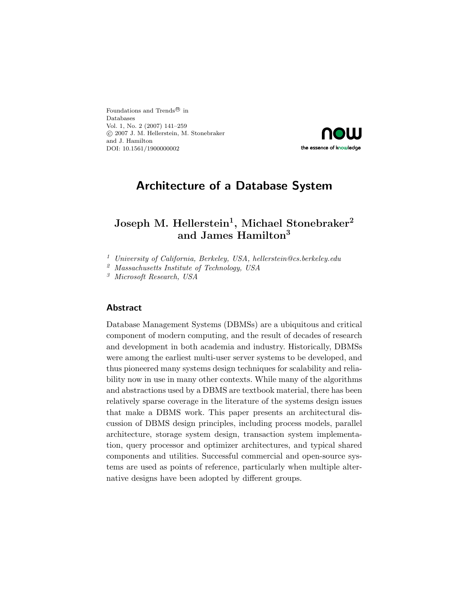Foundations and Trends $^{\textcircled{\tiny{\textregistered}}}$  in Databases Vol. 1, No. 2 (2007) 141–259 c 2007 J. M. Hellerstein, M. Stonebraker and J. Hamilton DOI: 10.1561/1900000002



# **Architecture of a Database System**

# Joseph M. Hellerstein<sup>1</sup>, Michael Stonebraker<sup>2</sup> **and James Hamilton3**

<sup>1</sup> *University of California, Berkeley, USA, hellerstein@cs.berkeley.edu*

<sup>2</sup> *Massachusetts Institute of Technology, USA*

<sup>3</sup> *Microsoft Research, USA*

# **Abstract**

Database Management Systems (DBMSs) are a ubiquitous and critical component of modern computing, and the result of decades of research and development in both academia and industry. Historically, DBMSs were among the earliest multi-user server systems to be developed, and thus pioneered many systems design techniques for scalability and reliability now in use in many other contexts. While many of the algorithms and abstractions used by a DBMS are textbook material, there has been relatively sparse coverage in the literature of the systems design issues that make a DBMS work. This paper presents an architectural discussion of DBMS design principles, including process models, parallel architecture, storage system design, transaction system implementation, query processor and optimizer architectures, and typical shared components and utilities. Successful commercial and open-source systems are used as points of reference, particularly when multiple alternative designs have been adopted by different groups.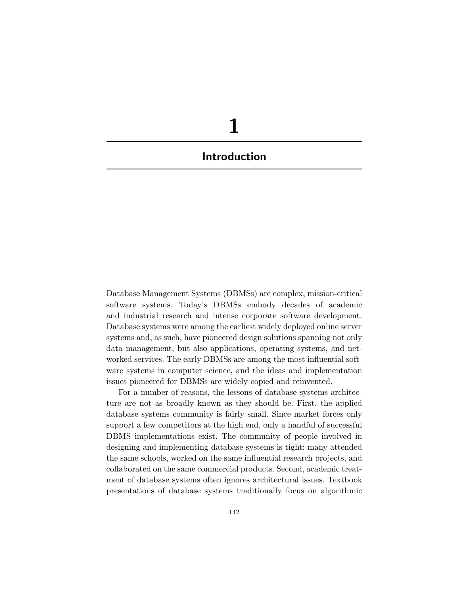# **1 Introduction**

Database Management Systems (DBMSs) are complex, mission-critical software systems. Today's DBMSs embody decades of academic and industrial research and intense corporate software development. Database systems were among the earliest widely deployed online server systems and, as such, have pioneered design solutions spanning not only data management, but also applications, operating systems, and networked services. The early DBMSs are among the most influential software systems in computer science, and the ideas and implementation issues pioneered for DBMSs are widely copied and reinvented.

For a number of reasons, the lessons of database systems architecture are not as broadly known as they should be. First, the applied database systems community is fairly small. Since market forces only support a few competitors at the high end, only a handful of successful DBMS implementations exist. The community of people involved in designing and implementing database systems is tight: many attended the same schools, worked on the same influential research projects, and collaborated on the same commercial products. Second, academic treatment of database systems often ignores architectural issues. Textbook presentations of database systems traditionally focus on algorithmic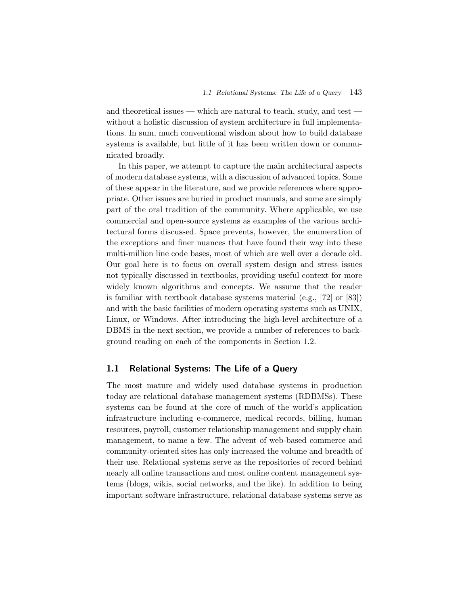and theoretical issues — which are natural to teach, study, and test without a holistic discussion of system architecture in full implementations. In sum, much conventional wisdom about how to build database systems is available, but little of it has been written down or communicated broadly.

In this paper, we attempt to capture the main architectural aspects of modern database systems, with a discussion of advanced topics. Some of these appear in the literature, and we provide references where appropriate. Other issues are buried in product manuals, and some are simply part of the oral tradition of the community. Where applicable, we use commercial and open-source systems as examples of the various architectural forms discussed. Space prevents, however, the enumeration of the exceptions and finer nuances that have found their way into these multi-million line code bases, most of which are well over a decade old. Our goal here is to focus on overall system design and stress issues not typically discussed in textbooks, providing useful context for more widely known algorithms and concepts. We assume that the reader is familiar with textbook database systems material (e.g., [72] or [83]) and with the basic facilities of modern operating systems such as UNIX, Linux, or Windows. After introducing the high-level architecture of a DBMS in the next section, we provide a number of references to background reading on each of the components in Section 1.2.

# **1.1 Relational Systems: The Life of a Query**

The most mature and widely used database systems in production today are relational database management systems (RDBMSs). These systems can be found at the core of much of the world's application infrastructure including e-commerce, medical records, billing, human resources, payroll, customer relationship management and supply chain management, to name a few. The advent of web-based commerce and community-oriented sites has only increased the volume and breadth of their use. Relational systems serve as the repositories of record behind nearly all online transactions and most online content management systems (blogs, wikis, social networks, and the like). In addition to being important software infrastructure, relational database systems serve as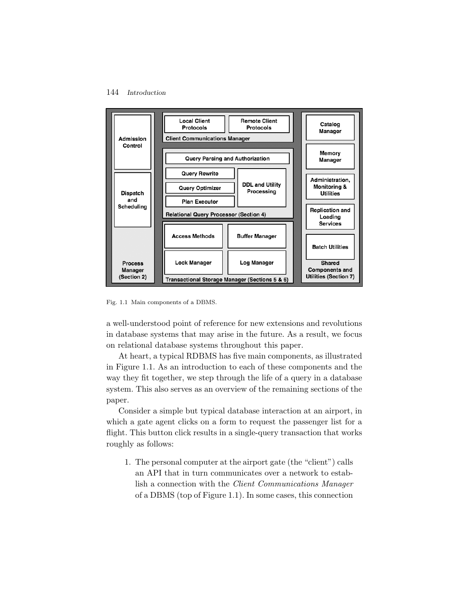#### 144 *Introduction*



Fig. 1.1 Main components of a DBMS.

a well-understood point of reference for new extensions and revolutions in database systems that may arise in the future. As a result, we focus on relational database systems throughout this paper.

At heart, a typical RDBMS has five main components, as illustrated in Figure 1.1. As an introduction to each of these components and the way they fit together, we step through the life of a query in a database system. This also serves as an overview of the remaining sections of the paper.

Consider a simple but typical database interaction at an airport, in which a gate agent clicks on a form to request the passenger list for a flight. This button click results in a single-query transaction that works roughly as follows:

1. The personal computer at the airport gate (the "client") calls an API that in turn communicates over a network to establish a connection with the *Client Communications Manager* of a DBMS (top of Figure 1.1). In some cases, this connection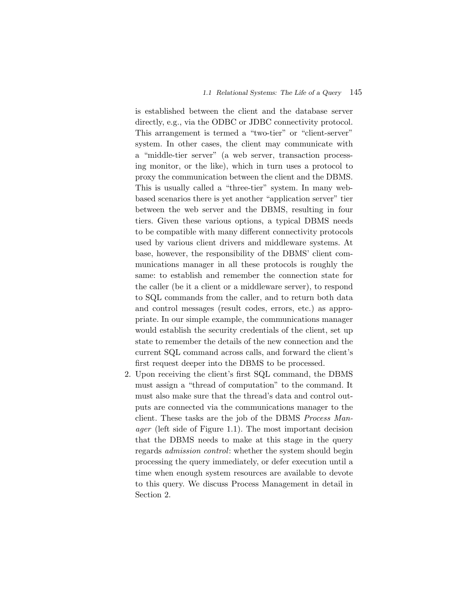is established between the client and the database server directly, e.g., via the ODBC or JDBC connectivity protocol. This arrangement is termed a "two-tier" or "client-server" system. In other cases, the client may communicate with a "middle-tier server" (a web server, transaction processing monitor, or the like), which in turn uses a protocol to proxy the communication between the client and the DBMS. This is usually called a "three-tier" system. In many webbased scenarios there is yet another "application server" tier between the web server and the DBMS, resulting in four tiers. Given these various options, a typical DBMS needs to be compatible with many different connectivity protocols used by various client drivers and middleware systems. At base, however, the responsibility of the DBMS' client communications manager in all these protocols is roughly the same: to establish and remember the connection state for the caller (be it a client or a middleware server), to respond to SQL commands from the caller, and to return both data and control messages (result codes, errors, etc.) as appropriate. In our simple example, the communications manager would establish the security credentials of the client, set up state to remember the details of the new connection and the current SQL command across calls, and forward the client's first request deeper into the DBMS to be processed.

2. Upon receiving the client's first SQL command, the DBMS must assign a "thread of computation" to the command. It must also make sure that the thread's data and control outputs are connected via the communications manager to the client. These tasks are the job of the DBMS *Process Manager* (left side of Figure 1.1). The most important decision that the DBMS needs to make at this stage in the query regards *admission control*: whether the system should begin processing the query immediately, or defer execution until a time when enough system resources are available to devote to this query. We discuss Process Management in detail in Section 2.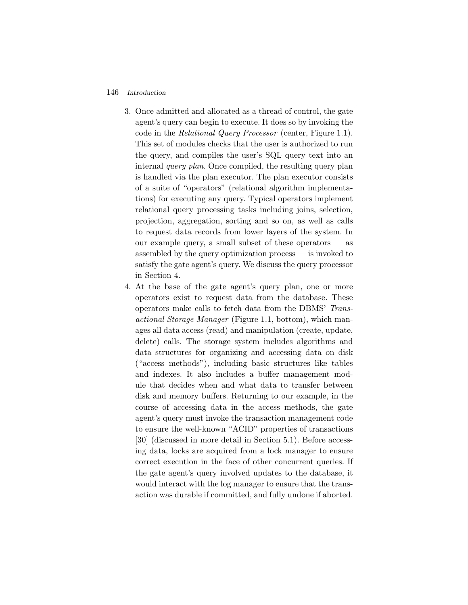#### 146 *Introduction*

- 3. Once admitted and allocated as a thread of control, the gate agent's query can begin to execute. It does so by invoking the code in the *Relational Query Processor* (center, Figure 1.1). This set of modules checks that the user is authorized to run the query, and compiles the user's SQL query text into an internal *query plan*. Once compiled, the resulting query plan is handled via the plan executor. The plan executor consists of a suite of "operators" (relational algorithm implementations) for executing any query. Typical operators implement relational query processing tasks including joins, selection, projection, aggregation, sorting and so on, as well as calls to request data records from lower layers of the system. In our example query, a small subset of these operators  $-$  as assembled by the query optimization process — is invoked to satisfy the gate agent's query. We discuss the query processor in Section 4.
- 4. At the base of the gate agent's query plan, one or more operators exist to request data from the database. These operators make calls to fetch data from the DBMS' *Transactional Storage Manager* (Figure 1.1, bottom), which manages all data access (read) and manipulation (create, update, delete) calls. The storage system includes algorithms and data structures for organizing and accessing data on disk ("access methods"), including basic structures like tables and indexes. It also includes a buffer management module that decides when and what data to transfer between disk and memory buffers. Returning to our example, in the course of accessing data in the access methods, the gate agent's query must invoke the transaction management code to ensure the well-known "ACID" properties of transactions [30] (discussed in more detail in Section 5.1). Before accessing data, locks are acquired from a lock manager to ensure correct execution in the face of other concurrent queries. If the gate agent's query involved updates to the database, it would interact with the log manager to ensure that the transaction was durable if committed, and fully undone if aborted.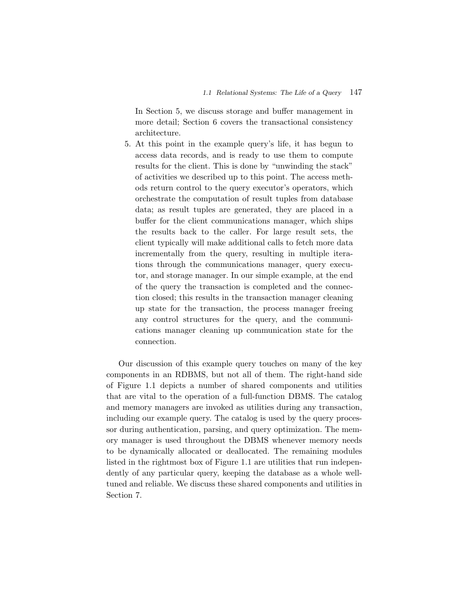In Section 5, we discuss storage and buffer management in more detail; Section 6 covers the transactional consistency architecture.

5. At this point in the example query's life, it has begun to access data records, and is ready to use them to compute results for the client. This is done by "unwinding the stack" of activities we described up to this point. The access methods return control to the query executor's operators, which orchestrate the computation of result tuples from database data; as result tuples are generated, they are placed in a buffer for the client communications manager, which ships the results back to the caller. For large result sets, the client typically will make additional calls to fetch more data incrementally from the query, resulting in multiple iterations through the communications manager, query executor, and storage manager. In our simple example, at the end of the query the transaction is completed and the connection closed; this results in the transaction manager cleaning up state for the transaction, the process manager freeing any control structures for the query, and the communications manager cleaning up communication state for the connection.

Our discussion of this example query touches on many of the key components in an RDBMS, but not all of them. The right-hand side of Figure 1.1 depicts a number of shared components and utilities that are vital to the operation of a full-function DBMS. The catalog and memory managers are invoked as utilities during any transaction, including our example query. The catalog is used by the query processor during authentication, parsing, and query optimization. The memory manager is used throughout the DBMS whenever memory needs to be dynamically allocated or deallocated. The remaining modules listed in the rightmost box of Figure 1.1 are utilities that run independently of any particular query, keeping the database as a whole welltuned and reliable. We discuss these shared components and utilities in Section 7.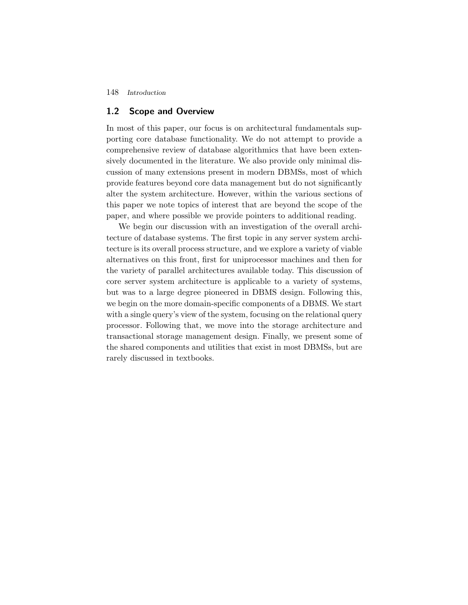#### 148 *Introduction*

# **1.2 Scope and Overview**

In most of this paper, our focus is on architectural fundamentals supporting core database functionality. We do not attempt to provide a comprehensive review of database algorithmics that have been extensively documented in the literature. We also provide only minimal discussion of many extensions present in modern DBMSs, most of which provide features beyond core data management but do not significantly alter the system architecture. However, within the various sections of this paper we note topics of interest that are beyond the scope of the paper, and where possible we provide pointers to additional reading.

We begin our discussion with an investigation of the overall architecture of database systems. The first topic in any server system architecture is its overall process structure, and we explore a variety of viable alternatives on this front, first for uniprocessor machines and then for the variety of parallel architectures available today. This discussion of core server system architecture is applicable to a variety of systems, but was to a large degree pioneered in DBMS design. Following this, we begin on the more domain-specific components of a DBMS. We start with a single query's view of the system, focusing on the relational query processor. Following that, we move into the storage architecture and transactional storage management design. Finally, we present some of the shared components and utilities that exist in most DBMSs, but are rarely discussed in textbooks.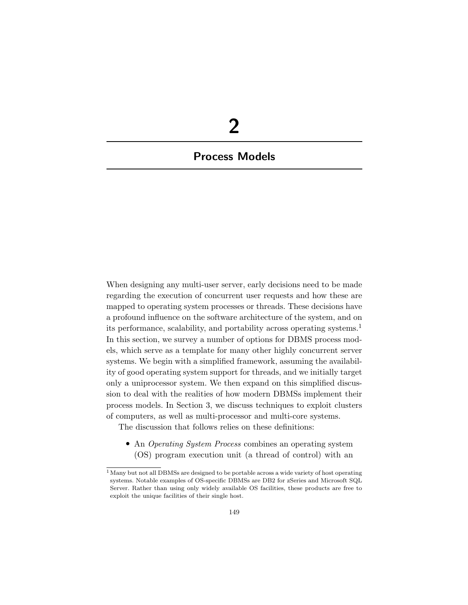# **2**

# **Process Models**

When designing any multi-user server, early decisions need to be made regarding the execution of concurrent user requests and how these are mapped to operating system processes or threads. These decisions have a profound influence on the software architecture of the system, and on its performance, scalability, and portability across operating systems.<sup>1</sup> In this section, we survey a number of options for DBMS process models, which serve as a template for many other highly concurrent server systems. We begin with a simplified framework, assuming the availability of good operating system support for threads, and we initially target only a uniprocessor system. We then expand on this simplified discussion to deal with the realities of how modern DBMSs implement their process models. In Section 3, we discuss techniques to exploit clusters of computers, as well as multi-processor and multi-core systems.

The discussion that follows relies on these definitions:

• An *Operating System Process* combines an operating system (OS) program execution unit (a thread of control) with an

<sup>1</sup> Many but not all DBMSs are designed to be portable across a wide variety of host operating systems. Notable examples of OS-specific DBMSs are DB2 for zSeries and Microsoft SQL Server. Rather than using only widely available OS facilities, these products are free to exploit the unique facilities of their single host.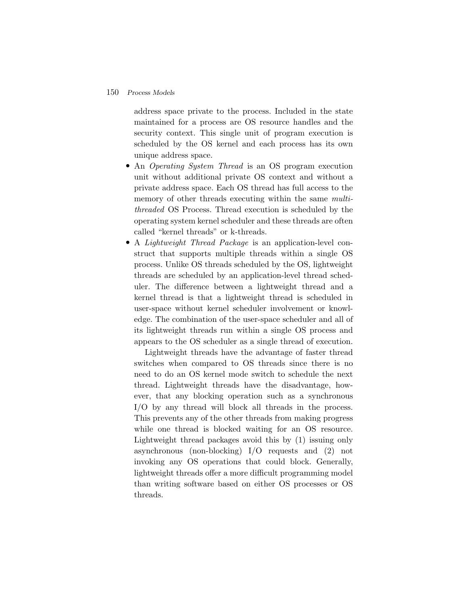address space private to the process. Included in the state maintained for a process are OS resource handles and the security context. This single unit of program execution is scheduled by the OS kernel and each process has its own unique address space.

- An *Operating System Thread* is an OS program execution unit without additional private OS context and without a private address space. Each OS thread has full access to the memory of other threads executing within the same *multithreaded* OS Process. Thread execution is scheduled by the operating system kernel scheduler and these threads are often called "kernel threads" or k-threads.
- A *Lightweight Thread Package* is an application-level construct that supports multiple threads within a single OS process. Unlike OS threads scheduled by the OS, lightweight threads are scheduled by an application-level thread scheduler. The difference between a lightweight thread and a kernel thread is that a lightweight thread is scheduled in user-space without kernel scheduler involvement or knowledge. The combination of the user-space scheduler and all of its lightweight threads run within a single OS process and appears to the OS scheduler as a single thread of execution.

Lightweight threads have the advantage of faster thread switches when compared to OS threads since there is no need to do an OS kernel mode switch to schedule the next thread. Lightweight threads have the disadvantage, however, that any blocking operation such as a synchronous I/O by any thread will block all threads in the process. This prevents any of the other threads from making progress while one thread is blocked waiting for an OS resource. Lightweight thread packages avoid this by (1) issuing only asynchronous (non-blocking) I/O requests and (2) not invoking any OS operations that could block. Generally, lightweight threads offer a more difficult programming model than writing software based on either OS processes or OS threads.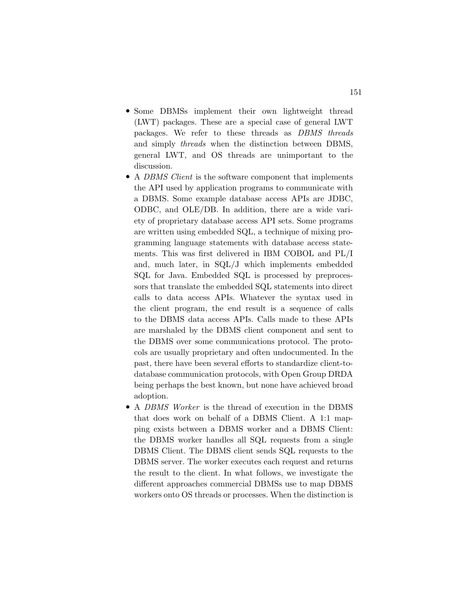- Some DBMSs implement their own lightweight thread (LWT) packages. These are a special case of general LWT packages. We refer to these threads as *DBMS threads* and simply *threads* when the distinction between DBMS, general LWT, and OS threads are unimportant to the discussion.
- A *DBMS Client* is the software component that implements the API used by application programs to communicate with a DBMS. Some example database access APIs are JDBC, ODBC, and OLE/DB. In addition, there are a wide variety of proprietary database access API sets. Some programs are written using embedded SQL, a technique of mixing programming language statements with database access statements. This was first delivered in IBM COBOL and PL/I and, much later, in SQL/J which implements embedded SQL for Java. Embedded SQL is processed by preprocessors that translate the embedded SQL statements into direct calls to data access APIs. Whatever the syntax used in the client program, the end result is a sequence of calls to the DBMS data access APIs. Calls made to these APIs are marshaled by the DBMS client component and sent to the DBMS over some communications protocol. The protocols are usually proprietary and often undocumented. In the past, there have been several efforts to standardize client-todatabase communication protocols, with Open Group DRDA being perhaps the best known, but none have achieved broad adoption.
- A *DBMS Worker* is the thread of execution in the DBMS that does work on behalf of a DBMS Client. A 1:1 mapping exists between a DBMS worker and a DBMS Client: the DBMS worker handles all SQL requests from a single DBMS Client. The DBMS client sends SQL requests to the DBMS server. The worker executes each request and returns the result to the client. In what follows, we investigate the different approaches commercial DBMSs use to map DBMS workers onto OS threads or processes. When the distinction is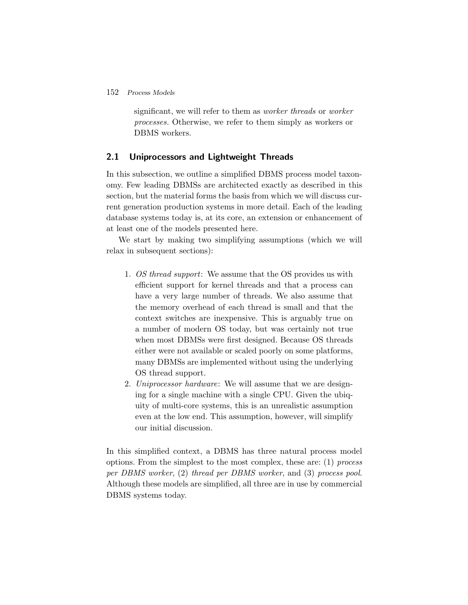significant, we will refer to them as *worker threads* or *worker processes.* Otherwise, we refer to them simply as workers or DBMS workers.

# **2.1 Uniprocessors and Lightweight Threads**

In this subsection, we outline a simplified DBMS process model taxonomy. Few leading DBMSs are architected exactly as described in this section, but the material forms the basis from which we will discuss current generation production systems in more detail. Each of the leading database systems today is, at its core, an extension or enhancement of at least one of the models presented here.

We start by making two simplifying assumptions (which we will relax in subsequent sections):

- 1. *OS thread support*: We assume that the OS provides us with efficient support for kernel threads and that a process can have a very large number of threads. We also assume that the memory overhead of each thread is small and that the context switches are inexpensive. This is arguably true on a number of modern OS today, but was certainly not true when most DBMSs were first designed. Because OS threads either were not available or scaled poorly on some platforms, many DBMSs are implemented without using the underlying OS thread support.
- 2. *Uniprocessor hardware*: We will assume that we are designing for a single machine with a single CPU. Given the ubiquity of multi-core systems, this is an unrealistic assumption even at the low end. This assumption, however, will simplify our initial discussion.

In this simplified context, a DBMS has three natural process model options. From the simplest to the most complex, these are: (1) *process per DBMS worker*, (2) *thread per DBMS worker*, and (3) *process pool*. Although these models are simplified, all three are in use by commercial DBMS systems today.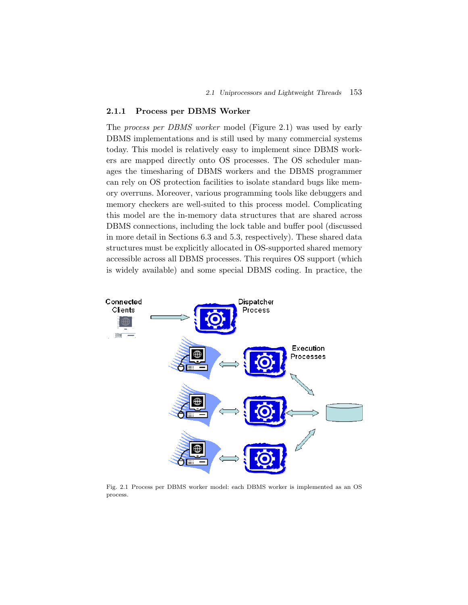## **2.1.1 Process per DBMS Worker**

The *process per DBMS worker* model (Figure 2.1) was used by early DBMS implementations and is still used by many commercial systems today. This model is relatively easy to implement since DBMS workers are mapped directly onto OS processes. The OS scheduler manages the timesharing of DBMS workers and the DBMS programmer can rely on OS protection facilities to isolate standard bugs like memory overruns. Moreover, various programming tools like debuggers and memory checkers are well-suited to this process model. Complicating this model are the in-memory data structures that are shared across DBMS connections, including the lock table and buffer pool (discussed in more detail in Sections 6.3 and 5.3, respectively). These shared data structures must be explicitly allocated in OS-supported shared memory accessible across all DBMS processes. This requires OS support (which is widely available) and some special DBMS coding. In practice, the



Fig. 2.1 Process per DBMS worker model: each DBMS worker is implemented as an OS process.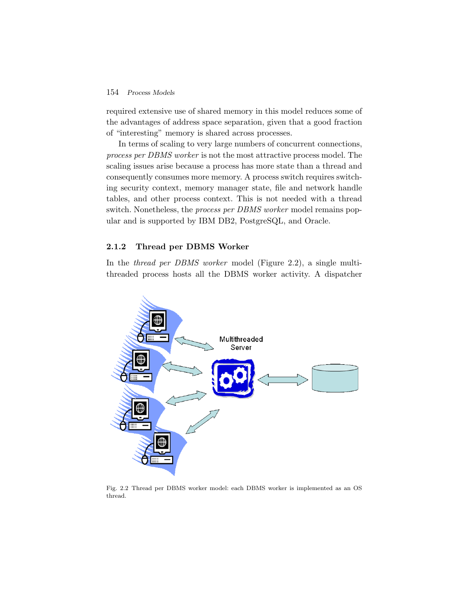required extensive use of shared memory in this model reduces some of the advantages of address space separation, given that a good fraction of "interesting" memory is shared across processes.

In terms of scaling to very large numbers of concurrent connections, *process per DBMS worker* is not the most attractive process model. The scaling issues arise because a process has more state than a thread and consequently consumes more memory. A process switch requires switching security context, memory manager state, file and network handle tables, and other process context. This is not needed with a thread switch. Nonetheless, the *process per DBMS worker* model remains popular and is supported by IBM DB2, PostgreSQL, and Oracle.

## **2.1.2 Thread per DBMS Worker**

In the *thread per DBMS worker* model (Figure 2.2), a single multithreaded process hosts all the DBMS worker activity. A dispatcher



Fig. 2.2 Thread per DBMS worker model: each DBMS worker is implemented as an OS thread.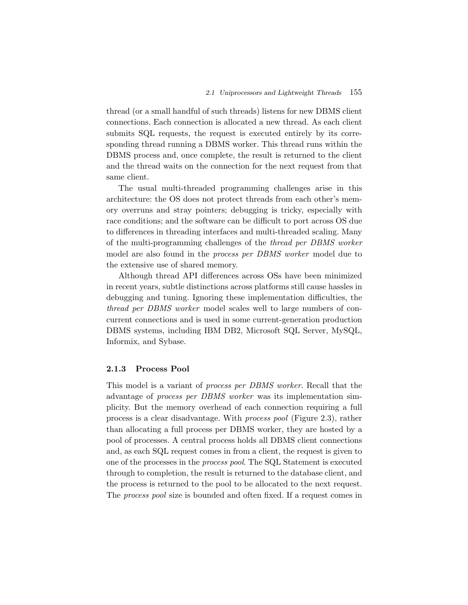thread (or a small handful of such threads) listens for new DBMS client connections. Each connection is allocated a new thread. As each client submits SQL requests, the request is executed entirely by its corresponding thread running a DBMS worker. This thread runs within the DBMS process and, once complete, the result is returned to the client and the thread waits on the connection for the next request from that same client.

The usual multi-threaded programming challenges arise in this architecture: the OS does not protect threads from each other's memory overruns and stray pointers; debugging is tricky, especially with race conditions; and the software can be difficult to port across OS due to differences in threading interfaces and multi-threaded scaling. Many of the multi-programming challenges of the *thread per DBMS worker* model are also found in the *process per DBMS worker* model due to the extensive use of shared memory.

Although thread API differences across OSs have been minimized in recent years, subtle distinctions across platforms still cause hassles in debugging and tuning. Ignoring these implementation difficulties, the *thread per DBMS worker* model scales well to large numbers of concurrent connections and is used in some current-generation production DBMS systems, including IBM DB2, Microsoft SQL Server, MySQL, Informix, and Sybase.

# **2.1.3 Process Pool**

This model is a variant of *process per DBMS worker*. Recall that the advantage of *process per DBMS worker* was its implementation simplicity. But the memory overhead of each connection requiring a full process is a clear disadvantage. With *process pool* (Figure 2.3), rather than allocating a full process per DBMS worker, they are hosted by a pool of processes. A central process holds all DBMS client connections and, as each SQL request comes in from a client, the request is given to one of the processes in the *process pool*. The SQL Statement is executed through to completion, the result is returned to the database client, and the process is returned to the pool to be allocated to the next request. The *process pool* size is bounded and often fixed. If a request comes in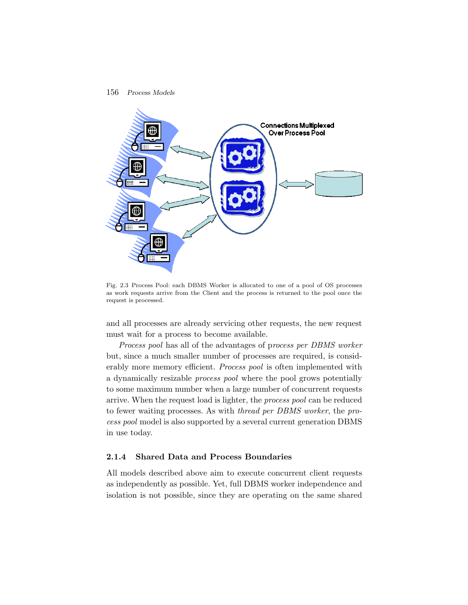

Fig. 2.3 Process Pool: each DBMS Worker is allocated to one of a pool of OS processes as work requests arrive from the Client and the process is returned to the pool once the request is processed.

and all processes are already servicing other requests, the new request must wait for a process to become available.

*Process pool* has all of the advantages of p*rocess per DBMS worker* but, since a much smaller number of processes are required, is considerably more memory efficient. *Process pool* is often implemented with a dynamically resizable *process pool* where the pool grows potentially to some maximum number when a large number of concurrent requests arrive. When the request load is lighter, the *process pool* can be reduced to fewer waiting processes. As with *thread per DBMS worker*, the *process pool* model is also supported by a several current generation DBMS in use today.

## **2.1.4 Shared Data and Process Boundaries**

All models described above aim to execute concurrent client requests as independently as possible. Yet, full DBMS worker independence and isolation is not possible, since they are operating on the same shared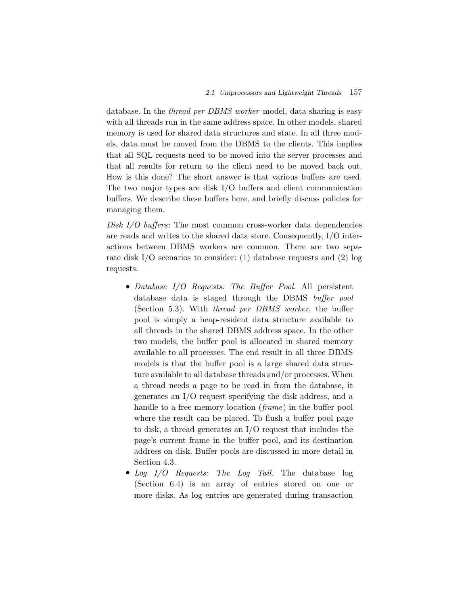database. In the *thread per DBMS worker* model, data sharing is easy with all threads run in the same address space. In other models, shared memory is used for shared data structures and state. In all three models, data must be moved from the DBMS to the clients. This implies that all SQL requests need to be moved into the server processes and that all results for return to the client need to be moved back out. How is this done? The short answer is that various buffers are used. The two major types are disk I/O buffers and client communication buffers. We describe these buffers here, and briefly discuss policies for managing them.

*Disk I/O buffers*: The most common cross-worker data dependencies are reads and writes to the shared data store. Consequently, I/O interactions between DBMS workers are common. There are two separate disk I/O scenarios to consider: (1) database requests and (2) log requests.

- *Database I/O Requests: The Buffer Pool*. All persistent database data is staged through the DBMS *buffer pool* (Section 5.3). With *thread per DBMS worker*, the buffer pool is simply a heap-resident data structure available to all threads in the shared DBMS address space. In the other two models, the buffer pool is allocated in shared memory available to all processes. The end result in all three DBMS models is that the buffer pool is a large shared data structure available to all database threads and/or processes. When a thread needs a page to be read in from the database, it generates an I/O request specifying the disk address, and a handle to a free memory location (*frame*) in the buffer pool where the result can be placed. To flush a buffer pool page to disk, a thread generates an I/O request that includes the page's current frame in the buffer pool, and its destination address on disk. Buffer pools are discussed in more detail in Section 4.3.
- *Log I/O Requests: The Log Tail*. The database log (Section 6.4) is an array of entries stored on one or more disks. As log entries are generated during transaction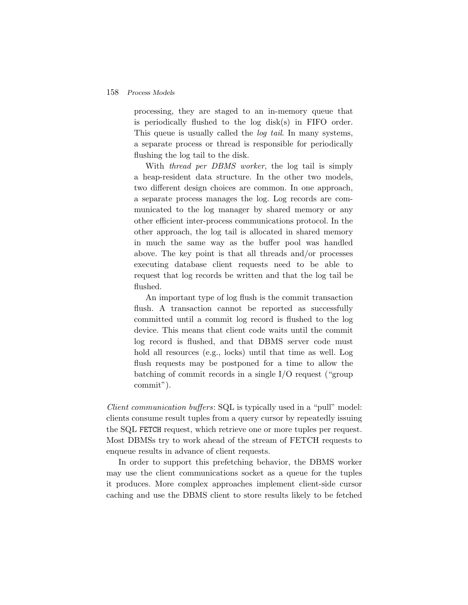processing, they are staged to an in-memory queue that is periodically flushed to the log disk(s) in FIFO order. This queue is usually called the *log tail*. In many systems, a separate process or thread is responsible for periodically flushing the log tail to the disk.

With *thread per DBMS worker*, the log tail is simply a heap-resident data structure. In the other two models, two different design choices are common. In one approach, a separate process manages the log. Log records are communicated to the log manager by shared memory or any other efficient inter-process communications protocol. In the other approach, the log tail is allocated in shared memory in much the same way as the buffer pool was handled above. The key point is that all threads and/or processes executing database client requests need to be able to request that log records be written and that the log tail be flushed.

An important type of log flush is the commit transaction flush. A transaction cannot be reported as successfully committed until a commit log record is flushed to the log device. This means that client code waits until the commit log record is flushed, and that DBMS server code must hold all resources (e.g., locks) until that time as well. Log flush requests may be postponed for a time to allow the batching of commit records in a single I/O request ("group commit").

*Client communication buffers*: SQL is typically used in a "pull" model: clients consume result tuples from a query cursor by repeatedly issuing the SQL FETCH request, which retrieve one or more tuples per request. Most DBMSs try to work ahead of the stream of FETCH requests to enqueue results in advance of client requests.

In order to support this prefetching behavior, the DBMS worker may use the client communications socket as a queue for the tuples it produces. More complex approaches implement client-side cursor caching and use the DBMS client to store results likely to be fetched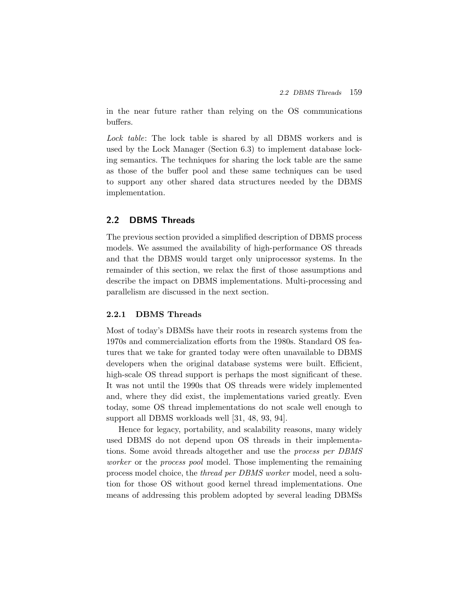in the near future rather than relying on the OS communications buffers.

*Lock table*: The lock table is shared by all DBMS workers and is used by the Lock Manager (Section 6.3) to implement database locking semantics. The techniques for sharing the lock table are the same as those of the buffer pool and these same techniques can be used to support any other shared data structures needed by the DBMS implementation.

# **2.2 DBMS Threads**

The previous section provided a simplified description of DBMS process models. We assumed the availability of high-performance OS threads and that the DBMS would target only uniprocessor systems. In the remainder of this section, we relax the first of those assumptions and describe the impact on DBMS implementations. Multi-processing and parallelism are discussed in the next section.

### **2.2.1 DBMS Threads**

Most of today's DBMSs have their roots in research systems from the 1970s and commercialization efforts from the 1980s. Standard OS features that we take for granted today were often unavailable to DBMS developers when the original database systems were built. Efficient, high-scale OS thread support is perhaps the most significant of these. It was not until the 1990s that OS threads were widely implemented and, where they did exist, the implementations varied greatly. Even today, some OS thread implementations do not scale well enough to support all DBMS workloads well [31, 48, 93, 94].

Hence for legacy, portability, and scalability reasons, many widely used DBMS do not depend upon OS threads in their implementations. Some avoid threads altogether and use the *process per DBMS worker* or the *process pool* model. Those implementing the remaining process model choice, the *thread per DBMS worker* model, need a solution for those OS without good kernel thread implementations. One means of addressing this problem adopted by several leading DBMSs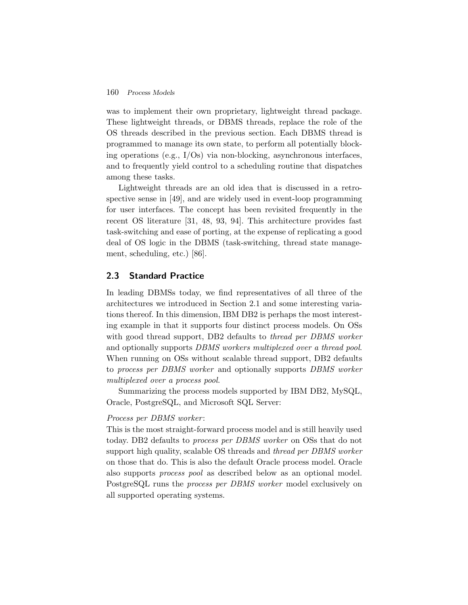was to implement their own proprietary, lightweight thread package. These lightweight threads, or DBMS threads, replace the role of the OS threads described in the previous section. Each DBMS thread is programmed to manage its own state, to perform all potentially blocking operations (e.g., I/Os) via non-blocking, asynchronous interfaces, and to frequently yield control to a scheduling routine that dispatches among these tasks.

Lightweight threads are an old idea that is discussed in a retrospective sense in [49], and are widely used in event-loop programming for user interfaces. The concept has been revisited frequently in the recent OS literature [31, 48, 93, 94]. This architecture provides fast task-switching and ease of porting, at the expense of replicating a good deal of OS logic in the DBMS (task-switching, thread state management, scheduling, etc.) [86].

# **2.3 Standard Practice**

In leading DBMSs today, we find representatives of all three of the architectures we introduced in Section 2.1 and some interesting variations thereof. In this dimension, IBM DB2 is perhaps the most interesting example in that it supports four distinct process models. On OSs with good thread support, DB2 defaults to *thread per DBMS worker* and optionally supports *DBMS workers multiplexed over a thread pool*. When running on OSs without scalable thread support, DB2 defaults to *process per DBMS worker* and optionally supports *DBMS worker multiplexed over a process pool*.

Summarizing the process models supported by IBM DB2, MySQL, Oracle, PostgreSQL, and Microsoft SQL Server:

#### *Process per DBMS worker* :

This is the most straight-forward process model and is still heavily used today. DB2 defaults to *process per DBMS worker* on OSs that do not support high quality, scalable OS threads and *thread per DBMS worker* on those that do. This is also the default Oracle process model. Oracle also supports *process pool* as described below as an optional model. PostgreSQL runs the *process per DBMS worker* model exclusively on all supported operating systems.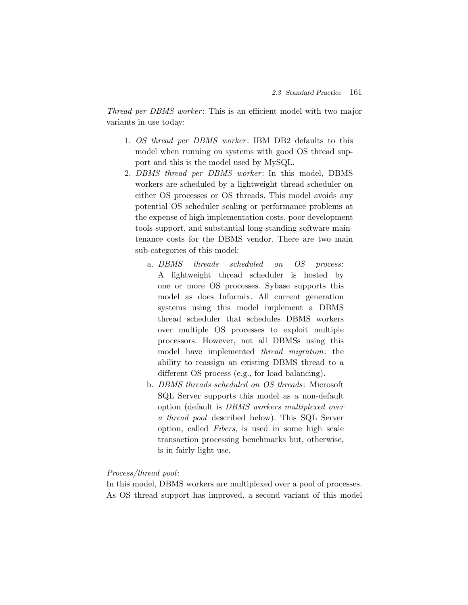*Thread per DBMS worker*: This is an efficient model with two major variants in use today:

- 1. *OS thread per DBMS worker*: IBM DB2 defaults to this model when running on systems with good OS thread support and this is the model used by MySQL.
- 2. *DBMS thread per DBMS worker*: In this model, DBMS workers are scheduled by a lightweight thread scheduler on either OS processes or OS threads. This model avoids any potential OS scheduler scaling or performance problems at the expense of high implementation costs, poor development tools support, and substantial long-standing software maintenance costs for the DBMS vendor. There are two main sub-categories of this model:
	- a. *DBMS threads scheduled on OS process*: A lightweight thread scheduler is hosted by one or more OS processes. Sybase supports this model as does Informix. All current generation systems using this model implement a DBMS thread scheduler that schedules DBMS workers over multiple OS processes to exploit multiple processors. However, not all DBMSs using this model have implemented *thread migration*: the ability to reassign an existing DBMS thread to a different OS process (e.g., for load balancing).
	- b. *DBMS threads scheduled on OS threads*: Microsoft SQL Server supports this model as a non-default option (default is *DBMS workers multiplexed over a thread pool* described below). This SQL Server option, called *Fibers*, is used in some high scale transaction processing benchmarks but, otherwise, is in fairly light use.

#### *Process/thread pool*:

In this model, DBMS workers are multiplexed over a pool of processes. As OS thread support has improved, a second variant of this model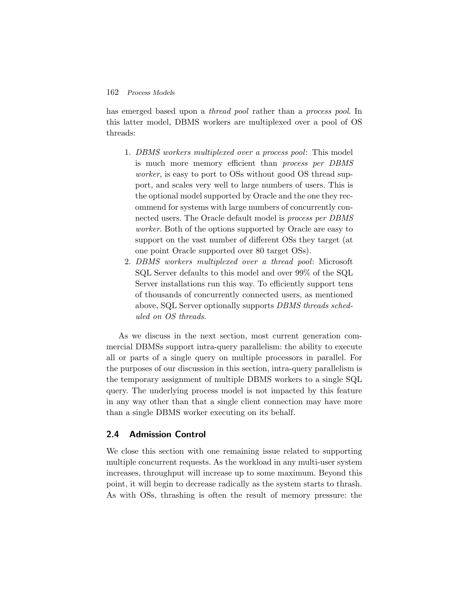has emerged based upon a *thread pool* rather than a *process pool*. In this latter model, DBMS workers are multiplexed over a pool of OS threads:

- 1. *DBMS workers multiplexed over a process pool*: This model is much more memory efficient than *process per DBMS worker*, is easy to port to OSs without good OS thread support, and scales very well to large numbers of users. This is the optional model supported by Oracle and the one they recommend for systems with large numbers of concurrently connected users. The Oracle default model is *process per DBMS worker*. Both of the options supported by Oracle are easy to support on the vast number of different OSs they target (at one point Oracle supported over 80 target OSs).
- 2. *DBMS workers multiplexed over a thread pool*: Microsoft SQL Server defaults to this model and over 99% of the SQL Server installations run this way. To efficiently support tens of thousands of concurrently connected users, as mentioned above, SQL Server optionally supports *DBMS threads scheduled on OS threads*.

As we discuss in the next section, most current generation commercial DBMSs support intra-query parallelism: the ability to execute all or parts of a single query on multiple processors in parallel. For the purposes of our discussion in this section, intra-query parallelism is the temporary assignment of multiple DBMS workers to a single SQL query. The underlying process model is not impacted by this feature in any way other than that a single client connection may have more than a single DBMS worker executing on its behalf.

# **2.4 Admission Control**

We close this section with one remaining issue related to supporting multiple concurrent requests. As the workload in any multi-user system increases, throughput will increase up to some maximum. Beyond this point, it will begin to decrease radically as the system starts to thrash. As with OSs, thrashing is often the result of memory pressure: the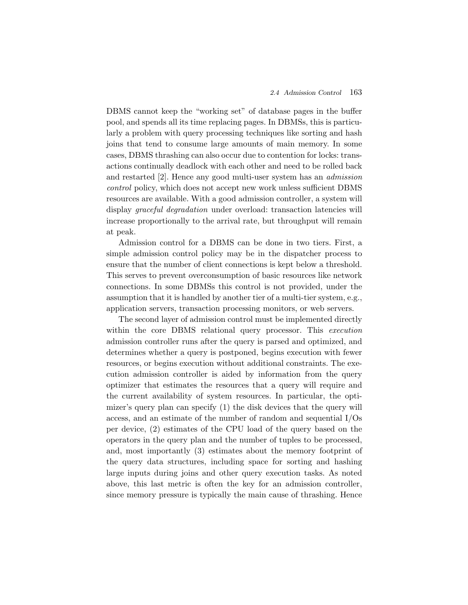DBMS cannot keep the "working set" of database pages in the buffer pool, and spends all its time replacing pages. In DBMSs, this is particularly a problem with query processing techniques like sorting and hash joins that tend to consume large amounts of main memory. In some cases, DBMS thrashing can also occur due to contention for locks: transactions continually deadlock with each other and need to be rolled back and restarted [2]. Hence any good multi-user system has an *admission control* policy, which does not accept new work unless sufficient DBMS resources are available. With a good admission controller, a system will display *graceful degradation* under overload: transaction latencies will increase proportionally to the arrival rate, but throughput will remain at peak.

Admission control for a DBMS can be done in two tiers. First, a simple admission control policy may be in the dispatcher process to ensure that the number of client connections is kept below a threshold. This serves to prevent overconsumption of basic resources like network connections. In some DBMSs this control is not provided, under the assumption that it is handled by another tier of a multi-tier system, e.g., application servers, transaction processing monitors, or web servers.

The second layer of admission control must be implemented directly within the core DBMS relational query processor. This *execution* admission controller runs after the query is parsed and optimized, and determines whether a query is postponed, begins execution with fewer resources, or begins execution without additional constraints. The execution admission controller is aided by information from the query optimizer that estimates the resources that a query will require and the current availability of system resources. In particular, the optimizer's query plan can specify (1) the disk devices that the query will access, and an estimate of the number of random and sequential I/Os per device, (2) estimates of the CPU load of the query based on the operators in the query plan and the number of tuples to be processed, and, most importantly (3) estimates about the memory footprint of the query data structures, including space for sorting and hashing large inputs during joins and other query execution tasks. As noted above, this last metric is often the key for an admission controller, since memory pressure is typically the main cause of thrashing. Hence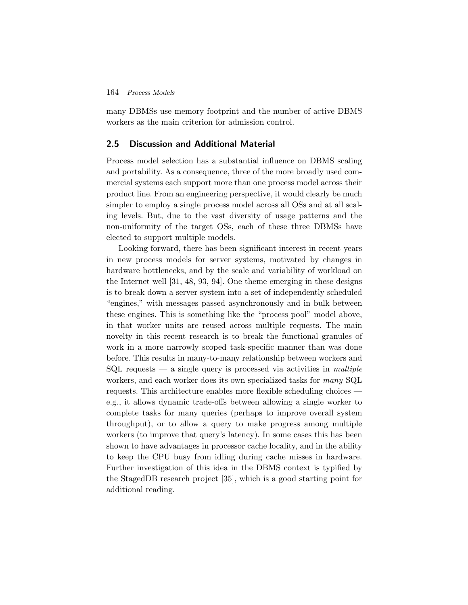many DBMSs use memory footprint and the number of active DBMS workers as the main criterion for admission control.

# **2.5 Discussion and Additional Material**

Process model selection has a substantial influence on DBMS scaling and portability. As a consequence, three of the more broadly used commercial systems each support more than one process model across their product line. From an engineering perspective, it would clearly be much simpler to employ a single process model across all OSs and at all scaling levels. But, due to the vast diversity of usage patterns and the non-uniformity of the target OSs, each of these three DBMSs have elected to support multiple models.

Looking forward, there has been significant interest in recent years in new process models for server systems, motivated by changes in hardware bottlenecks, and by the scale and variability of workload on the Internet well [31, 48, 93, 94]. One theme emerging in these designs is to break down a server system into a set of independently scheduled "engines," with messages passed asynchronously and in bulk between these engines. This is something like the "process pool" model above, in that worker units are reused across multiple requests. The main novelty in this recent research is to break the functional granules of work in a more narrowly scoped task-specific manner than was done before. This results in many-to-many relationship between workers and SQL requests — a single query is processed via activities in *multiple* workers, and each worker does its own specialized tasks for *many* SQL requests. This architecture enables more flexible scheduling choices e.g., it allows dynamic trade-offs between allowing a single worker to complete tasks for many queries (perhaps to improve overall system throughput), or to allow a query to make progress among multiple workers (to improve that query's latency). In some cases this has been shown to have advantages in processor cache locality, and in the ability to keep the CPU busy from idling during cache misses in hardware. Further investigation of this idea in the DBMS context is typified by the StagedDB research project [35], which is a good starting point for additional reading.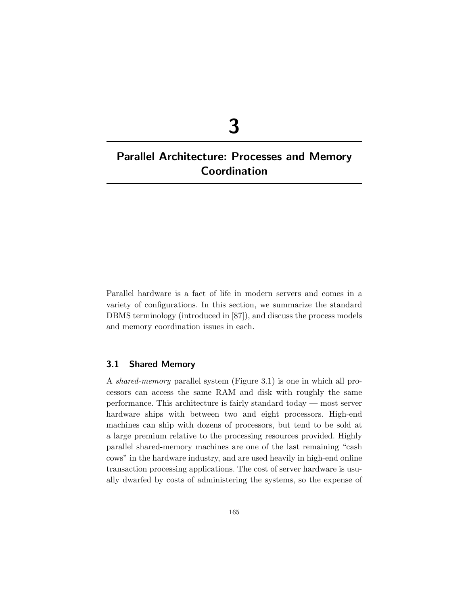# **Parallel Architecture: Processes and Memory Coordination**

Parallel hardware is a fact of life in modern servers and comes in a variety of configurations. In this section, we summarize the standard DBMS terminology (introduced in [87]), and discuss the process models and memory coordination issues in each.

## **3.1 Shared Memory**

A *shared-memory* parallel system (Figure 3.1) is one in which all processors can access the same RAM and disk with roughly the same performance. This architecture is fairly standard today — most server hardware ships with between two and eight processors. High-end machines can ship with dozens of processors, but tend to be sold at a large premium relative to the processing resources provided. Highly parallel shared-memory machines are one of the last remaining "cash cows" in the hardware industry, and are used heavily in high-end online transaction processing applications. The cost of server hardware is usually dwarfed by costs of administering the systems, so the expense of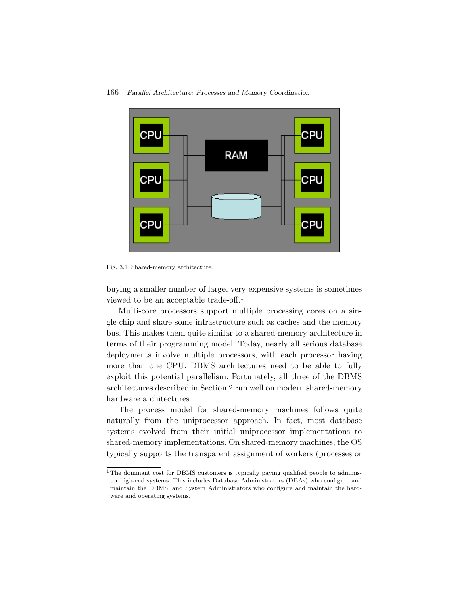

#### 166 *Parallel Architecture: Processes and Memory Coordination*

Fig. 3.1 Shared-memory architecture.

buying a smaller number of large, very expensive systems is sometimes viewed to be an acceptable trade-off.<sup>1</sup>

Multi-core processors support multiple processing cores on a single chip and share some infrastructure such as caches and the memory bus. This makes them quite similar to a shared-memory architecture in terms of their programming model. Today, nearly all serious database deployments involve multiple processors, with each processor having more than one CPU. DBMS architectures need to be able to fully exploit this potential parallelism. Fortunately, all three of the DBMS architectures described in Section 2 run well on modern shared-memory hardware architectures.

The process model for shared-memory machines follows quite naturally from the uniprocessor approach. In fact, most database systems evolved from their initial uniprocessor implementations to shared-memory implementations. On shared-memory machines, the OS typically supports the transparent assignment of workers (processes or

<sup>&</sup>lt;sup>1</sup> The dominant cost for DBMS customers is typically paying qualified people to administer high-end systems. This includes Database Administrators (DBAs) who configure and maintain the DBMS, and System Administrators who configure and maintain the hardware and operating systems.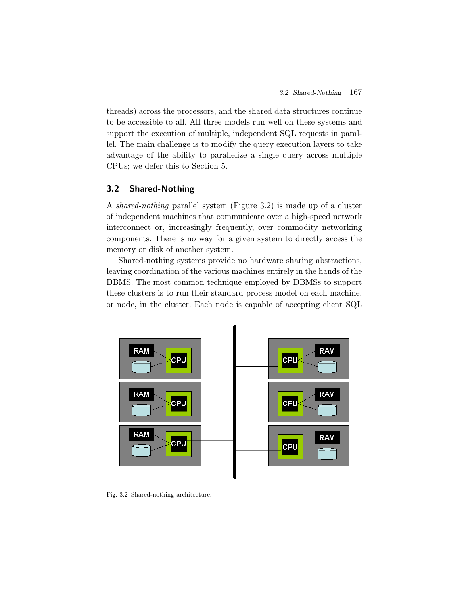threads) across the processors, and the shared data structures continue to be accessible to all. All three models run well on these systems and support the execution of multiple, independent SQL requests in parallel. The main challenge is to modify the query execution layers to take advantage of the ability to parallelize a single query across multiple CPUs; we defer this to Section 5.

# **3.2 Shared-Nothing**

A *shared-nothing* parallel system (Figure 3.2) is made up of a cluster of independent machines that communicate over a high-speed network interconnect or, increasingly frequently, over commodity networking components. There is no way for a given system to directly access the memory or disk of another system.

Shared-nothing systems provide no hardware sharing abstractions, leaving coordination of the various machines entirely in the hands of the DBMS. The most common technique employed by DBMSs to support these clusters is to run their standard process model on each machine, or node, in the cluster. Each node is capable of accepting client SQL



Fig. 3.2 Shared-nothing architecture.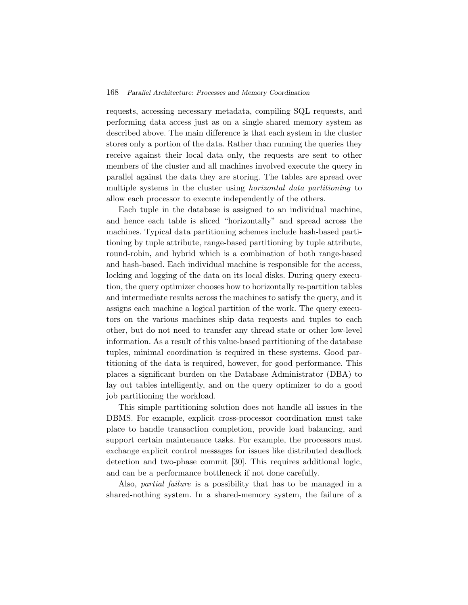#### 168 *Parallel Architecture: Processes and Memory Coordination*

requests, accessing necessary metadata, compiling SQL requests, and performing data access just as on a single shared memory system as described above. The main difference is that each system in the cluster stores only a portion of the data. Rather than running the queries they receive against their local data only, the requests are sent to other members of the cluster and all machines involved execute the query in parallel against the data they are storing. The tables are spread over multiple systems in the cluster using *horizontal data partitioning* to allow each processor to execute independently of the others.

Each tuple in the database is assigned to an individual machine, and hence each table is sliced "horizontally" and spread across the machines. Typical data partitioning schemes include hash-based partitioning by tuple attribute, range-based partitioning by tuple attribute, round-robin, and hybrid which is a combination of both range-based and hash-based. Each individual machine is responsible for the access, locking and logging of the data on its local disks. During query execution, the query optimizer chooses how to horizontally re-partition tables and intermediate results across the machines to satisfy the query, and it assigns each machine a logical partition of the work. The query executors on the various machines ship data requests and tuples to each other, but do not need to transfer any thread state or other low-level information. As a result of this value-based partitioning of the database tuples, minimal coordination is required in these systems. Good partitioning of the data is required, however, for good performance. This places a significant burden on the Database Administrator (DBA) to lay out tables intelligently, and on the query optimizer to do a good job partitioning the workload.

This simple partitioning solution does not handle all issues in the DBMS. For example, explicit cross-processor coordination must take place to handle transaction completion, provide load balancing, and support certain maintenance tasks. For example, the processors must exchange explicit control messages for issues like distributed deadlock detection and two-phase commit [30]. This requires additional logic, and can be a performance bottleneck if not done carefully.

Also, *partial failure* is a possibility that has to be managed in a shared-nothing system. In a shared-memory system, the failure of a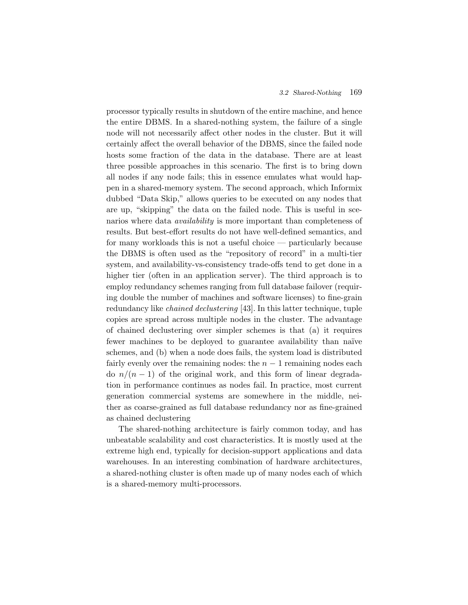#### *3.2 Shared-Nothing* 169

processor typically results in shutdown of the entire machine, and hence the entire DBMS. In a shared-nothing system, the failure of a single node will not necessarily affect other nodes in the cluster. But it will certainly affect the overall behavior of the DBMS, since the failed node hosts some fraction of the data in the database. There are at least three possible approaches in this scenario. The first is to bring down all nodes if any node fails; this in essence emulates what would happen in a shared-memory system. The second approach, which Informix dubbed "Data Skip," allows queries to be executed on any nodes that are up, "skipping" the data on the failed node. This is useful in scenarios where data *availability* is more important than completeness of results. But best-effort results do not have well-defined semantics, and for many workloads this is not a useful choice — particularly because the DBMS is often used as the "repository of record" in a multi-tier system, and availability-vs-consistency trade-offs tend to get done in a higher tier (often in an application server). The third approach is to employ redundancy schemes ranging from full database failover (requiring double the number of machines and software licenses) to fine-grain redundancy like *chained declustering* [43]. In this latter technique, tuple copies are spread across multiple nodes in the cluster. The advantage of chained declustering over simpler schemes is that (a) it requires fewer machines to be deployed to guarantee availability than naïve schemes, and (b) when a node does fails, the system load is distributed fairly evenly over the remaining nodes: the  $n-1$  remaining nodes each do  $n/(n-1)$  of the original work, and this form of linear degradation in performance continues as nodes fail. In practice, most current generation commercial systems are somewhere in the middle, neither as coarse-grained as full database redundancy nor as fine-grained as chained declustering

The shared-nothing architecture is fairly common today, and has unbeatable scalability and cost characteristics. It is mostly used at the extreme high end, typically for decision-support applications and data warehouses. In an interesting combination of hardware architectures, a shared-nothing cluster is often made up of many nodes each of which is a shared-memory multi-processors.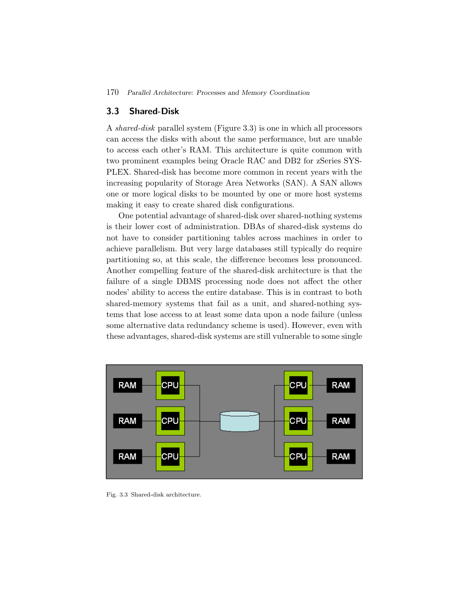## **3.3 Shared-Disk**

A *shared-disk* parallel system (Figure 3.3) is one in which all processors can access the disks with about the same performance, but are unable to access each other's RAM. This architecture is quite common with two prominent examples being Oracle RAC and DB2 for zSeries SYS-PLEX. Shared-disk has become more common in recent years with the increasing popularity of Storage Area Networks (SAN). A SAN allows one or more logical disks to be mounted by one or more host systems making it easy to create shared disk configurations.

One potential advantage of shared-disk over shared-nothing systems is their lower cost of administration. DBAs of shared-disk systems do not have to consider partitioning tables across machines in order to achieve parallelism. But very large databases still typically do require partitioning so, at this scale, the difference becomes less pronounced. Another compelling feature of the shared-disk architecture is that the failure of a single DBMS processing node does not affect the other nodes' ability to access the entire database. This is in contrast to both shared-memory systems that fail as a unit, and shared-nothing systems that lose access to at least some data upon a node failure (unless some alternative data redundancy scheme is used). However, even with these advantages, shared-disk systems are still vulnerable to some single



Fig. 3.3 Shared-disk architecture.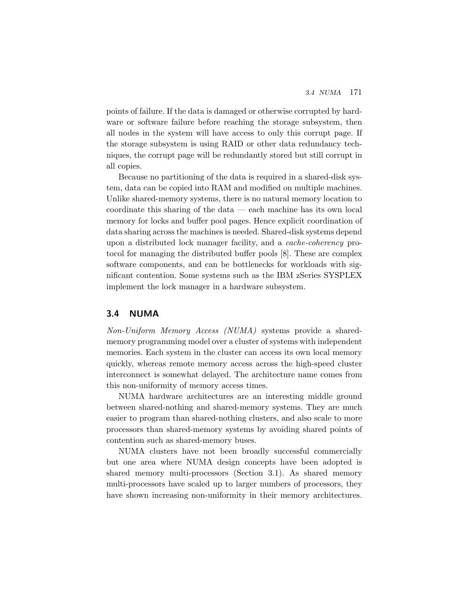points of failure. If the data is damaged or otherwise corrupted by hardware or software failure before reaching the storage subsystem, then all nodes in the system will have access to only this corrupt page. If the storage subsystem is using RAID or other data redundancy techniques, the corrupt page will be redundantly stored but still corrupt in all copies.

Because no partitioning of the data is required in a shared-disk system, data can be copied into RAM and modified on multiple machines. Unlike shared-memory systems, there is no natural memory location to coordinate this sharing of the data — each machine has its own local memory for locks and buffer pool pages. Hence explicit coordination of data sharing across the machines is needed. Shared-disk systems depend upon a distributed lock manager facility, and a *cache-coherency* protocol for managing the distributed buffer pools [8]. These are complex software components, and can be bottlenecks for workloads with significant contention. Some systems such as the IBM zSeries SYSPLEX implement the lock manager in a hardware subsystem.

# **3.4 NUMA**

*Non-Uniform Memory Access (NUMA)* systems provide a sharedmemory programming model over a cluster of systems with independent memories. Each system in the cluster can access its own local memory quickly, whereas remote memory access across the high-speed cluster interconnect is somewhat delayed. The architecture name comes from this non-uniformity of memory access times.

NUMA hardware architectures are an interesting middle ground between shared-nothing and shared-memory systems. They are much easier to program than shared-nothing clusters, and also scale to more processors than shared-memory systems by avoiding shared points of contention such as shared-memory buses.

NUMA clusters have not been broadly successful commercially but one area where NUMA design concepts have been adopted is shared memory multi-processors (Section 3.1). As shared memory multi-processors have scaled up to larger numbers of processors, they have shown increasing non-uniformity in their memory architectures.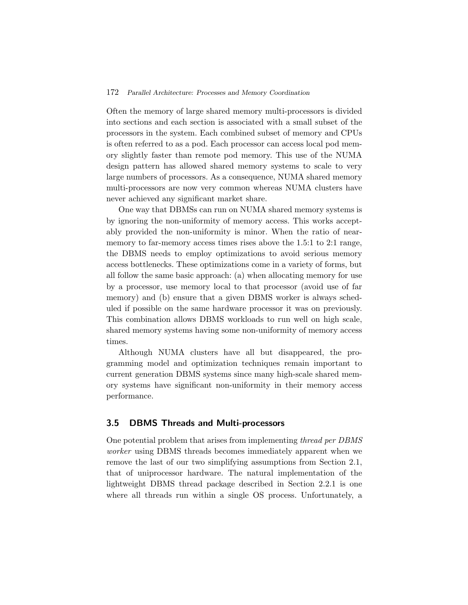#### 172 *Parallel Architecture: Processes and Memory Coordination*

Often the memory of large shared memory multi-processors is divided into sections and each section is associated with a small subset of the processors in the system. Each combined subset of memory and CPUs is often referred to as a pod. Each processor can access local pod memory slightly faster than remote pod memory. This use of the NUMA design pattern has allowed shared memory systems to scale to very large numbers of processors. As a consequence, NUMA shared memory multi-processors are now very common whereas NUMA clusters have never achieved any significant market share.

One way that DBMSs can run on NUMA shared memory systems is by ignoring the non-uniformity of memory access. This works acceptably provided the non-uniformity is minor. When the ratio of nearmemory to far-memory access times rises above the 1.5:1 to 2:1 range, the DBMS needs to employ optimizations to avoid serious memory access bottlenecks. These optimizations come in a variety of forms, but all follow the same basic approach: (a) when allocating memory for use by a processor, use memory local to that processor (avoid use of far memory) and (b) ensure that a given DBMS worker is always scheduled if possible on the same hardware processor it was on previously. This combination allows DBMS workloads to run well on high scale, shared memory systems having some non-uniformity of memory access times.

Although NUMA clusters have all but disappeared, the programming model and optimization techniques remain important to current generation DBMS systems since many high-scale shared memory systems have significant non-uniformity in their memory access performance.

#### **3.5 DBMS Threads and Multi-processors**

One potential problem that arises from implementing *thread per DBMS worker* using DBMS threads becomes immediately apparent when we remove the last of our two simplifying assumptions from Section 2.1, that of uniprocessor hardware. The natural implementation of the lightweight DBMS thread package described in Section 2.2.1 is one where all threads run within a single OS process. Unfortunately, a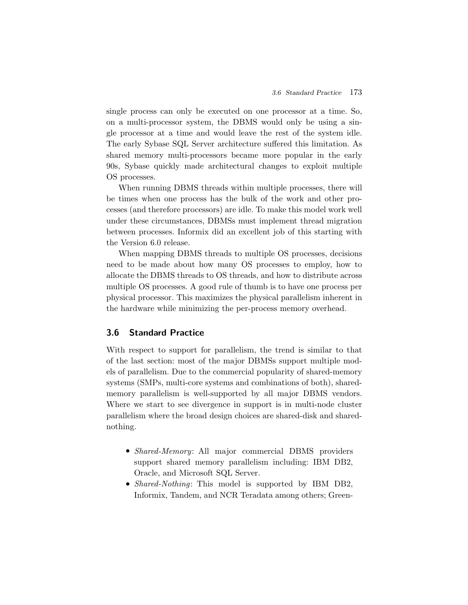single process can only be executed on one processor at a time. So, on a multi-processor system, the DBMS would only be using a single processor at a time and would leave the rest of the system idle. The early Sybase SQL Server architecture suffered this limitation. As shared memory multi-processors became more popular in the early 90s, Sybase quickly made architectural changes to exploit multiple OS processes.

When running DBMS threads within multiple processes, there will be times when one process has the bulk of the work and other processes (and therefore processors) are idle. To make this model work well under these circumstances, DBMSs must implement thread migration between processes. Informix did an excellent job of this starting with the Version 6.0 release.

When mapping DBMS threads to multiple OS processes, decisions need to be made about how many OS processes to employ, how to allocate the DBMS threads to OS threads, and how to distribute across multiple OS processes. A good rule of thumb is to have one process per physical processor. This maximizes the physical parallelism inherent in the hardware while minimizing the per-process memory overhead.

# **3.6 Standard Practice**

With respect to support for parallelism, the trend is similar to that of the last section: most of the major DBMSs support multiple models of parallelism. Due to the commercial popularity of shared-memory systems (SMPs, multi-core systems and combinations of both), sharedmemory parallelism is well-supported by all major DBMS vendors. Where we start to see divergence in support is in multi-node cluster parallelism where the broad design choices are shared-disk and sharednothing.

- *Shared-Memory*: All major commercial DBMS providers support shared memory parallelism including: IBM DB2, Oracle, and Microsoft SQL Server.
- *Shared-Nothing*: This model is supported by IBM DB2, Informix, Tandem, and NCR Teradata among others; Green-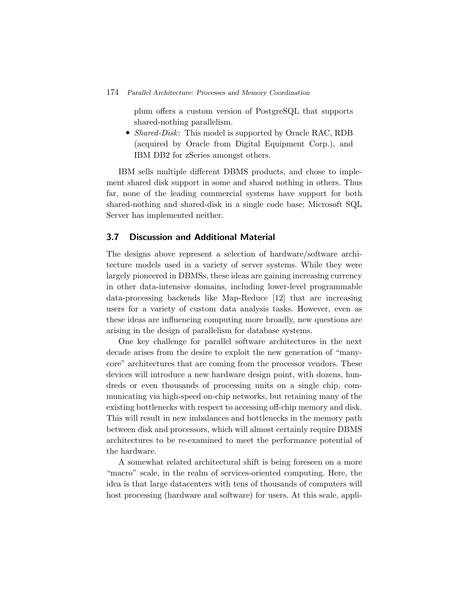#### 174 *Parallel Architecture: Processes and Memory Coordination*

plum offers a custom version of PostgreSQL that supports shared-nothing parallelism.

• *Shared-Disk*: This model is supported by Oracle RAC, RDB (acquired by Oracle from Digital Equipment Corp.), and IBM DB2 for zSeries amongst others.

IBM sells multiple different DBMS products, and chose to implement shared disk support in some and shared nothing in others. Thus far, none of the leading commercial systems have support for both shared-nothing and shared-disk in a single code base; Microsoft SQL Server has implemented neither.

## **3.7 Discussion and Additional Material**

The designs above represent a selection of hardware/software architecture models used in a variety of server systems. While they were largely pioneered in DBMSs, these ideas are gaining increasing currency in other data-intensive domains, including lower-level programmable data-processing backends like Map-Reduce [12] that are increasing users for a variety of custom data analysis tasks. However, even as these ideas are influencing computing more broadly, new questions are arising in the design of parallelism for database systems.

One key challenge for parallel software architectures in the next decade arises from the desire to exploit the new generation of "manycore" architectures that are coming from the processor vendors. These devices will introduce a new hardware design point, with dozens, hundreds or even thousands of processing units on a single chip, communicating via high-speed on-chip networks, but retaining many of the existing bottlenecks with respect to accessing off-chip memory and disk. This will result in new imbalances and bottlenecks in the memory path between disk and processors, which will almost certainly require DBMS architectures to be re-examined to meet the performance potential of the hardware.

A somewhat related architectural shift is being foreseen on a more "macro" scale, in the realm of services-oriented computing. Here, the idea is that large datacenters with tens of thousands of computers will host processing (hardware and software) for users. At this scale, appli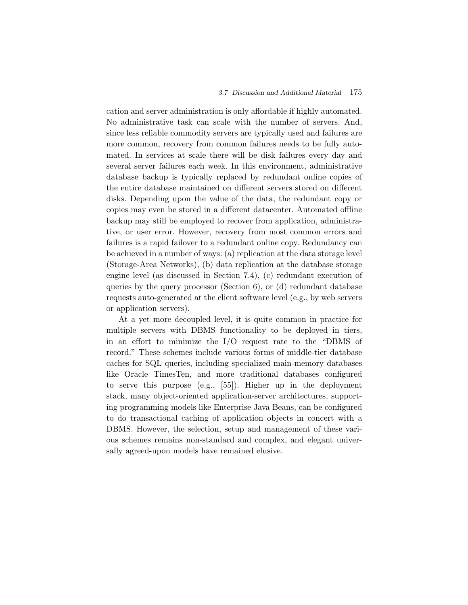cation and server administration is only affordable if highly automated. No administrative task can scale with the number of servers. And, since less reliable commodity servers are typically used and failures are more common, recovery from common failures needs to be fully automated. In services at scale there will be disk failures every day and several server failures each week. In this environment, administrative database backup is typically replaced by redundant online copies of the entire database maintained on different servers stored on different disks. Depending upon the value of the data, the redundant copy or copies may even be stored in a different datacenter. Automated offline backup may still be employed to recover from application, administrative, or user error. However, recovery from most common errors and failures is a rapid failover to a redundant online copy. Redundancy can be achieved in a number of ways: (a) replication at the data storage level (Storage-Area Networks), (b) data replication at the database storage engine level (as discussed in Section 7.4), (c) redundant execution of queries by the query processor (Section 6), or (d) redundant database requests auto-generated at the client software level (e.g., by web servers or application servers).

At a yet more decoupled level, it is quite common in practice for multiple servers with DBMS functionality to be deployed in tiers, in an effort to minimize the I/O request rate to the "DBMS of record." These schemes include various forms of middle-tier database caches for SQL queries, including specialized main-memory databases like Oracle TimesTen, and more traditional databases configured to serve this purpose (e.g., [55]). Higher up in the deployment stack, many object-oriented application-server architectures, supporting programming models like Enterprise Java Beans, can be configured to do transactional caching of application objects in concert with a DBMS. However, the selection, setup and management of these various schemes remains non-standard and complex, and elegant universally agreed-upon models have remained elusive.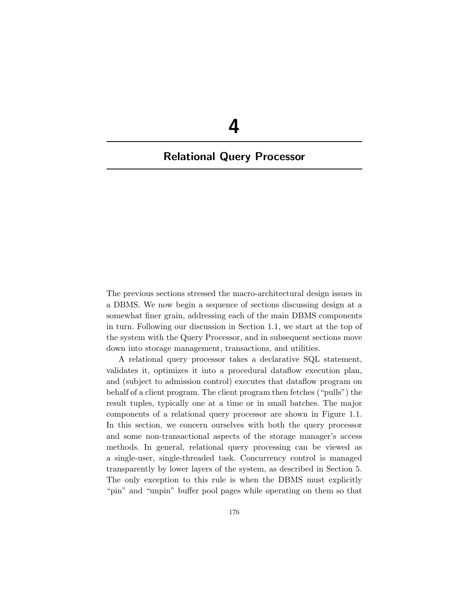# **4**

# **Relational Query Processor**

The previous sections stressed the macro-architectural design issues in a DBMS. We now begin a sequence of sections discussing design at a somewhat finer grain, addressing each of the main DBMS components in turn. Following our discussion in Section 1.1, we start at the top of the system with the Query Processor, and in subsequent sections move down into storage management, transactions, and utilities.

A relational query processor takes a declarative SQL statement, validates it, optimizes it into a procedural dataflow execution plan, and (subject to admission control) executes that dataflow program on behalf of a client program. The client program then fetches ("pulls") the result tuples, typically one at a time or in small batches. The major components of a relational query processor are shown in Figure 1.1. In this section, we concern ourselves with both the query processor and some non-transactional aspects of the storage manager's access methods. In general, relational query processing can be viewed as a single-user, single-threaded task. Concurrency control is managed transparently by lower layers of the system, as described in Section 5. The only exception to this rule is when the DBMS must explicitly "pin" and "unpin" buffer pool pages while operating on them so that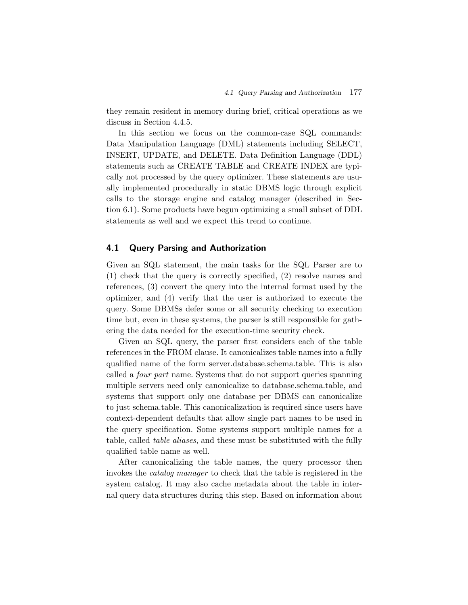they remain resident in memory during brief, critical operations as we discuss in Section 4.4.5.

In this section we focus on the common-case SQL commands: Data Manipulation Language (DML) statements including SELECT, INSERT, UPDATE, and DELETE. Data Definition Language (DDL) statements such as CREATE TABLE and CREATE INDEX are typically not processed by the query optimizer. These statements are usually implemented procedurally in static DBMS logic through explicit calls to the storage engine and catalog manager (described in Section 6.1). Some products have begun optimizing a small subset of DDL statements as well and we expect this trend to continue.

# **4.1 Query Parsing and Authorization**

Given an SQL statement, the main tasks for the SQL Parser are to (1) check that the query is correctly specified, (2) resolve names and references, (3) convert the query into the internal format used by the optimizer, and (4) verify that the user is authorized to execute the query. Some DBMSs defer some or all security checking to execution time but, even in these systems, the parser is still responsible for gathering the data needed for the execution-time security check.

Given an SQL query, the parser first considers each of the table references in the FROM clause. It canonicalizes table names into a fully qualified name of the form server.database.schema.table. This is also called a *four part* name. Systems that do not support queries spanning multiple servers need only canonicalize to database.schema.table, and systems that support only one database per DBMS can canonicalize to just schema.table. This canonicalization is required since users have context-dependent defaults that allow single part names to be used in the query specification. Some systems support multiple names for a table, called *table aliases*, and these must be substituted with the fully qualified table name as well.

After canonicalizing the table names, the query processor then invokes the *catalog manager* to check that the table is registered in the system catalog. It may also cache metadata about the table in internal query data structures during this step. Based on information about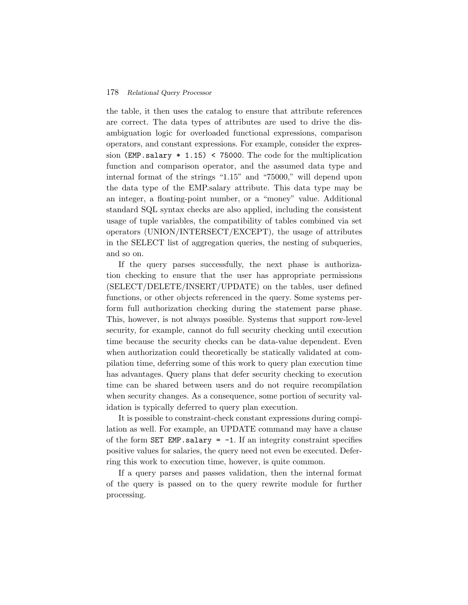the table, it then uses the catalog to ensure that attribute references are correct. The data types of attributes are used to drive the disambiguation logic for overloaded functional expressions, comparison operators, and constant expressions. For example, consider the expression (EMP. salary  $*$  1.15) < 75000. The code for the multiplication function and comparison operator, and the assumed data type and internal format of the strings "1.15" and "75000," will depend upon the data type of the EMP.salary attribute. This data type may be an integer, a floating-point number, or a "money" value. Additional standard SQL syntax checks are also applied, including the consistent usage of tuple variables, the compatibility of tables combined via set operators (UNION/INTERSECT/EXCEPT), the usage of attributes in the SELECT list of aggregation queries, the nesting of subqueries, and so on.

If the query parses successfully, the next phase is authorization checking to ensure that the user has appropriate permissions (SELECT/DELETE/INSERT/UPDATE) on the tables, user defined functions, or other objects referenced in the query. Some systems perform full authorization checking during the statement parse phase. This, however, is not always possible. Systems that support row-level security, for example, cannot do full security checking until execution time because the security checks can be data-value dependent. Even when authorization could theoretically be statically validated at compilation time, deferring some of this work to query plan execution time has advantages. Query plans that defer security checking to execution time can be shared between users and do not require recompilation when security changes. As a consequence, some portion of security validation is typically deferred to query plan execution.

It is possible to constraint-check constant expressions during compilation as well. For example, an UPDATE command may have a clause of the form SET EMP.salary  $= -1$ . If an integrity constraint specifies positive values for salaries, the query need not even be executed. Deferring this work to execution time, however, is quite common.

If a query parses and passes validation, then the internal format of the query is passed on to the query rewrite module for further processing.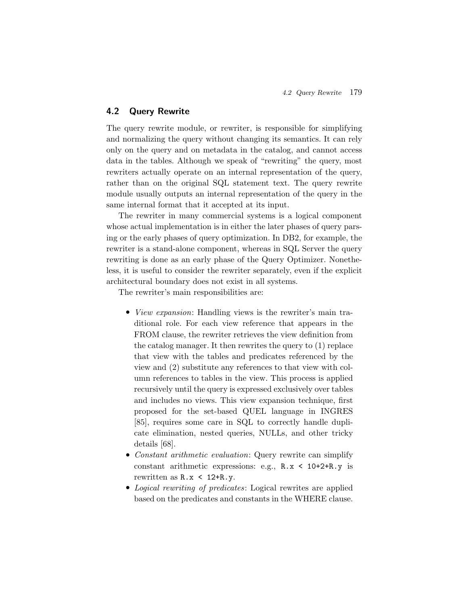# **4.2 Query Rewrite**

The query rewrite module, or rewriter, is responsible for simplifying and normalizing the query without changing its semantics. It can rely only on the query and on metadata in the catalog, and cannot access data in the tables. Although we speak of "rewriting" the query, most rewriters actually operate on an internal representation of the query, rather than on the original SQL statement text. The query rewrite module usually outputs an internal representation of the query in the same internal format that it accepted at its input.

The rewriter in many commercial systems is a logical component whose actual implementation is in either the later phases of query parsing or the early phases of query optimization. In DB2, for example, the rewriter is a stand-alone component, whereas in SQL Server the query rewriting is done as an early phase of the Query Optimizer. Nonetheless, it is useful to consider the rewriter separately, even if the explicit architectural boundary does not exist in all systems.

The rewriter's main responsibilities are:

- *View expansion*: Handling views is the rewriter's main traditional role. For each view reference that appears in the FROM clause, the rewriter retrieves the view definition from the catalog manager. It then rewrites the query to (1) replace that view with the tables and predicates referenced by the view and (2) substitute any references to that view with column references to tables in the view. This process is applied recursively until the query is expressed exclusively over tables and includes no views. This view expansion technique, first proposed for the set-based QUEL language in INGRES [85], requires some care in SQL to correctly handle duplicate elimination, nested queries, NULLs, and other tricky details [68].
- *Constant arithmetic evaluation*: Query rewrite can simplify constant arithmetic expressions: e.g., R.x < 10+2+R.y is rewritten as  $R.x < 12+R.y$ .
- *Logical rewriting of predicates*: Logical rewrites are applied based on the predicates and constants in the WHERE clause.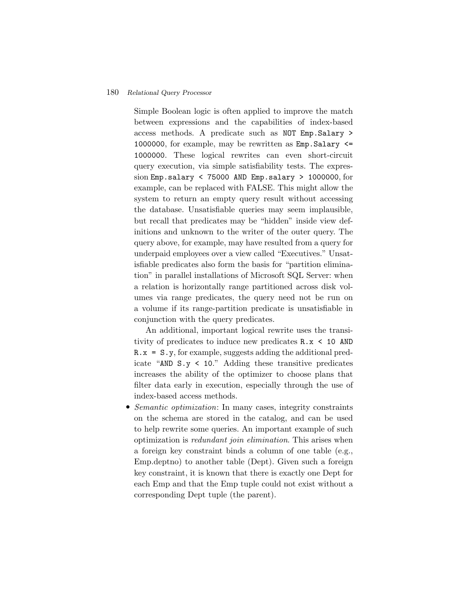Simple Boolean logic is often applied to improve the match between expressions and the capabilities of index-based access methods. A predicate such as NOT Emp.Salary > 1000000, for example, may be rewritten as  $Emp.Salary \leq$ 1000000. These logical rewrites can even short-circuit query execution, via simple satisfiability tests. The expression Emp.salary < 75000 AND Emp.salary > 1000000, for example, can be replaced with FALSE. This might allow the system to return an empty query result without accessing the database. Unsatisfiable queries may seem implausible, but recall that predicates may be "hidden" inside view definitions and unknown to the writer of the outer query. The query above, for example, may have resulted from a query for underpaid employees over a view called "Executives." Unsatisfiable predicates also form the basis for "partition elimination" in parallel installations of Microsoft SQL Server: when a relation is horizontally range partitioned across disk volumes via range predicates, the query need not be run on a volume if its range-partition predicate is unsatisfiable in conjunction with the query predicates.

An additional, important logical rewrite uses the transitivity of predicates to induce new predicates R.x < 10 AND  $R.x = S.y$ , for example, suggests adding the additional predicate "AND S.y < 10." Adding these transitive predicates increases the ability of the optimizer to choose plans that filter data early in execution, especially through the use of index-based access methods.

• *Semantic optimization*: In many cases, integrity constraints on the schema are stored in the catalog, and can be used to help rewrite some queries. An important example of such optimization is *redundant join elimination*. This arises when a foreign key constraint binds a column of one table (e.g., Emp.deptno) to another table (Dept). Given such a foreign key constraint, it is known that there is exactly one Dept for each Emp and that the Emp tuple could not exist without a corresponding Dept tuple (the parent).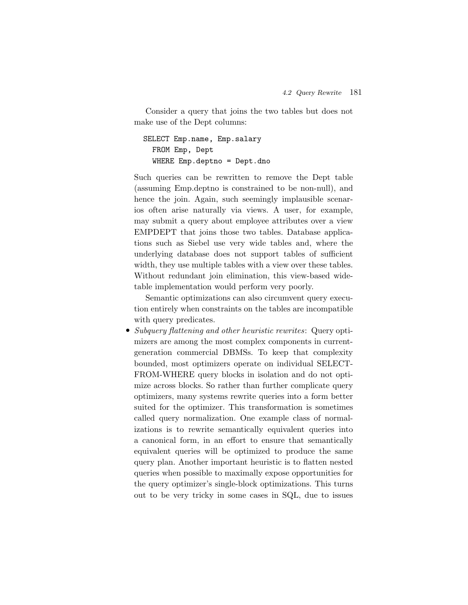Consider a query that joins the two tables but does not make use of the Dept columns:

```
SELECT Emp.name, Emp.salary
  FROM Emp, Dept
  WHERE Emp.deptno = Dept.dno
```
Such queries can be rewritten to remove the Dept table (assuming Emp.deptno is constrained to be non-null), and hence the join. Again, such seemingly implausible scenarios often arise naturally via views. A user, for example, may submit a query about employee attributes over a view EMPDEPT that joins those two tables. Database applications such as Siebel use very wide tables and, where the underlying database does not support tables of sufficient width, they use multiple tables with a view over these tables. Without redundant join elimination, this view-based widetable implementation would perform very poorly.

Semantic optimizations can also circumvent query execution entirely when constraints on the tables are incompatible with query predicates.

• *Subquery flattening and other heuristic rewrites*: Query optimizers are among the most complex components in currentgeneration commercial DBMSs. To keep that complexity bounded, most optimizers operate on individual SELECT-FROM-WHERE query blocks in isolation and do not optimize across blocks. So rather than further complicate query optimizers, many systems rewrite queries into a form better suited for the optimizer. This transformation is sometimes called query normalization. One example class of normalizations is to rewrite semantically equivalent queries into a canonical form, in an effort to ensure that semantically equivalent queries will be optimized to produce the same query plan. Another important heuristic is to flatten nested queries when possible to maximally expose opportunities for the query optimizer's single-block optimizations. This turns out to be very tricky in some cases in SQL, due to issues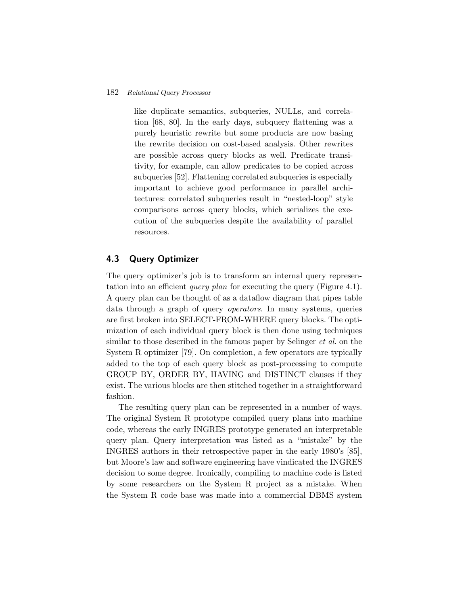like duplicate semantics, subqueries, NULLs, and correlation [68, 80]. In the early days, subquery flattening was a purely heuristic rewrite but some products are now basing the rewrite decision on cost-based analysis. Other rewrites are possible across query blocks as well. Predicate transitivity, for example, can allow predicates to be copied across subqueries [52]. Flattening correlated subqueries is especially important to achieve good performance in parallel architectures: correlated subqueries result in "nested-loop" style comparisons across query blocks, which serializes the execution of the subqueries despite the availability of parallel resources.

# **4.3 Query Optimizer**

The query optimizer's job is to transform an internal query representation into an efficient *query plan* for executing the query (Figure 4.1). A query plan can be thought of as a dataflow diagram that pipes table data through a graph of query *operators*. In many systems, queries are first broken into SELECT-FROM-WHERE query blocks. The optimization of each individual query block is then done using techniques similar to those described in the famous paper by Selinger *et al.* on the System R optimizer [79]. On completion, a few operators are typically added to the top of each query block as post-processing to compute GROUP BY, ORDER BY, HAVING and DISTINCT clauses if they exist. The various blocks are then stitched together in a straightforward fashion.

The resulting query plan can be represented in a number of ways. The original System R prototype compiled query plans into machine code, whereas the early INGRES prototype generated an interpretable query plan. Query interpretation was listed as a "mistake" by the INGRES authors in their retrospective paper in the early 1980's [85], but Moore's law and software engineering have vindicated the INGRES decision to some degree. Ironically, compiling to machine code is listed by some researchers on the System R project as a mistake. When the System R code base was made into a commercial DBMS system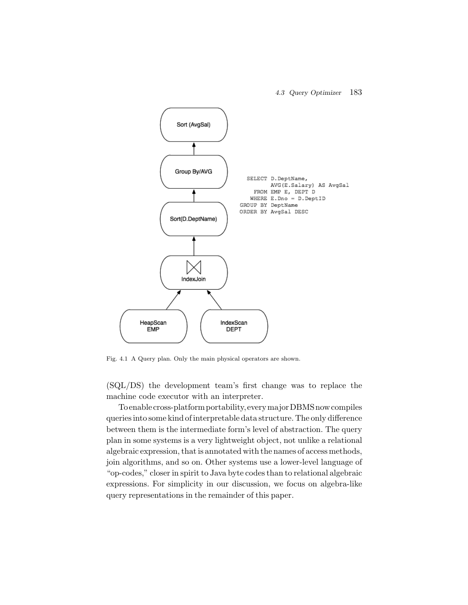

Fig. 4.1 A Query plan. Only the main physical operators are shown.

(SQL/DS) the development team's first change was to replace the machine code executor with an interpreter.

To enable cross-platform portability, everymajorDBMS now compiles queries into some kind of interpretable data structure. The only difference between them is the intermediate form's level of abstraction. The query plan in some systems is a very lightweight object, not unlike a relational algebraic expression, that is annotated with the names of access methods, join algorithms, and so on. Other systems use a lower-level language of "op-codes," closer in spirit to Java byte codes than to relational algebraic expressions. For simplicity in our discussion, we focus on algebra-like query representations in the remainder of this paper.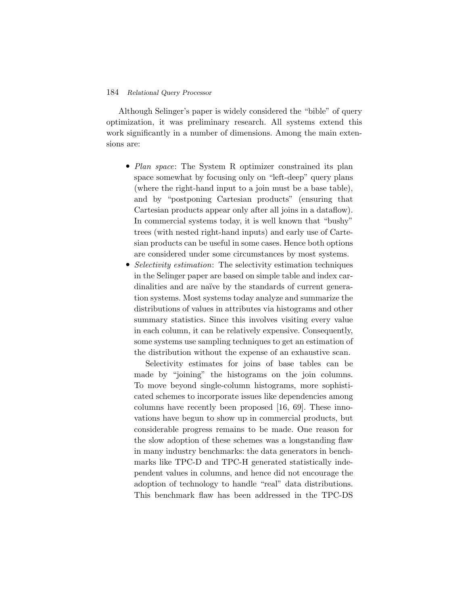Although Selinger's paper is widely considered the "bible" of query optimization, it was preliminary research. All systems extend this work significantly in a number of dimensions. Among the main extensions are:

- *Plan space*: The System R optimizer constrained its plan space somewhat by focusing only on "left-deep" query plans (where the right-hand input to a join must be a base table), and by "postponing Cartesian products" (ensuring that Cartesian products appear only after all joins in a dataflow). In commercial systems today, it is well known that "bushy" trees (with nested right-hand inputs) and early use of Cartesian products can be useful in some cases. Hence both options are considered under some circumstances by most systems.
- *Selectivity estimation*: The selectivity estimation techniques in the Selinger paper are based on simple table and index cardinalities and are naïve by the standards of current generation systems. Most systems today analyze and summarize the distributions of values in attributes via histograms and other summary statistics. Since this involves visiting every value in each column, it can be relatively expensive. Consequently, some systems use sampling techniques to get an estimation of the distribution without the expense of an exhaustive scan.

Selectivity estimates for joins of base tables can be made by "joining" the histograms on the join columns. To move beyond single-column histograms, more sophisticated schemes to incorporate issues like dependencies among columns have recently been proposed [16, 69]. These innovations have begun to show up in commercial products, but considerable progress remains to be made. One reason for the slow adoption of these schemes was a longstanding flaw in many industry benchmarks: the data generators in benchmarks like TPC-D and TPC-H generated statistically independent values in columns, and hence did not encourage the adoption of technology to handle "real" data distributions. This benchmark flaw has been addressed in the TPC-DS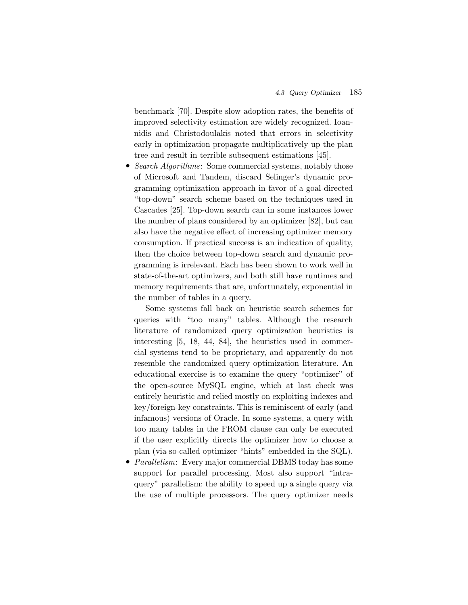benchmark [70]. Despite slow adoption rates, the benefits of improved selectivity estimation are widely recognized. Ioannidis and Christodoulakis noted that errors in selectivity early in optimization propagate multiplicatively up the plan tree and result in terrible subsequent estimations [45].

• *Search Algorithms*: Some commercial systems, notably those of Microsoft and Tandem, discard Selinger's dynamic programming optimization approach in favor of a goal-directed "top-down" search scheme based on the techniques used in Cascades [25]. Top-down search can in some instances lower the number of plans considered by an optimizer [82], but can also have the negative effect of increasing optimizer memory consumption. If practical success is an indication of quality, then the choice between top-down search and dynamic programming is irrelevant. Each has been shown to work well in state-of-the-art optimizers, and both still have runtimes and memory requirements that are, unfortunately, exponential in the number of tables in a query.

Some systems fall back on heuristic search schemes for queries with "too many" tables. Although the research literature of randomized query optimization heuristics is interesting [5, 18, 44, 84], the heuristics used in commercial systems tend to be proprietary, and apparently do not resemble the randomized query optimization literature. An educational exercise is to examine the query "optimizer" of the open-source MySQL engine, which at last check was entirely heuristic and relied mostly on exploiting indexes and key/foreign-key constraints. This is reminiscent of early (and infamous) versions of Oracle. In some systems, a query with too many tables in the FROM clause can only be executed if the user explicitly directs the optimizer how to choose a plan (via so-called optimizer "hints" embedded in the SQL).

• *Parallelism*: Every major commercial DBMS today has some support for parallel processing. Most also support "intraquery" parallelism: the ability to speed up a single query via the use of multiple processors. The query optimizer needs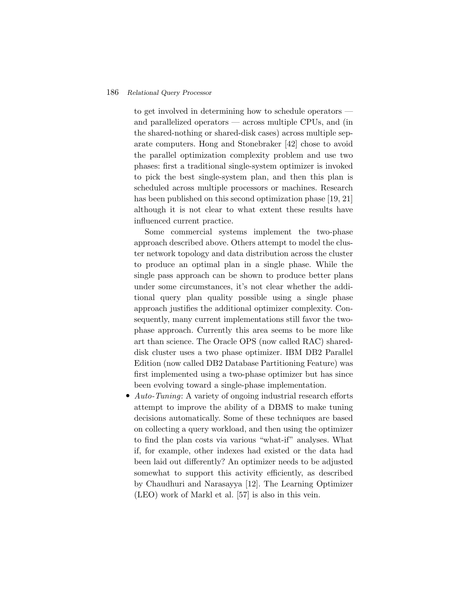to get involved in determining how to schedule operators and parallelized operators — across multiple CPUs, and (in the shared-nothing or shared-disk cases) across multiple separate computers. Hong and Stonebraker [42] chose to avoid the parallel optimization complexity problem and use two phases: first a traditional single-system optimizer is invoked to pick the best single-system plan, and then this plan is scheduled across multiple processors or machines. Research has been published on this second optimization phase [19, 21] although it is not clear to what extent these results have influenced current practice.

Some commercial systems implement the two-phase approach described above. Others attempt to model the cluster network topology and data distribution across the cluster to produce an optimal plan in a single phase. While the single pass approach can be shown to produce better plans under some circumstances, it's not clear whether the additional query plan quality possible using a single phase approach justifies the additional optimizer complexity. Consequently, many current implementations still favor the twophase approach. Currently this area seems to be more like art than science. The Oracle OPS (now called RAC) shareddisk cluster uses a two phase optimizer. IBM DB2 Parallel Edition (now called DB2 Database Partitioning Feature) was first implemented using a two-phase optimizer but has since been evolving toward a single-phase implementation.

• *Auto-Tuning*: A variety of ongoing industrial research efforts attempt to improve the ability of a DBMS to make tuning decisions automatically. Some of these techniques are based on collecting a query workload, and then using the optimizer to find the plan costs via various "what-if" analyses. What if, for example, other indexes had existed or the data had been laid out differently? An optimizer needs to be adjusted somewhat to support this activity efficiently, as described by Chaudhuri and Narasayya [12]. The Learning Optimizer (LEO) work of Markl et al. [57] is also in this vein.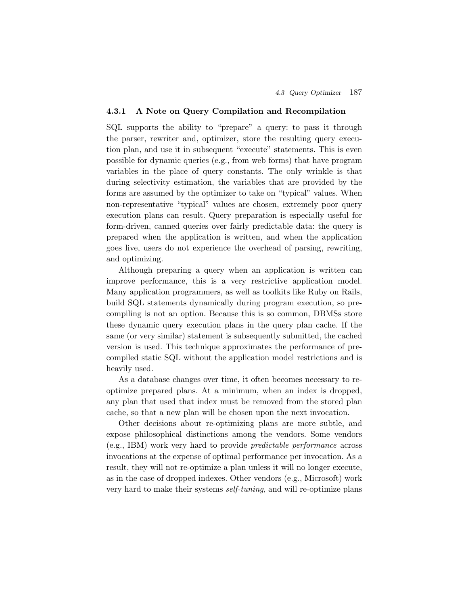# **4.3.1 A Note on Query Compilation and Recompilation**

SQL supports the ability to "prepare" a query: to pass it through the parser, rewriter and, optimizer, store the resulting query execution plan, and use it in subsequent "execute" statements. This is even possible for dynamic queries (e.g., from web forms) that have program variables in the place of query constants. The only wrinkle is that during selectivity estimation, the variables that are provided by the forms are assumed by the optimizer to take on "typical" values. When non-representative "typical" values are chosen, extremely poor query execution plans can result. Query preparation is especially useful for form-driven, canned queries over fairly predictable data: the query is prepared when the application is written, and when the application goes live, users do not experience the overhead of parsing, rewriting, and optimizing.

Although preparing a query when an application is written can improve performance, this is a very restrictive application model. Many application programmers, as well as toolkits like Ruby on Rails, build SQL statements dynamically during program execution, so precompiling is not an option. Because this is so common, DBMSs store these dynamic query execution plans in the query plan cache. If the same (or very similar) statement is subsequently submitted, the cached version is used. This technique approximates the performance of precompiled static SQL without the application model restrictions and is heavily used.

As a database changes over time, it often becomes necessary to reoptimize prepared plans. At a minimum, when an index is dropped, any plan that used that index must be removed from the stored plan cache, so that a new plan will be chosen upon the next invocation.

Other decisions about re-optimizing plans are more subtle, and expose philosophical distinctions among the vendors. Some vendors (e.g., IBM) work very hard to provide *predictable performance* across invocations at the expense of optimal performance per invocation. As a result, they will not re-optimize a plan unless it will no longer execute, as in the case of dropped indexes. Other vendors (e.g., Microsoft) work very hard to make their systems *self-tuning*, and will re-optimize plans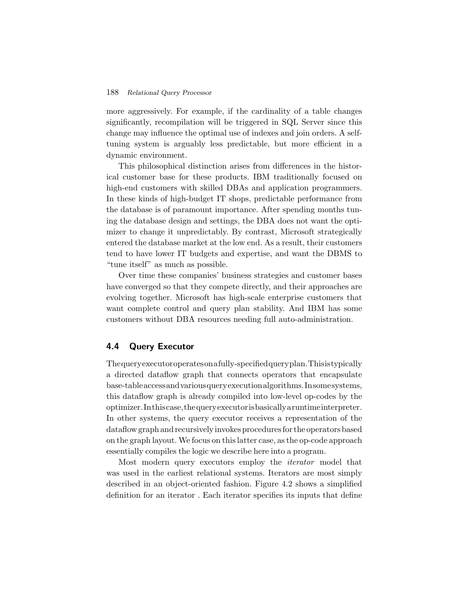more aggressively. For example, if the cardinality of a table changes significantly, recompilation will be triggered in SQL Server since this change may influence the optimal use of indexes and join orders. A selftuning system is arguably less predictable, but more efficient in a dynamic environment.

This philosophical distinction arises from differences in the historical customer base for these products. IBM traditionally focused on high-end customers with skilled DBAs and application programmers. In these kinds of high-budget IT shops, predictable performance from the database is of paramount importance. After spending months tuning the database design and settings, the DBA does not want the optimizer to change it unpredictably. By contrast, Microsoft strategically entered the database market at the low end. As a result, their customers tend to have lower IT budgets and expertise, and want the DBMS to "tune itself" as much as possible.

Over time these companies' business strategies and customer bases have converged so that they compete directly, and their approaches are evolving together. Microsoft has high-scale enterprise customers that want complete control and query plan stability. And IBM has some customers without DBA resources needing full auto-administration.

# **4.4 Query Executor**

Thequeryexecutoroperatesonafully-specifiedqueryplan.Thisistypically a directed dataflow graph that connects operators that encapsulate base-tableaccessandvariousqueryexecutionalgorithms.Insomesystems, this dataflow graph is already compiled into low-level op-codes by the optimizer.Inthiscase,thequeryexecutorisbasicallyaruntimeinterpreter. In other systems, the query executor receives a representation of the dataflow graph and recursivelyinvokes procedures for the operators based on the graph layout. We focus on this latter case, as the op-code approach essentially compiles the logic we describe here into a program.

Most modern query executors employ the *iterator* model that was used in the earliest relational systems. Iterators are most simply described in an object-oriented fashion. Figure 4.2 shows a simplified definition for an iterator . Each iterator specifies its inputs that define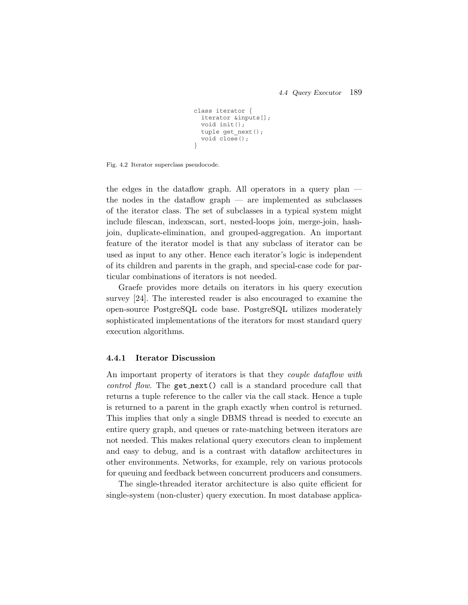*4.4 Query Executor* 189

```
class iterator { 
  iterator &inputs[]; 
  void init(); 
  tuple get next();
  void close(); 
}
```
Fig. 4.2 Iterator superclass pseudocode.

the edges in the dataflow graph. All operators in a query plan  $$ the nodes in the dataflow graph  $-$  are implemented as subclasses of the iterator class. The set of subclasses in a typical system might include filescan, indexscan, sort, nested-loops join, merge-join, hashjoin, duplicate-elimination, and grouped-aggregation. An important feature of the iterator model is that any subclass of iterator can be used as input to any other. Hence each iterator's logic is independent of its children and parents in the graph, and special-case code for particular combinations of iterators is not needed.

Graefe provides more details on iterators in his query execution survey [24]. The interested reader is also encouraged to examine the open-source PostgreSQL code base. PostgreSQL utilizes moderately sophisticated implementations of the iterators for most standard query execution algorithms.

#### **4.4.1 Iterator Discussion**

An important property of iterators is that they *couple dataflow with control flow*. The get next() call is a standard procedure call that returns a tuple reference to the caller via the call stack. Hence a tuple is returned to a parent in the graph exactly when control is returned. This implies that only a single DBMS thread is needed to execute an entire query graph, and queues or rate-matching between iterators are not needed. This makes relational query executors clean to implement and easy to debug, and is a contrast with dataflow architectures in other environments. Networks, for example, rely on various protocols for queuing and feedback between concurrent producers and consumers.

The single-threaded iterator architecture is also quite efficient for single-system (non-cluster) query execution. In most database applica-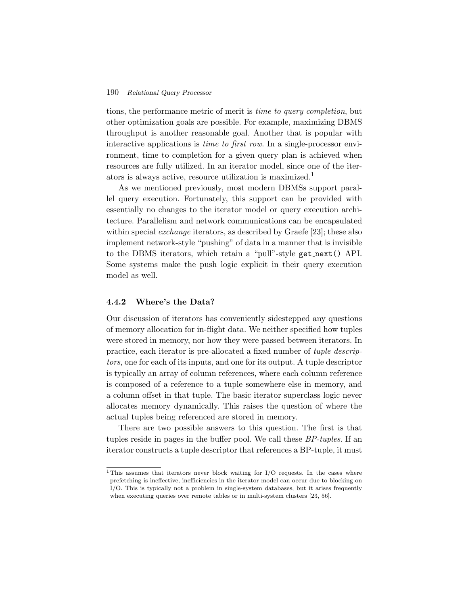tions, the performance metric of merit is *time to query completion*, but other optimization goals are possible. For example, maximizing DBMS throughput is another reasonable goal. Another that is popular with interactive applications is *time to first row*. In a single-processor environment, time to completion for a given query plan is achieved when resources are fully utilized. In an iterator model, since one of the iterators is always active, resource utilization is maximized.<sup>1</sup>

As we mentioned previously, most modern DBMSs support parallel query execution. Fortunately, this support can be provided with essentially no changes to the iterator model or query execution architecture. Parallelism and network communications can be encapsulated within special *exchange* iterators, as described by Graefe [23]; these also implement network-style "pushing" of data in a manner that is invisible to the DBMS iterators, which retain a "pull"-style get next() API. Some systems make the push logic explicit in their query execution model as well.

# **4.4.2 Where's the Data?**

Our discussion of iterators has conveniently sidestepped any questions of memory allocation for in-flight data. We neither specified how tuples were stored in memory, nor how they were passed between iterators. In practice, each iterator is pre-allocated a fixed number of *tuple descriptors*, one for each of its inputs, and one for its output. A tuple descriptor is typically an array of column references, where each column reference is composed of a reference to a tuple somewhere else in memory, and a column offset in that tuple. The basic iterator superclass logic never allocates memory dynamically. This raises the question of where the actual tuples being referenced are stored in memory.

There are two possible answers to this question. The first is that tuples reside in pages in the buffer pool. We call these *BP-tuples*. If an iterator constructs a tuple descriptor that references a BP-tuple, it must

<sup>&</sup>lt;sup>1</sup>This assumes that iterators never block waiting for I/O requests. In the cases where prefetching is ineffective, inefficiencies in the iterator model can occur due to blocking on I/O. This is typically not a problem in single-system databases, but it arises frequently when executing queries over remote tables or in multi-system clusters [23, 56].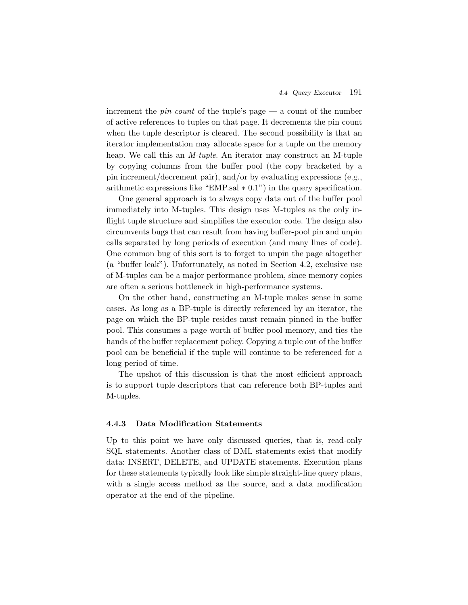increment the *pin count* of the tuple's page — a count of the number of active references to tuples on that page. It decrements the pin count when the tuple descriptor is cleared. The second possibility is that an iterator implementation may allocate space for a tuple on the memory heap. We call this an *M-tuple*. An iterator may construct an M-tuple by copying columns from the buffer pool (the copy bracketed by a pin increment/decrement pair), and/or by evaluating expressions (e.g., arithmetic expressions like "EMP.sal  $*$  0.1") in the query specification.

One general approach is to always copy data out of the buffer pool immediately into M-tuples. This design uses M-tuples as the only inflight tuple structure and simplifies the executor code. The design also circumvents bugs that can result from having buffer-pool pin and unpin calls separated by long periods of execution (and many lines of code). One common bug of this sort is to forget to unpin the page altogether (a "buffer leak"). Unfortunately, as noted in Section 4.2, exclusive use of M-tuples can be a major performance problem, since memory copies are often a serious bottleneck in high-performance systems.

On the other hand, constructing an M-tuple makes sense in some cases. As long as a BP-tuple is directly referenced by an iterator, the page on which the BP-tuple resides must remain pinned in the buffer pool. This consumes a page worth of buffer pool memory, and ties the hands of the buffer replacement policy. Copying a tuple out of the buffer pool can be beneficial if the tuple will continue to be referenced for a long period of time.

The upshot of this discussion is that the most efficient approach is to support tuple descriptors that can reference both BP-tuples and M-tuples.

# **4.4.3 Data Modification Statements**

Up to this point we have only discussed queries, that is, read-only SQL statements. Another class of DML statements exist that modify data: INSERT, DELETE, and UPDATE statements. Execution plans for these statements typically look like simple straight-line query plans, with a single access method as the source, and a data modification operator at the end of the pipeline.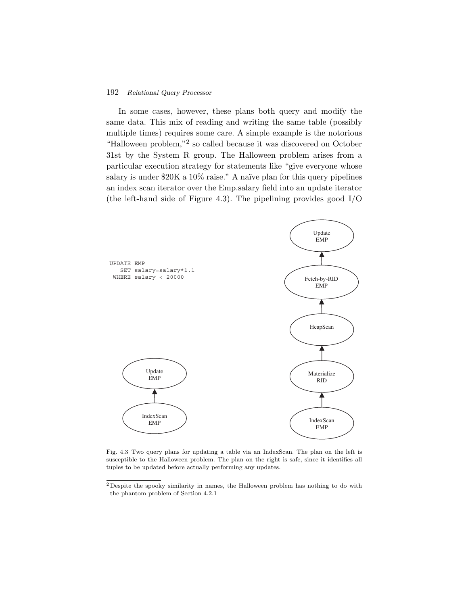In some cases, however, these plans both query and modify the same data. This mix of reading and writing the same table (possibly multiple times) requires some care. A simple example is the notorious "Halloween problem,"<sup>2</sup> so called because it was discovered on October 31st by the System R group. The Halloween problem arises from a particular execution strategy for statements like "give everyone whose salary is under  $$20K a 10\%$  raise." A naïve plan for this query pipelines an index scan iterator over the Emp.salary field into an update iterator (the left-hand side of Figure 4.3). The pipelining provides good I/O



Fig. 4.3 Two query plans for updating a table via an IndexScan. The plan on the left is susceptible to the Halloween problem. The plan on the right is safe, since it identifies all tuples to be updated before actually performing any updates.

 $2$  Despite the spooky similarity in names, the Halloween problem has nothing to do with the phantom problem of Section 4.2.1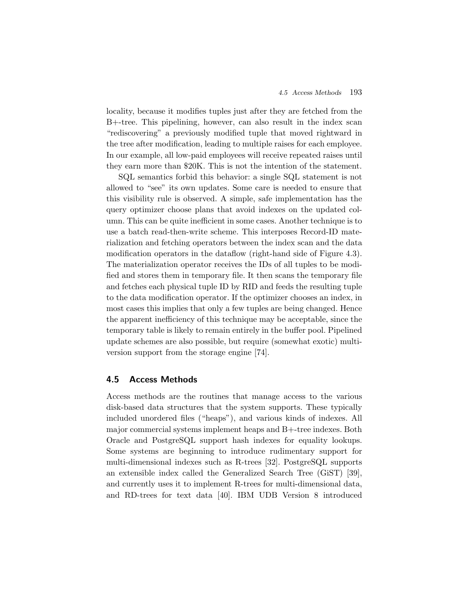#### *4.5 Access Methods* 193

locality, because it modifies tuples just after they are fetched from the B+-tree. This pipelining, however, can also result in the index scan "rediscovering" a previously modified tuple that moved rightward in the tree after modification, leading to multiple raises for each employee. In our example, all low-paid employees will receive repeated raises until they earn more than \$20K. This is not the intention of the statement.

SQL semantics forbid this behavior: a single SQL statement is not allowed to "see" its own updates. Some care is needed to ensure that this visibility rule is observed. A simple, safe implementation has the query optimizer choose plans that avoid indexes on the updated column. This can be quite inefficient in some cases. Another technique is to use a batch read-then-write scheme. This interposes Record-ID materialization and fetching operators between the index scan and the data modification operators in the dataflow (right-hand side of Figure 4.3). The materialization operator receives the IDs of all tuples to be modified and stores them in temporary file. It then scans the temporary file and fetches each physical tuple ID by RID and feeds the resulting tuple to the data modification operator. If the optimizer chooses an index, in most cases this implies that only a few tuples are being changed. Hence the apparent inefficiency of this technique may be acceptable, since the temporary table is likely to remain entirely in the buffer pool. Pipelined update schemes are also possible, but require (somewhat exotic) multiversion support from the storage engine [74].

# **4.5 Access Methods**

Access methods are the routines that manage access to the various disk-based data structures that the system supports. These typically included unordered files ("heaps"), and various kinds of indexes. All major commercial systems implement heaps and B+-tree indexes. Both Oracle and PostgreSQL support hash indexes for equality lookups. Some systems are beginning to introduce rudimentary support for multi-dimensional indexes such as R-trees [32]. PostgreSQL supports an extensible index called the Generalized Search Tree (GiST) [39], and currently uses it to implement R-trees for multi-dimensional data, and RD-trees for text data [40]. IBM UDB Version 8 introduced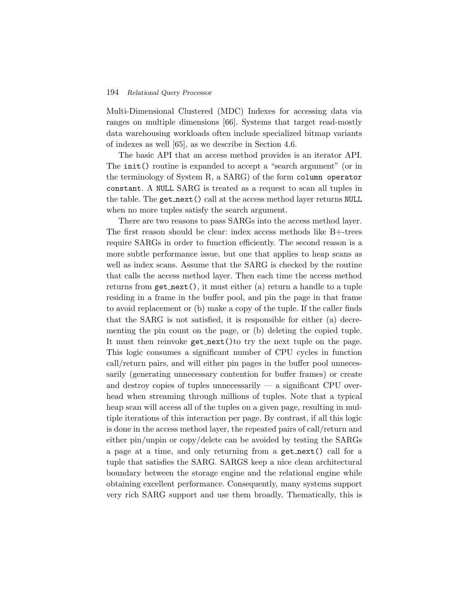Multi-Dimensional Clustered (MDC) Indexes for accessing data via ranges on multiple dimensions [66]. Systems that target read-mostly data warehousing workloads often include specialized bitmap variants of indexes as well [65], as we describe in Section 4.6.

The basic API that an access method provides is an iterator API. The init() routine is expanded to accept a "search argument" (or in the terminology of System R, a SARG) of the form column operator constant. A NULL SARG is treated as a request to scan all tuples in the table. The get\_next() call at the access method layer returns NULL when no more tuples satisfy the search argument.

There are two reasons to pass SARGs into the access method layer. The first reason should be clear: index access methods like B+-trees require SARGs in order to function efficiently. The second reason is a more subtle performance issue, but one that applies to heap scans as well as index scans. Assume that the SARG is checked by the routine that calls the access method layer. Then each time the access method returns from  $get\_next()$ , it must either (a) return a handle to a tuple residing in a frame in the buffer pool, and pin the page in that frame to avoid replacement or (b) make a copy of the tuple. If the caller finds that the SARG is not satisfied, it is responsible for either (a) decrementing the pin count on the page, or (b) deleting the copied tuple. It must then reinvoke get next()to try the next tuple on the page. This logic consumes a significant number of CPU cycles in function call/return pairs, and will either pin pages in the buffer pool unnecessarily (generating unnecessary contention for buffer frames) or create and destroy copies of tuples unnecessarily  $-$  a significant CPU overhead when streaming through millions of tuples. Note that a typical heap scan will access all of the tuples on a given page, resulting in multiple iterations of this interaction per page. By contrast, if all this logic is done in the access method layer, the repeated pairs of call/return and either pin/unpin or copy/delete can be avoided by testing the SARGs a page at a time, and only returning from a get next() call for a tuple that satisfies the SARG. SARGS keep a nice clean architectural boundary between the storage engine and the relational engine while obtaining excellent performance. Consequently, many systems support very rich SARG support and use them broadly. Thematically, this is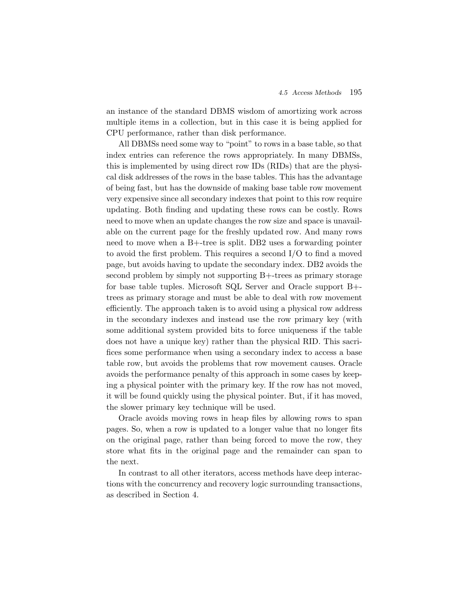an instance of the standard DBMS wisdom of amortizing work across multiple items in a collection, but in this case it is being applied for CPU performance, rather than disk performance.

All DBMSs need some way to "point" to rows in a base table, so that index entries can reference the rows appropriately. In many DBMSs, this is implemented by using direct row IDs (RIDs) that are the physical disk addresses of the rows in the base tables. This has the advantage of being fast, but has the downside of making base table row movement very expensive since all secondary indexes that point to this row require updating. Both finding and updating these rows can be costly. Rows need to move when an update changes the row size and space is unavailable on the current page for the freshly updated row. And many rows need to move when a B+-tree is split. DB2 uses a forwarding pointer to avoid the first problem. This requires a second I/O to find a moved page, but avoids having to update the secondary index. DB2 avoids the second problem by simply not supporting B+-trees as primary storage for base table tuples. Microsoft SQL Server and Oracle support B+ trees as primary storage and must be able to deal with row movement efficiently. The approach taken is to avoid using a physical row address in the secondary indexes and instead use the row primary key (with some additional system provided bits to force uniqueness if the table does not have a unique key) rather than the physical RID. This sacrifices some performance when using a secondary index to access a base table row, but avoids the problems that row movement causes. Oracle avoids the performance penalty of this approach in some cases by keeping a physical pointer with the primary key. If the row has not moved, it will be found quickly using the physical pointer. But, if it has moved, the slower primary key technique will be used.

Oracle avoids moving rows in heap files by allowing rows to span pages. So, when a row is updated to a longer value that no longer fits on the original page, rather than being forced to move the row, they store what fits in the original page and the remainder can span to the next.

In contrast to all other iterators, access methods have deep interactions with the concurrency and recovery logic surrounding transactions, as described in Section 4.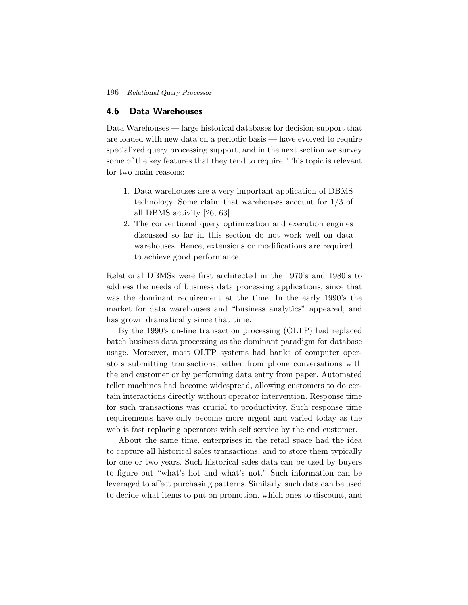# **4.6 Data Warehouses**

Data Warehouses — large historical databases for decision-support that are loaded with new data on a periodic basis — have evolved to require specialized query processing support, and in the next section we survey some of the key features that they tend to require. This topic is relevant for two main reasons:

- 1. Data warehouses are a very important application of DBMS technology. Some claim that warehouses account for 1/3 of all DBMS activity [26, 63].
- 2. The conventional query optimization and execution engines discussed so far in this section do not work well on data warehouses. Hence, extensions or modifications are required to achieve good performance.

Relational DBMSs were first architected in the 1970's and 1980's to address the needs of business data processing applications, since that was the dominant requirement at the time. In the early 1990's the market for data warehouses and "business analytics" appeared, and has grown dramatically since that time.

By the 1990's on-line transaction processing (OLTP) had replaced batch business data processing as the dominant paradigm for database usage. Moreover, most OLTP systems had banks of computer operators submitting transactions, either from phone conversations with the end customer or by performing data entry from paper. Automated teller machines had become widespread, allowing customers to do certain interactions directly without operator intervention. Response time for such transactions was crucial to productivity. Such response time requirements have only become more urgent and varied today as the web is fast replacing operators with self service by the end customer.

About the same time, enterprises in the retail space had the idea to capture all historical sales transactions, and to store them typically for one or two years. Such historical sales data can be used by buyers to figure out "what's hot and what's not." Such information can be leveraged to affect purchasing patterns. Similarly, such data can be used to decide what items to put on promotion, which ones to discount, and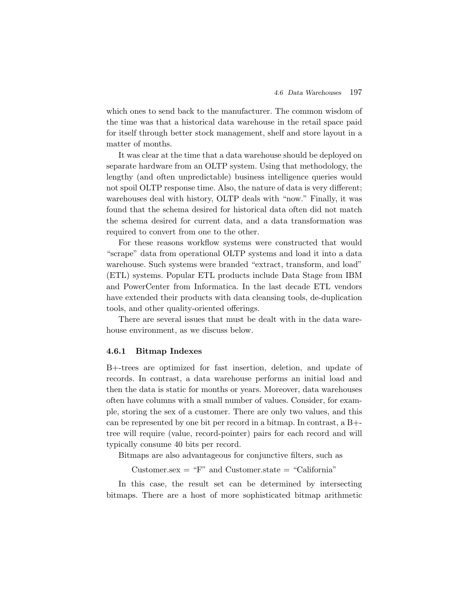which ones to send back to the manufacturer. The common wisdom of the time was that a historical data warehouse in the retail space paid for itself through better stock management, shelf and store layout in a matter of months.

It was clear at the time that a data warehouse should be deployed on separate hardware from an OLTP system. Using that methodology, the lengthy (and often unpredictable) business intelligence queries would not spoil OLTP response time. Also, the nature of data is very different; warehouses deal with history, OLTP deals with "now." Finally, it was found that the schema desired for historical data often did not match the schema desired for current data, and a data transformation was required to convert from one to the other.

For these reasons workflow systems were constructed that would "scrape" data from operational OLTP systems and load it into a data warehouse. Such systems were branded "extract, transform, and load" (ETL) systems. Popular ETL products include Data Stage from IBM and PowerCenter from Informatica. In the last decade ETL vendors have extended their products with data cleansing tools, de-duplication tools, and other quality-oriented offerings.

There are several issues that must be dealt with in the data warehouse environment, as we discuss below.

# **4.6.1 Bitmap Indexes**

B+-trees are optimized for fast insertion, deletion, and update of records. In contrast, a data warehouse performs an initial load and then the data is static for months or years. Moreover, data warehouses often have columns with a small number of values. Consider, for example, storing the sex of a customer. There are only two values, and this can be represented by one bit per record in a bitmap. In contrast, a B+ tree will require (value, record-pointer) pairs for each record and will typically consume 40 bits per record.

Bitmaps are also advantageous for conjunctive filters, such as

Customer.sex = " $F$ " and Customer.state = "California"

In this case, the result set can be determined by intersecting bitmaps. There are a host of more sophisticated bitmap arithmetic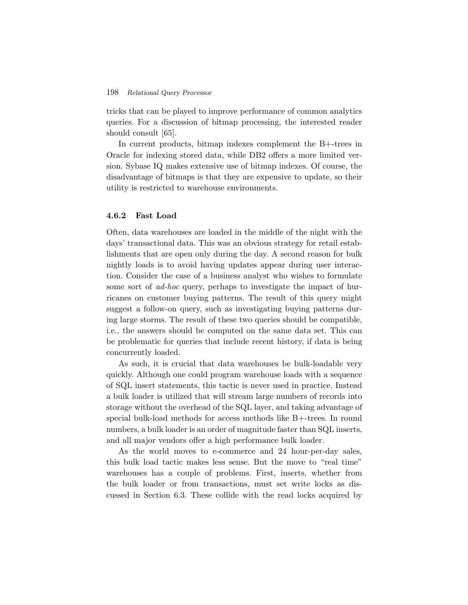tricks that can be played to improve performance of common analytics queries. For a discussion of bitmap processing, the interested reader should consult [65].

In current products, bitmap indexes complement the B+-trees in Oracle for indexing stored data, while DB2 offers a more limited version. Sybase IQ makes extensive use of bitmap indexes. Of course, the disadvantage of bitmaps is that they are expensive to update, so their utility is restricted to warehouse environments.

#### **4.6.2 Fast Load**

Often, data warehouses are loaded in the middle of the night with the days' transactional data. This was an obvious strategy for retail establishments that are open only during the day. A second reason for bulk nightly loads is to avoid having updates appear during user interaction. Consider the case of a business analyst who wishes to formulate some sort of *ad-hoc* query, perhaps to investigate the impact of hurricanes on customer buying patterns. The result of this query might suggest a follow-on query, such as investigating buying patterns during large storms. The result of these two queries should be compatible, i.e., the answers should be computed on the same data set. This can be problematic for queries that include recent history, if data is being concurrently loaded.

As such, it is crucial that data warehouses be bulk-loadable very quickly. Although one could program warehouse loads with a sequence of SQL insert statements, this tactic is never used in practice. Instead a bulk loader is utilized that will stream large numbers of records into storage without the overhead of the SQL layer, and taking advantage of special bulk-load methods for access methods like B+-trees. In round numbers, a bulk loader is an order of magnitude faster than SQL inserts, and all major vendors offer a high performance bulk loader.

As the world moves to e-commerce and 24 hour-per-day sales, this bulk load tactic makes less sense. But the move to "real time" warehouses has a couple of problems. First, inserts, whether from the bulk loader or from transactions, must set write locks as discussed in Section 6.3. These collide with the read locks acquired by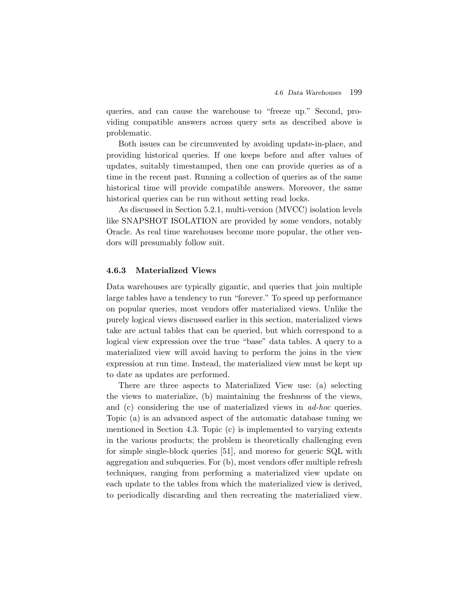queries, and can cause the warehouse to "freeze up." Second, providing compatible answers across query sets as described above is problematic.

Both issues can be circumvented by avoiding update-in-place, and providing historical queries. If one keeps before and after values of updates, suitably timestamped, then one can provide queries as of a time in the recent past. Running a collection of queries as of the same historical time will provide compatible answers. Moreover, the same historical queries can be run without setting read locks.

As discussed in Section 5.2.1, multi-version (MVCC) isolation levels like SNAPSHOT ISOLATION are provided by some vendors, notably Oracle. As real time warehouses become more popular, the other vendors will presumably follow suit.

# **4.6.3 Materialized Views**

Data warehouses are typically gigantic, and queries that join multiple large tables have a tendency to run "forever." To speed up performance on popular queries, most vendors offer materialized views. Unlike the purely logical views discussed earlier in this section, materialized views take are actual tables that can be queried, but which correspond to a logical view expression over the true "base" data tables. A query to a materialized view will avoid having to perform the joins in the view expression at run time. Instead, the materialized view must be kept up to date as updates are performed.

There are three aspects to Materialized View use: (a) selecting the views to materialize, (b) maintaining the freshness of the views, and (c) considering the use of materialized views in *ad-hoc* queries. Topic (a) is an advanced aspect of the automatic database tuning we mentioned in Section 4.3. Topic (c) is implemented to varying extents in the various products; the problem is theoretically challenging even for simple single-block queries [51], and moreso for generic SQL with aggregation and subqueries. For (b), most vendors offer multiple refresh techniques, ranging from performing a materialized view update on each update to the tables from which the materialized view is derived, to periodically discarding and then recreating the materialized view.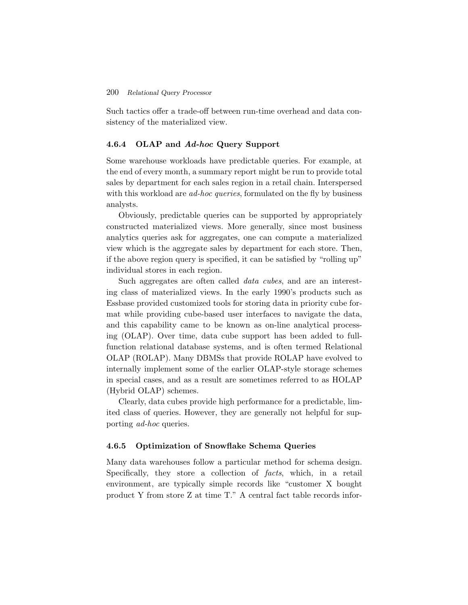Such tactics offer a trade-off between run-time overhead and data consistency of the materialized view.

# **4.6.4 OLAP and** *Ad-hoc* **Query Support**

Some warehouse workloads have predictable queries. For example, at the end of every month, a summary report might be run to provide total sales by department for each sales region in a retail chain. Interspersed with this workload are *ad-hoc queries*, formulated on the fly by business analysts.

Obviously, predictable queries can be supported by appropriately constructed materialized views. More generally, since most business analytics queries ask for aggregates, one can compute a materialized view which is the aggregate sales by department for each store. Then, if the above region query is specified, it can be satisfied by "rolling up" individual stores in each region.

Such aggregates are often called *data cubes*, and are an interesting class of materialized views. In the early 1990's products such as Essbase provided customized tools for storing data in priority cube format while providing cube-based user interfaces to navigate the data, and this capability came to be known as on-line analytical processing (OLAP). Over time, data cube support has been added to fullfunction relational database systems, and is often termed Relational OLAP (ROLAP). Many DBMSs that provide ROLAP have evolved to internally implement some of the earlier OLAP-style storage schemes in special cases, and as a result are sometimes referred to as HOLAP (Hybrid OLAP) schemes.

Clearly, data cubes provide high performance for a predictable, limited class of queries. However, they are generally not helpful for supporting *ad-hoc* queries.

# **4.6.5 Optimization of Snowflake Schema Queries**

Many data warehouses follow a particular method for schema design. Specifically, they store a collection of *facts*, which, in a retail environment, are typically simple records like "customer X bought product Y from store Z at time T." A central fact table records infor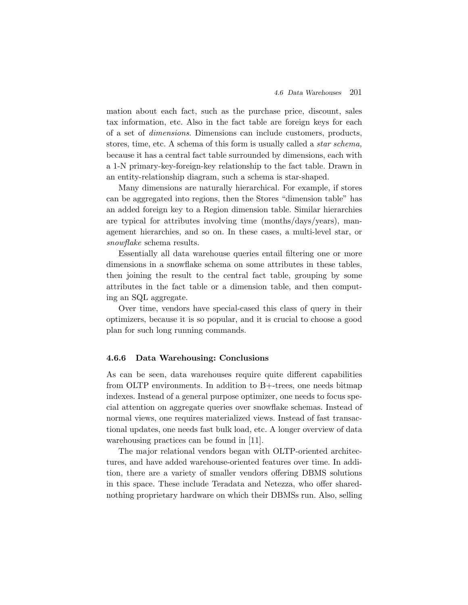mation about each fact, such as the purchase price, discount, sales tax information, etc. Also in the fact table are foreign keys for each of a set of *dimensions*. Dimensions can include customers, products, stores, time, etc. A schema of this form is usually called a *star schema,* because it has a central fact table surrounded by dimensions, each with a 1-N primary-key-foreign-key relationship to the fact table. Drawn in an entity-relationship diagram, such a schema is star-shaped.

Many dimensions are naturally hierarchical. For example, if stores can be aggregated into regions, then the Stores "dimension table" has an added foreign key to a Region dimension table. Similar hierarchies are typical for attributes involving time (months/days/years), management hierarchies, and so on. In these cases, a multi-level star, or *snowflake* schema results.

Essentially all data warehouse queries entail filtering one or more dimensions in a snowflake schema on some attributes in these tables, then joining the result to the central fact table, grouping by some attributes in the fact table or a dimension table, and then computing an SQL aggregate.

Over time, vendors have special-cased this class of query in their optimizers, because it is so popular, and it is crucial to choose a good plan for such long running commands.

#### **4.6.6 Data Warehousing: Conclusions**

As can be seen, data warehouses require quite different capabilities from OLTP environments. In addition to B+-trees, one needs bitmap indexes. Instead of a general purpose optimizer, one needs to focus special attention on aggregate queries over snowflake schemas. Instead of normal views, one requires materialized views. Instead of fast transactional updates, one needs fast bulk load, etc. A longer overview of data warehousing practices can be found in [11].

The major relational vendors began with OLTP-oriented architectures, and have added warehouse-oriented features over time. In addition, there are a variety of smaller vendors offering DBMS solutions in this space. These include Teradata and Netezza, who offer sharednothing proprietary hardware on which their DBMSs run. Also, selling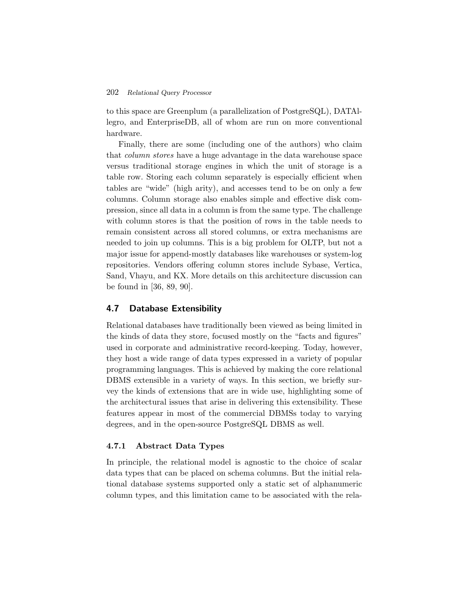to this space are Greenplum (a parallelization of PostgreSQL), DATAllegro, and EnterpriseDB, all of whom are run on more conventional hardware.

Finally, there are some (including one of the authors) who claim that *column stores* have a huge advantage in the data warehouse space versus traditional storage engines in which the unit of storage is a table row. Storing each column separately is especially efficient when tables are "wide" (high arity), and accesses tend to be on only a few columns. Column storage also enables simple and effective disk compression, since all data in a column is from the same type. The challenge with column stores is that the position of rows in the table needs to remain consistent across all stored columns, or extra mechanisms are needed to join up columns. This is a big problem for OLTP, but not a major issue for append-mostly databases like warehouses or system-log repositories. Vendors offering column stores include Sybase, Vertica, Sand, Vhayu, and KX. More details on this architecture discussion can be found in [36, 89, 90].

# **4.7 Database Extensibility**

Relational databases have traditionally been viewed as being limited in the kinds of data they store, focused mostly on the "facts and figures" used in corporate and administrative record-keeping. Today, however, they host a wide range of data types expressed in a variety of popular programming languages. This is achieved by making the core relational DBMS extensible in a variety of ways. In this section, we briefly survey the kinds of extensions that are in wide use, highlighting some of the architectural issues that arise in delivering this extensibility. These features appear in most of the commercial DBMSs today to varying degrees, and in the open-source PostgreSQL DBMS as well.

# **4.7.1 Abstract Data Types**

In principle, the relational model is agnostic to the choice of scalar data types that can be placed on schema columns. But the initial relational database systems supported only a static set of alphanumeric column types, and this limitation came to be associated with the rela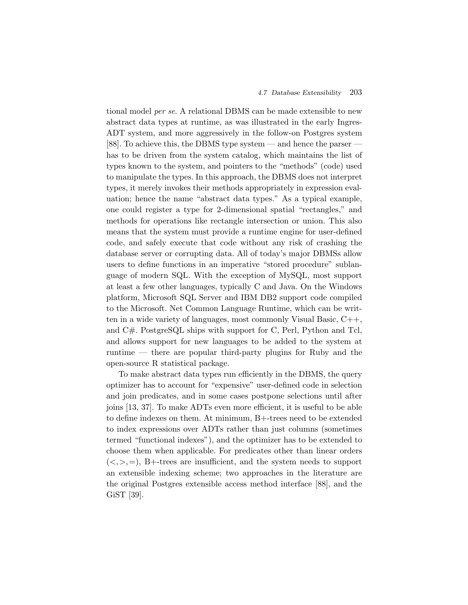tional model *per se*. A relational DBMS can be made extensible to new abstract data types at runtime, as was illustrated in the early Ingres-ADT system, and more aggressively in the follow-on Postgres system [88]. To achieve this, the DBMS type system — and hence the parser has to be driven from the system catalog, which maintains the list of types known to the system, and pointers to the "methods" (code) used to manipulate the types. In this approach, the DBMS does not interpret types, it merely invokes their methods appropriately in expression evaluation; hence the name "abstract data types." As a typical example, one could register a type for 2-dimensional spatial "rectangles," and methods for operations like rectangle intersection or union. This also means that the system must provide a runtime engine for user-defined code, and safely execute that code without any risk of crashing the database server or corrupting data. All of today's major DBMSs allow users to define functions in an imperative "stored procedure" sublanguage of modern SQL. With the exception of MySQL, most support at least a few other languages, typically C and Java. On the Windows platform, Microsoft SQL Server and IBM DB2 support code compiled to the Microsoft. Net Common Language Runtime, which can be written in a wide variety of languages, most commonly Visual Basic, C++, and  $C#$ . PostgreSQL ships with support for C, Perl, Python and Tcl, and allows support for new languages to be added to the system at runtime — there are popular third-party plugins for Ruby and the open-source R statistical package.

To make abstract data types run efficiently in the DBMS, the query optimizer has to account for "expensive" user-defined code in selection and join predicates, and in some cases postpone selections until after joins [13, 37]. To make ADTs even more efficient, it is useful to be able to define indexes on them. At minimum, B+-trees need to be extended to index expressions over ADTs rather than just columns (sometimes termed "functional indexes"), and the optimizer has to be extended to choose them when applicable. For predicates other than linear orders  $(<,>,=$ ), B+-trees are insufficient, and the system needs to support an extensible indexing scheme; two approaches in the literature are the original Postgres extensible access method interface [88], and the GiST [39].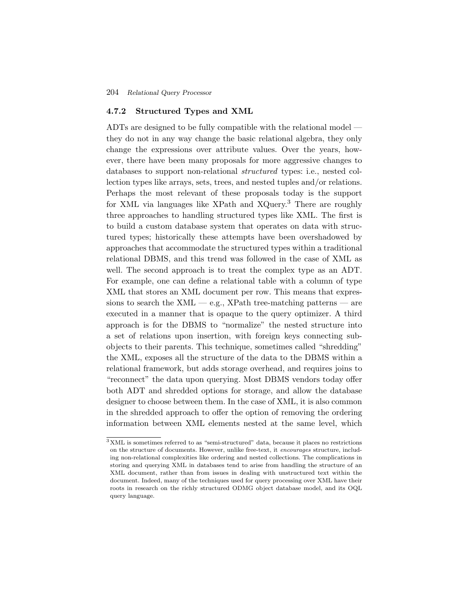# **4.7.2 Structured Types and XML**

ADTs are designed to be fully compatible with the relational model they do not in any way change the basic relational algebra, they only change the expressions over attribute values. Over the years, however, there have been many proposals for more aggressive changes to databases to support non-relational *structured* types: i.e., nested collection types like arrays, sets, trees, and nested tuples and/or relations. Perhaps the most relevant of these proposals today is the support for XML via languages like XPath and XQuery.<sup>3</sup> There are roughly three approaches to handling structured types like XML. The first is to build a custom database system that operates on data with structured types; historically these attempts have been overshadowed by approaches that accommodate the structured types within a traditional relational DBMS, and this trend was followed in the case of XML as well. The second approach is to treat the complex type as an ADT. For example, one can define a relational table with a column of type XML that stores an XML document per row. This means that expressions to search the  $XML - e.g., XPath tree-matching patterns - are$ executed in a manner that is opaque to the query optimizer. A third approach is for the DBMS to "normalize" the nested structure into a set of relations upon insertion, with foreign keys connecting subobjects to their parents. This technique, sometimes called "shredding" the XML, exposes all the structure of the data to the DBMS within a relational framework, but adds storage overhead, and requires joins to "reconnect" the data upon querying. Most DBMS vendors today offer both ADT and shredded options for storage, and allow the database designer to choose between them. In the case of XML, it is also common in the shredded approach to offer the option of removing the ordering information between XML elements nested at the same level, which

<sup>3</sup> XML is sometimes referred to as "semi-structured" data, because it places no restrictions on the structure of documents. However, unlike free-text, it encourages structure, including non-relational complexities like ordering and nested collections. The complications in storing and querying XML in databases tend to arise from handling the structure of an XML document, rather than from issues in dealing with unstructured text within the document. Indeed, many of the techniques used for query processing over XML have their roots in research on the richly structured ODMG object database model, and its OQL query language.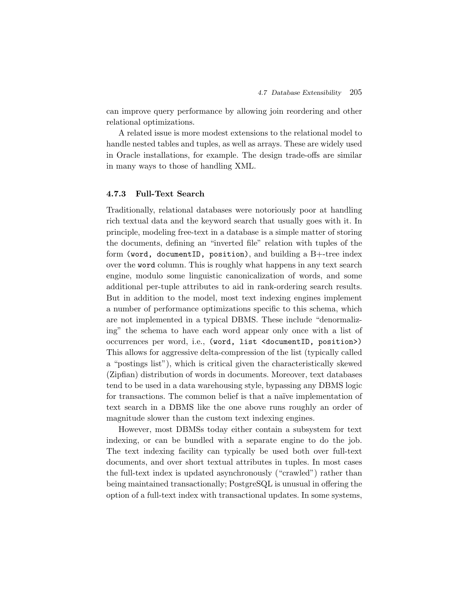can improve query performance by allowing join reordering and other relational optimizations.

A related issue is more modest extensions to the relational model to handle nested tables and tuples, as well as arrays. These are widely used in Oracle installations, for example. The design trade-offs are similar in many ways to those of handling XML.

# **4.7.3 Full-Text Search**

Traditionally, relational databases were notoriously poor at handling rich textual data and the keyword search that usually goes with it. In principle, modeling free-text in a database is a simple matter of storing the documents, defining an "inverted file" relation with tuples of the form (word, documentID, position), and building a B+-tree index over the word column. This is roughly what happens in any text search engine, modulo some linguistic canonicalization of words, and some additional per-tuple attributes to aid in rank-ordering search results. But in addition to the model, most text indexing engines implement a number of performance optimizations specific to this schema, which are not implemented in a typical DBMS. These include "denormalizing" the schema to have each word appear only once with a list of occurrences per word, i.e., (word, list <documentID, position>) This allows for aggressive delta-compression of the list (typically called a "postings list"), which is critical given the characteristically skewed (Zipfian) distribution of words in documents. Moreover, text databases tend to be used in a data warehousing style, bypassing any DBMS logic for transactions. The common belief is that a naïve implementation of text search in a DBMS like the one above runs roughly an order of magnitude slower than the custom text indexing engines.

However, most DBMSs today either contain a subsystem for text indexing, or can be bundled with a separate engine to do the job. The text indexing facility can typically be used both over full-text documents, and over short textual attributes in tuples. In most cases the full-text index is updated asynchronously ("crawled") rather than being maintained transactionally; PostgreSQL is unusual in offering the option of a full-text index with transactional updates. In some systems,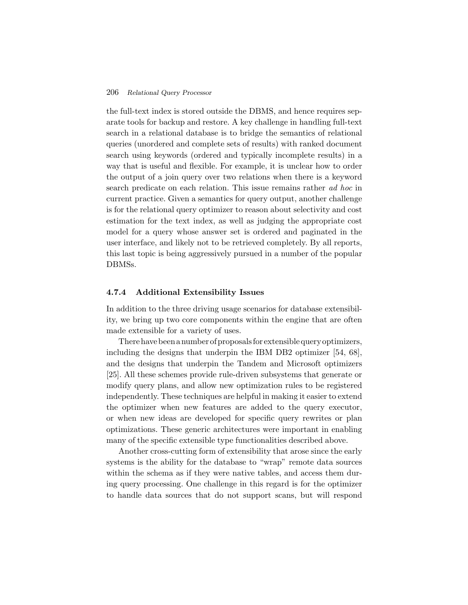the full-text index is stored outside the DBMS, and hence requires separate tools for backup and restore. A key challenge in handling full-text search in a relational database is to bridge the semantics of relational queries (unordered and complete sets of results) with ranked document search using keywords (ordered and typically incomplete results) in a way that is useful and flexible. For example, it is unclear how to order the output of a join query over two relations when there is a keyword search predicate on each relation. This issue remains rather *ad hoc* in current practice. Given a semantics for query output, another challenge is for the relational query optimizer to reason about selectivity and cost estimation for the text index, as well as judging the appropriate cost model for a query whose answer set is ordered and paginated in the user interface, and likely not to be retrieved completely. By all reports, this last topic is being aggressively pursued in a number of the popular DBMSs.

# **4.7.4 Additional Extensibility Issues**

In addition to the three driving usage scenarios for database extensibility, we bring up two core components within the engine that are often made extensible for a variety of uses.

There have been a number of proposals for extensible query optimizers, including the designs that underpin the IBM DB2 optimizer [54, 68], and the designs that underpin the Tandem and Microsoft optimizers [25]. All these schemes provide rule-driven subsystems that generate or modify query plans, and allow new optimization rules to be registered independently. These techniques are helpful in making it easier to extend the optimizer when new features are added to the query executor, or when new ideas are developed for specific query rewrites or plan optimizations. These generic architectures were important in enabling many of the specific extensible type functionalities described above.

Another cross-cutting form of extensibility that arose since the early systems is the ability for the database to "wrap" remote data sources within the schema as if they were native tables, and access them during query processing. One challenge in this regard is for the optimizer to handle data sources that do not support scans, but will respond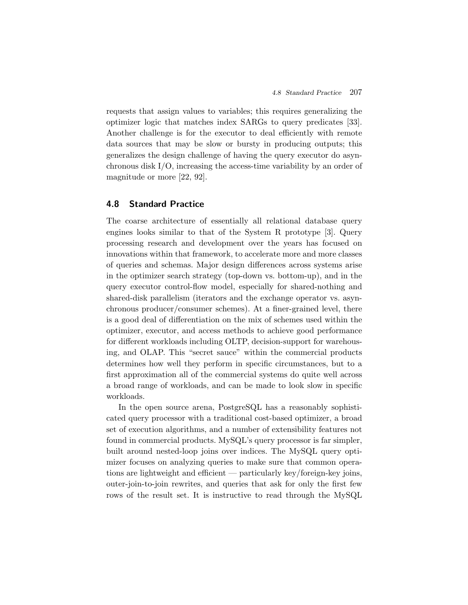requests that assign values to variables; this requires generalizing the optimizer logic that matches index SARGs to query predicates [33]. Another challenge is for the executor to deal efficiently with remote data sources that may be slow or bursty in producing outputs; this generalizes the design challenge of having the query executor do asynchronous disk I/O, increasing the access-time variability by an order of magnitude or more [22, 92].

# **4.8 Standard Practice**

The coarse architecture of essentially all relational database query engines looks similar to that of the System R prototype [3]. Query processing research and development over the years has focused on innovations within that framework, to accelerate more and more classes of queries and schemas. Major design differences across systems arise in the optimizer search strategy (top-down vs. bottom-up), and in the query executor control-flow model, especially for shared-nothing and shared-disk parallelism (iterators and the exchange operator vs. asynchronous producer/consumer schemes). At a finer-grained level, there is a good deal of differentiation on the mix of schemes used within the optimizer, executor, and access methods to achieve good performance for different workloads including OLTP, decision-support for warehousing, and OLAP. This "secret sauce" within the commercial products determines how well they perform in specific circumstances, but to a first approximation all of the commercial systems do quite well across a broad range of workloads, and can be made to look slow in specific workloads.

In the open source arena, PostgreSQL has a reasonably sophisticated query processor with a traditional cost-based optimizer, a broad set of execution algorithms, and a number of extensibility features not found in commercial products. MySQL's query processor is far simpler, built around nested-loop joins over indices. The MySQL query optimizer focuses on analyzing queries to make sure that common operations are lightweight and efficient — particularly key/foreign-key joins, outer-join-to-join rewrites, and queries that ask for only the first few rows of the result set. It is instructive to read through the MySQL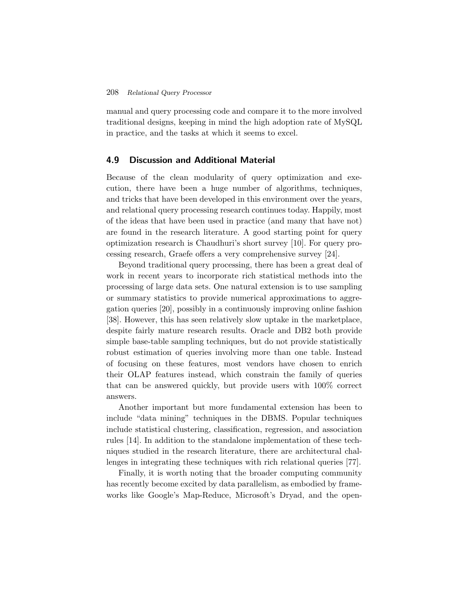manual and query processing code and compare it to the more involved traditional designs, keeping in mind the high adoption rate of MySQL in practice, and the tasks at which it seems to excel.

# **4.9 Discussion and Additional Material**

Because of the clean modularity of query optimization and execution, there have been a huge number of algorithms, techniques, and tricks that have been developed in this environment over the years, and relational query processing research continues today. Happily, most of the ideas that have been used in practice (and many that have not) are found in the research literature. A good starting point for query optimization research is Chaudhuri's short survey [10]. For query processing research, Graefe offers a very comprehensive survey [24].

Beyond traditional query processing, there has been a great deal of work in recent years to incorporate rich statistical methods into the processing of large data sets. One natural extension is to use sampling or summary statistics to provide numerical approximations to aggregation queries [20], possibly in a continuously improving online fashion [38]. However, this has seen relatively slow uptake in the marketplace, despite fairly mature research results. Oracle and DB2 both provide simple base-table sampling techniques, but do not provide statistically robust estimation of queries involving more than one table. Instead of focusing on these features, most vendors have chosen to enrich their OLAP features instead, which constrain the family of queries that can be answered quickly, but provide users with 100% correct answers.

Another important but more fundamental extension has been to include "data mining" techniques in the DBMS. Popular techniques include statistical clustering, classification, regression, and association rules [14]. In addition to the standalone implementation of these techniques studied in the research literature, there are architectural challenges in integrating these techniques with rich relational queries [77].

Finally, it is worth noting that the broader computing community has recently become excited by data parallelism, as embodied by frameworks like Google's Map-Reduce, Microsoft's Dryad, and the open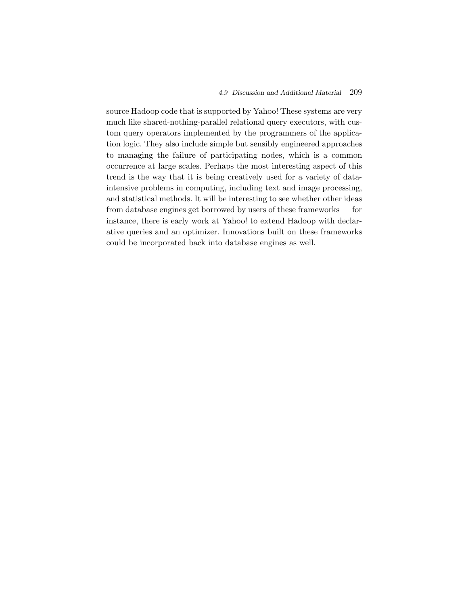source Hadoop code that is supported by Yahoo! These systems are very much like shared-nothing-parallel relational query executors, with custom query operators implemented by the programmers of the application logic. They also include simple but sensibly engineered approaches to managing the failure of participating nodes, which is a common occurrence at large scales. Perhaps the most interesting aspect of this trend is the way that it is being creatively used for a variety of dataintensive problems in computing, including text and image processing, and statistical methods. It will be interesting to see whether other ideas from database engines get borrowed by users of these frameworks — for instance, there is early work at Yahoo! to extend Hadoop with declarative queries and an optimizer. Innovations built on these frameworks could be incorporated back into database engines as well.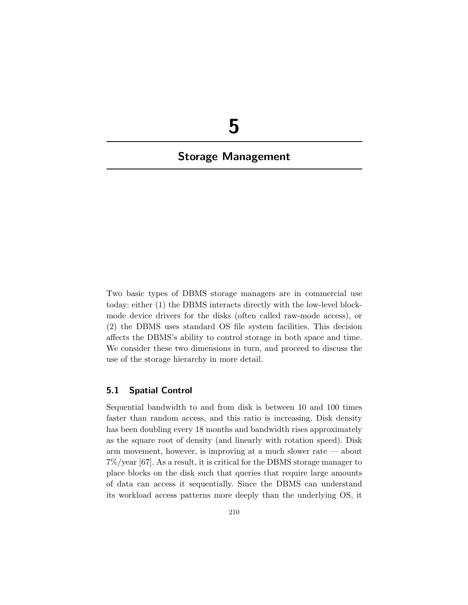# **5**

# **Storage Management**

Two basic types of DBMS storage managers are in commercial use today: either (1) the DBMS interacts directly with the low-level blockmode device drivers for the disks (often called raw-mode access), or (2) the DBMS uses standard OS file system facilities. This decision affects the DBMS's ability to control storage in both space and time. We consider these two dimensions in turn, and proceed to discuss the use of the storage hierarchy in more detail.

# **5.1 Spatial Control**

Sequential bandwidth to and from disk is between 10 and 100 times faster than random access, and this ratio is increasing. Disk density has been doubling every 18 months and bandwidth rises approximately as the square root of density (and linearly with rotation speed). Disk arm movement, however, is improving at a much slower rate — about 7%/year [67]. As a result, it is critical for the DBMS storage manager to place blocks on the disk such that queries that require large amounts of data can access it sequentially. Since the DBMS can understand its workload access patterns more deeply than the underlying OS, it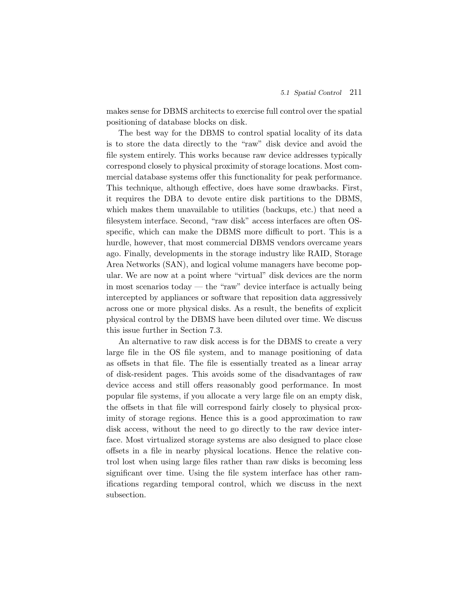makes sense for DBMS architects to exercise full control over the spatial positioning of database blocks on disk.

The best way for the DBMS to control spatial locality of its data is to store the data directly to the "raw" disk device and avoid the file system entirely. This works because raw device addresses typically correspond closely to physical proximity of storage locations. Most commercial database systems offer this functionality for peak performance. This technique, although effective, does have some drawbacks. First, it requires the DBA to devote entire disk partitions to the DBMS, which makes them unavailable to utilities (backups, etc.) that need a filesystem interface. Second, "raw disk" access interfaces are often OSspecific, which can make the DBMS more difficult to port. This is a hurdle, however, that most commercial DBMS vendors overcame years ago. Finally, developments in the storage industry like RAID, Storage Area Networks (SAN), and logical volume managers have become popular. We are now at a point where "virtual" disk devices are the norm in most scenarios today — the "raw" device interface is actually being intercepted by appliances or software that reposition data aggressively across one or more physical disks. As a result, the benefits of explicit physical control by the DBMS have been diluted over time. We discuss this issue further in Section 7.3.

An alternative to raw disk access is for the DBMS to create a very large file in the OS file system, and to manage positioning of data as offsets in that file. The file is essentially treated as a linear array of disk-resident pages. This avoids some of the disadvantages of raw device access and still offers reasonably good performance. In most popular file systems, if you allocate a very large file on an empty disk, the offsets in that file will correspond fairly closely to physical proximity of storage regions. Hence this is a good approximation to raw disk access, without the need to go directly to the raw device interface. Most virtualized storage systems are also designed to place close offsets in a file in nearby physical locations. Hence the relative control lost when using large files rather than raw disks is becoming less significant over time. Using the file system interface has other ramifications regarding temporal control, which we discuss in the next subsection.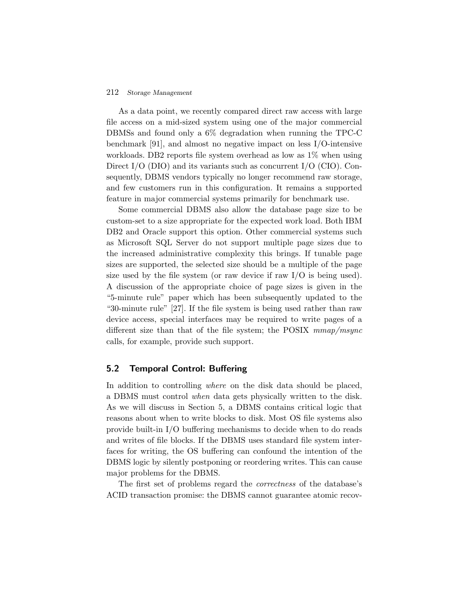# 212 *Storage Management*

As a data point, we recently compared direct raw access with large file access on a mid-sized system using one of the major commercial DBMSs and found only a 6% degradation when running the TPC-C benchmark [91], and almost no negative impact on less I/O-intensive workloads. DB2 reports file system overhead as low as 1% when using Direct I/O (DIO) and its variants such as concurrent I/O (CIO). Consequently, DBMS vendors typically no longer recommend raw storage, and few customers run in this configuration. It remains a supported feature in major commercial systems primarily for benchmark use.

Some commercial DBMS also allow the database page size to be custom-set to a size appropriate for the expected work load. Both IBM DB2 and Oracle support this option. Other commercial systems such as Microsoft SQL Server do not support multiple page sizes due to the increased administrative complexity this brings. If tunable page sizes are supported, the selected size should be a multiple of the page size used by the file system (or raw device if raw  $I/O$  is being used). A discussion of the appropriate choice of page sizes is given in the "5-minute rule" paper which has been subsequently updated to the "30-minute rule" [27]. If the file system is being used rather than raw device access, special interfaces may be required to write pages of a different size than that of the file system; the POSIX *mmap/msync* calls, for example, provide such support.

# **5.2 Temporal Control: Buffering**

In addition to controlling *where* on the disk data should be placed, a DBMS must control *when* data gets physically written to the disk. As we will discuss in Section 5, a DBMS contains critical logic that reasons about when to write blocks to disk. Most OS file systems also provide built-in I/O buffering mechanisms to decide when to do reads and writes of file blocks. If the DBMS uses standard file system interfaces for writing, the OS buffering can confound the intention of the DBMS logic by silently postponing or reordering writes. This can cause major problems for the DBMS.

The first set of problems regard the *correctness* of the database's ACID transaction promise: the DBMS cannot guarantee atomic recov-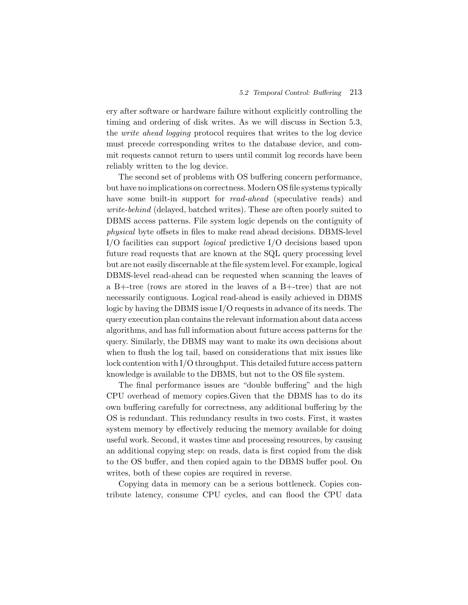ery after software or hardware failure without explicitly controlling the timing and ordering of disk writes. As we will discuss in Section 5.3, the *write ahead logging* protocol requires that writes to the log device must precede corresponding writes to the database device, and commit requests cannot return to users until commit log records have been reliably written to the log device.

The second set of problems with OS buffering concern performance, but have no implications on correctness. Modern OS file systems typically have some built-in support for *read-ahead* (speculative reads) and *write-behind* (delayed, batched writes). These are often poorly suited to DBMS access patterns. File system logic depends on the contiguity of *physical* byte offsets in files to make read ahead decisions. DBMS-level I/O facilities can support *logical* predictive I/O decisions based upon future read requests that are known at the SQL query processing level but are not easily discernable at the file system level. For example, logical DBMS-level read-ahead can be requested when scanning the leaves of a B+-tree (rows are stored in the leaves of a B+-tree) that are not necessarily contiguous. Logical read-ahead is easily achieved in DBMS logic by having the DBMS issue I/O requests in advance of its needs. The query execution plan contains the relevant information about data access algorithms, and has full information about future access patterns for the query. Similarly, the DBMS may want to make its own decisions about when to flush the log tail, based on considerations that mix issues like lock contention with I/O throughput. This detailed future access pattern knowledge is available to the DBMS, but not to the OS file system.

The final performance issues are "double buffering" and the high CPU overhead of memory copies.Given that the DBMS has to do its own buffering carefully for correctness, any additional buffering by the OS is redundant. This redundancy results in two costs. First, it wastes system memory by effectively reducing the memory available for doing useful work. Second, it wastes time and processing resources, by causing an additional copying step: on reads, data is first copied from the disk to the OS buffer, and then copied again to the DBMS buffer pool. On writes, both of these copies are required in reverse.

Copying data in memory can be a serious bottleneck. Copies contribute latency, consume CPU cycles, and can flood the CPU data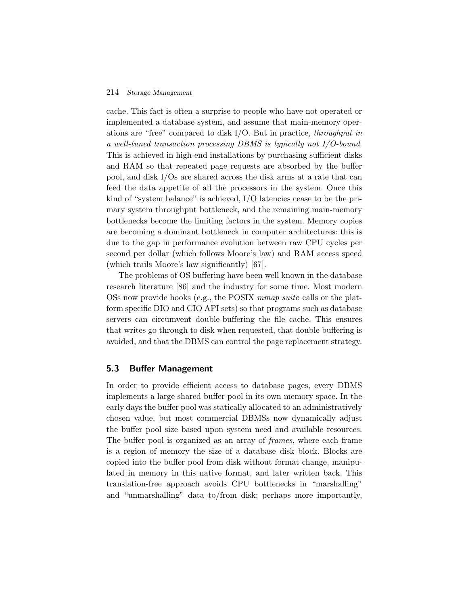## 214 *Storage Management*

cache. This fact is often a surprise to people who have not operated or implemented a database system, and assume that main-memory operations are "free" compared to disk I/O. But in practice, *throughput in a well-tuned transaction processing DBMS is typically not I/O-bound*. This is achieved in high-end installations by purchasing sufficient disks and RAM so that repeated page requests are absorbed by the buffer pool, and disk I/Os are shared across the disk arms at a rate that can feed the data appetite of all the processors in the system. Once this kind of "system balance" is achieved, I/O latencies cease to be the primary system throughput bottleneck, and the remaining main-memory bottlenecks become the limiting factors in the system. Memory copies are becoming a dominant bottleneck in computer architectures: this is due to the gap in performance evolution between raw CPU cycles per second per dollar (which follows Moore's law) and RAM access speed (which trails Moore's law significantly) [67].

The problems of OS buffering have been well known in the database research literature [86] and the industry for some time. Most modern OSs now provide hooks (e.g., the POSIX *mmap suite* calls or the platform specific DIO and CIO API sets) so that programs such as database servers can circumvent double-buffering the file cache. This ensures that writes go through to disk when requested, that double buffering is avoided, and that the DBMS can control the page replacement strategy.

## **5.3 Buffer Management**

In order to provide efficient access to database pages, every DBMS implements a large shared buffer pool in its own memory space. In the early days the buffer pool was statically allocated to an administratively chosen value, but most commercial DBMSs now dynamically adjust the buffer pool size based upon system need and available resources. The buffer pool is organized as an array of *frames*, where each frame is a region of memory the size of a database disk block. Blocks are copied into the buffer pool from disk without format change, manipulated in memory in this native format, and later written back. This translation-free approach avoids CPU bottlenecks in "marshalling" and "unmarshalling" data to/from disk; perhaps more importantly,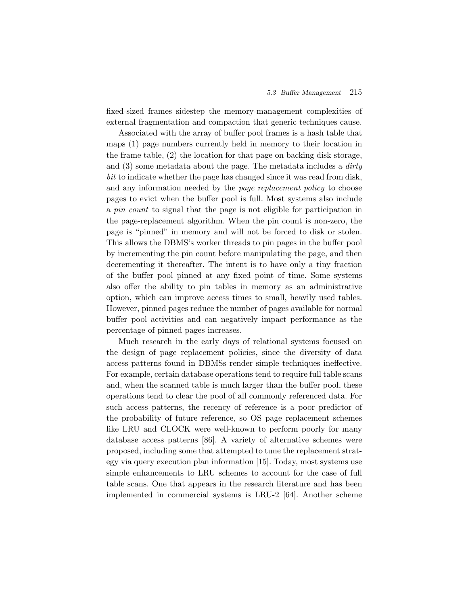#### *5.3 Buffer Management* 215

fixed-sized frames sidestep the memory-management complexities of external fragmentation and compaction that generic techniques cause.

Associated with the array of buffer pool frames is a hash table that maps (1) page numbers currently held in memory to their location in the frame table, (2) the location for that page on backing disk storage, and (3) some metadata about the page. The metadata includes a *dirty bit* to indicate whether the page has changed since it was read from disk, and any information needed by the *page replacement policy* to choose pages to evict when the buffer pool is full. Most systems also include a *pin count* to signal that the page is not eligible for participation in the page-replacement algorithm. When the pin count is non-zero, the page is "pinned" in memory and will not be forced to disk or stolen. This allows the DBMS's worker threads to pin pages in the buffer pool by incrementing the pin count before manipulating the page, and then decrementing it thereafter. The intent is to have only a tiny fraction of the buffer pool pinned at any fixed point of time. Some systems also offer the ability to pin tables in memory as an administrative option, which can improve access times to small, heavily used tables. However, pinned pages reduce the number of pages available for normal buffer pool activities and can negatively impact performance as the percentage of pinned pages increases.

Much research in the early days of relational systems focused on the design of page replacement policies, since the diversity of data access patterns found in DBMSs render simple techniques ineffective. For example, certain database operations tend to require full table scans and, when the scanned table is much larger than the buffer pool, these operations tend to clear the pool of all commonly referenced data. For such access patterns, the recency of reference is a poor predictor of the probability of future reference, so OS page replacement schemes like LRU and CLOCK were well-known to perform poorly for many database access patterns [86]. A variety of alternative schemes were proposed, including some that attempted to tune the replacement strategy via query execution plan information [15]. Today, most systems use simple enhancements to LRU schemes to account for the case of full table scans. One that appears in the research literature and has been implemented in commercial systems is LRU-2 [64]. Another scheme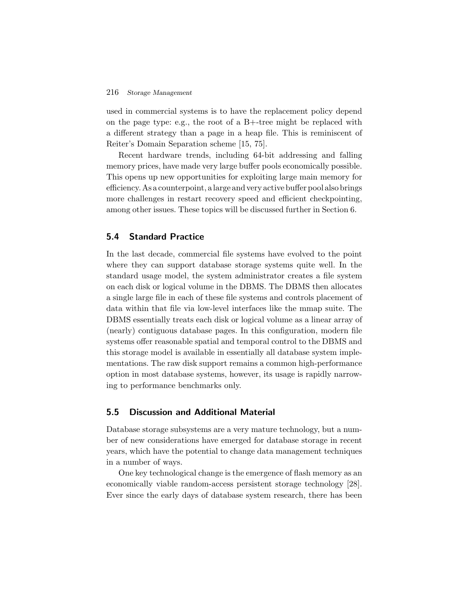### 216 *Storage Management*

used in commercial systems is to have the replacement policy depend on the page type: e.g., the root of a B+-tree might be replaced with a different strategy than a page in a heap file. This is reminiscent of Reiter's Domain Separation scheme [15, 75].

Recent hardware trends, including 64-bit addressing and falling memory prices, have made very large buffer pools economically possible. This opens up new opportunities for exploiting large main memory for efficiency. As a counterpoint, alarge and very active buffer pool also brings more challenges in restart recovery speed and efficient checkpointing, among other issues. These topics will be discussed further in Section 6.

## **5.4 Standard Practice**

In the last decade, commercial file systems have evolved to the point where they can support database storage systems quite well. In the standard usage model, the system administrator creates a file system on each disk or logical volume in the DBMS. The DBMS then allocates a single large file in each of these file systems and controls placement of data within that file via low-level interfaces like the mmap suite. The DBMS essentially treats each disk or logical volume as a linear array of (nearly) contiguous database pages. In this configuration, modern file systems offer reasonable spatial and temporal control to the DBMS and this storage model is available in essentially all database system implementations. The raw disk support remains a common high-performance option in most database systems, however, its usage is rapidly narrowing to performance benchmarks only.

## **5.5 Discussion and Additional Material**

Database storage subsystems are a very mature technology, but a number of new considerations have emerged for database storage in recent years, which have the potential to change data management techniques in a number of ways.

One key technological change is the emergence of flash memory as an economically viable random-access persistent storage technology [28]. Ever since the early days of database system research, there has been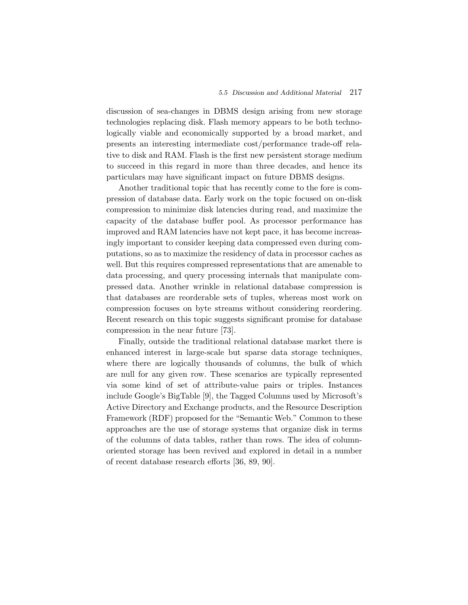discussion of sea-changes in DBMS design arising from new storage technologies replacing disk. Flash memory appears to be both technologically viable and economically supported by a broad market, and presents an interesting intermediate cost/performance trade-off relative to disk and RAM. Flash is the first new persistent storage medium to succeed in this regard in more than three decades, and hence its particulars may have significant impact on future DBMS designs.

Another traditional topic that has recently come to the fore is compression of database data. Early work on the topic focused on on-disk compression to minimize disk latencies during read, and maximize the capacity of the database buffer pool. As processor performance has improved and RAM latencies have not kept pace, it has become increasingly important to consider keeping data compressed even during computations, so as to maximize the residency of data in processor caches as well. But this requires compressed representations that are amenable to data processing, and query processing internals that manipulate compressed data. Another wrinkle in relational database compression is that databases are reorderable sets of tuples, whereas most work on compression focuses on byte streams without considering reordering. Recent research on this topic suggests significant promise for database compression in the near future [73].

Finally, outside the traditional relational database market there is enhanced interest in large-scale but sparse data storage techniques, where there are logically thousands of columns, the bulk of which are null for any given row. These scenarios are typically represented via some kind of set of attribute-value pairs or triples. Instances include Google's BigTable [9], the Tagged Columns used by Microsoft's Active Directory and Exchange products, and the Resource Description Framework (RDF) proposed for the "Semantic Web." Common to these approaches are the use of storage systems that organize disk in terms of the columns of data tables, rather than rows. The idea of columnoriented storage has been revived and explored in detail in a number of recent database research efforts [36, 89, 90].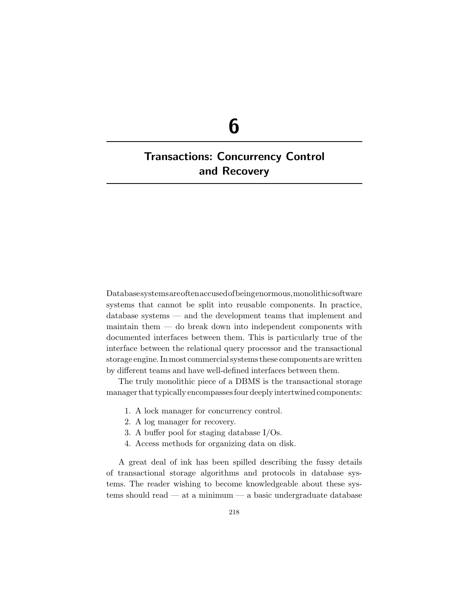# **6**

## **Transactions: Concurrency Control and Recovery**

Databasesystemsareoftenaccusedofbeingenormous,monolithicsoftware systems that cannot be split into reusable components. In practice, database systems — and the development teams that implement and maintain them — do break down into independent components with documented interfaces between them. This is particularly true of the interface between the relational query processor and the transactional storage engine. Inmost commercial systems these components are written by different teams and have well-defined interfaces between them.

The truly monolithic piece of a DBMS is the transactional storage manager that typically encompasses four deeplyintertwined components:

- 1. A lock manager for concurrency control.
- 2. A log manager for recovery.
- 3. A buffer pool for staging database I/Os.
- 4. Access methods for organizing data on disk.

A great deal of ink has been spilled describing the fussy details of transactional storage algorithms and protocols in database systems. The reader wishing to become knowledgeable about these systems should read — at a minimum — a basic undergraduate database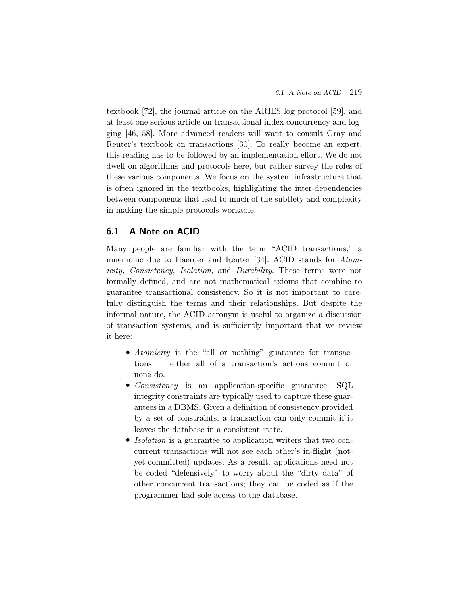textbook [72], the journal article on the ARIES log protocol [59], and at least one serious article on transactional index concurrency and logging [46, 58]. More advanced readers will want to consult Gray and Reuter's textbook on transactions [30]. To really become an expert, this reading has to be followed by an implementation effort. We do not dwell on algorithms and protocols here, but rather survey the roles of these various components. We focus on the system infrastructure that is often ignored in the textbooks, highlighting the inter-dependencies between components that lead to much of the subtlety and complexity in making the simple protocols workable.

## **6.1 A Note on ACID**

Many people are familiar with the term "ACID transactions," a mnemonic due to Haerder and Reuter [34]. ACID stands for *Atomicity, Consistency, Isolation*, and *Durability*. These terms were not formally defined, and are not mathematical axioms that combine to guarantee transactional consistency. So it is not important to carefully distinguish the terms and their relationships. But despite the informal nature, the ACID acronym is useful to organize a discussion of transaction systems, and is sufficiently important that we review it here:

- *Atomicity* is the "all or nothing" guarantee for transactions — either all of a transaction's actions commit or none do.
- *Consistency* is an application-specific guarantee; SQL integrity constraints are typically used to capture these guarantees in a DBMS. Given a definition of consistency provided by a set of constraints, a transaction can only commit if it leaves the database in a consistent state.
- *Isolation* is a guarantee to application writers that two concurrent transactions will not see each other's in-flight (notyet-committed) updates. As a result, applications need not be coded "defensively" to worry about the "dirty data" of other concurrent transactions; they can be coded as if the programmer had sole access to the database.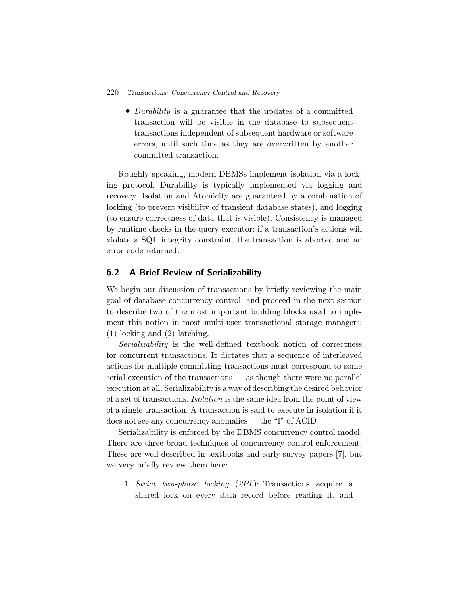#### 220 *Transactions: Concurrency Control and Recovery*

• *Durability* is a guarantee that the updates of a committed transaction will be visible in the database to subsequent transactions independent of subsequent hardware or software errors, until such time as they are overwritten by another committed transaction.

Roughly speaking, modern DBMSs implement isolation via a locking protocol. Durability is typically implemented via logging and recovery. Isolation and Atomicity are guaranteed by a combination of locking (to prevent visibility of transient database states), and logging (to ensure correctness of data that is visible). Consistency is managed by runtime checks in the query executor: if a transaction's actions will violate a SQL integrity constraint, the transaction is aborted and an error code returned.

## **6.2 A Brief Review of Serializability**

We begin our discussion of transactions by briefly reviewing the main goal of database concurrency control, and proceed in the next section to describe two of the most important building blocks used to implement this notion in most multi-user transactional storage managers: (1) locking and (2) latching.

*Serializability* is the well-defined textbook notion of correctness for concurrent transactions. It dictates that a sequence of interleaved actions for multiple committing transactions must correspond to some serial execution of the transactions — as though there were no parallel execution at all. Serializability is a way of describing the desired behavior of a set of transactions. *Isolation* is the same idea from the point of view of a single transaction. A transaction is said to execute in isolation if it does not see any concurrency anomalies — the "I" of ACID.

Serializability is enforced by the DBMS concurrency control model. There are three broad techniques of concurrency control enforcement. These are well-described in textbooks and early survey papers [7], but we very briefly review them here:

1. *Strict two-phase locking* (*2PL*): Transactions acquire a shared lock on every data record before reading it, and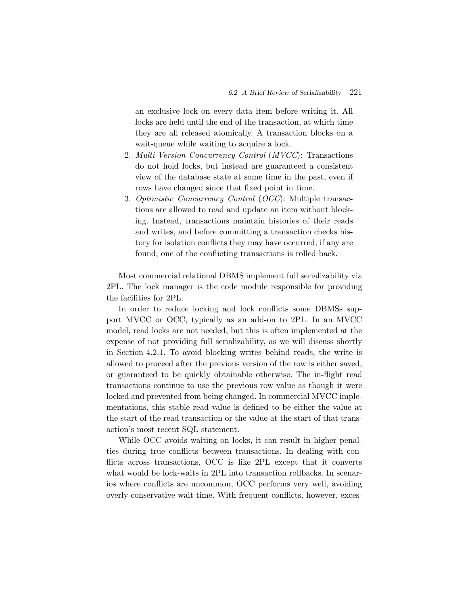an exclusive lock on every data item before writing it. All locks are held until the end of the transaction, at which time they are all released atomically. A transaction blocks on a wait-queue while waiting to acquire a lock.

- 2. *Multi-Version Concurrency Control* (*MVCC*): Transactions do not hold locks, but instead are guaranteed a consistent view of the database state at some time in the past, even if rows have changed since that fixed point in time.
- 3. *Optimistic Concurrency Control* (*OCC*): Multiple transactions are allowed to read and update an item without blocking. Instead, transactions maintain histories of their reads and writes, and before committing a transaction checks history for isolation conflicts they may have occurred; if any are found, one of the conflicting transactions is rolled back.

Most commercial relational DBMS implement full serializability via 2PL. The lock manager is the code module responsible for providing the facilities for 2PL.

In order to reduce locking and lock conflicts some DBMSs support MVCC or OCC, typically as an add-on to 2PL. In an MVCC model, read locks are not needed, but this is often implemented at the expense of not providing full serializability, as we will discuss shortly in Section 4.2.1. To avoid blocking writes behind reads, the write is allowed to proceed after the previous version of the row is either saved, or guaranteed to be quickly obtainable otherwise. The in-flight read transactions continue to use the previous row value as though it were locked and prevented from being changed. In commercial MVCC implementations, this stable read value is defined to be either the value at the start of the read transaction or the value at the start of that transaction's most recent SQL statement.

While OCC avoids waiting on locks, it can result in higher penalties during true conflicts between transactions. In dealing with conflicts across transactions, OCC is like 2PL except that it converts what would be lock-waits in 2PL into transaction rollbacks. In scenarios where conflicts are uncommon, OCC performs very well, avoiding overly conservative wait time. With frequent conflicts, however, exces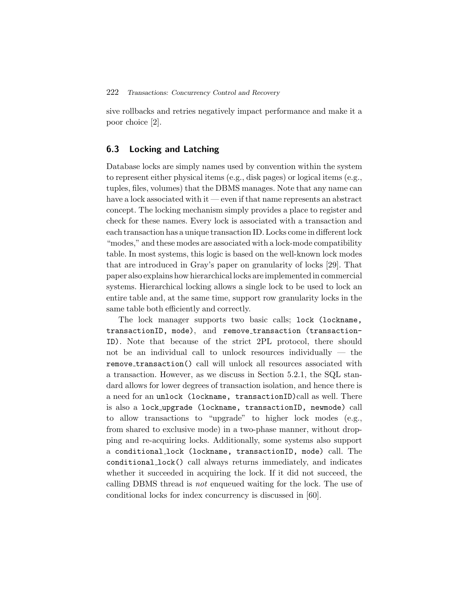sive rollbacks and retries negatively impact performance and make it a poor choice [2].

## **6.3 Locking and Latching**

Database locks are simply names used by convention within the system to represent either physical items (e.g., disk pages) or logical items (e.g., tuples, files, volumes) that the DBMS manages. Note that any name can have a lock associated with it — even if that name represents an abstract concept. The locking mechanism simply provides a place to register and check for these names. Every lock is associated with a transaction and each transaction has a unique transaction ID. Locks come in different lock "modes," and these modes are associated with a lock-mode compatibility table. In most systems, this logic is based on the well-known lock modes that are introduced in Gray's paper on granularity of locks [29]. That paper also explains how hierarchical locks are implemented in commercial systems. Hierarchical locking allows a single lock to be used to lock an entire table and, at the same time, support row granularity locks in the same table both efficiently and correctly.

The lock manager supports two basic calls; lock (lockname, transactionID, mode), and remove transaction (transaction-ID). Note that because of the strict 2PL protocol, there should not be an individual call to unlock resources individually — the remove transaction() call will unlock all resources associated with a transaction. However, as we discuss in Section 5.2.1, the SQL standard allows for lower degrees of transaction isolation, and hence there is a need for an unlock (lockname, transactionID)call as well. There is also a lock upgrade (lockname, transactionID, newmode) call to allow transactions to "upgrade" to higher lock modes (e.g., from shared to exclusive mode) in a two-phase manner, without dropping and re-acquiring locks. Additionally, some systems also support a conditional lock (lockname, transactionID, mode) call. The conditional lock() call always returns immediately, and indicates whether it succeeded in acquiring the lock. If it did not succeed, the calling DBMS thread is *not* enqueued waiting for the lock. The use of conditional locks for index concurrency is discussed in [60].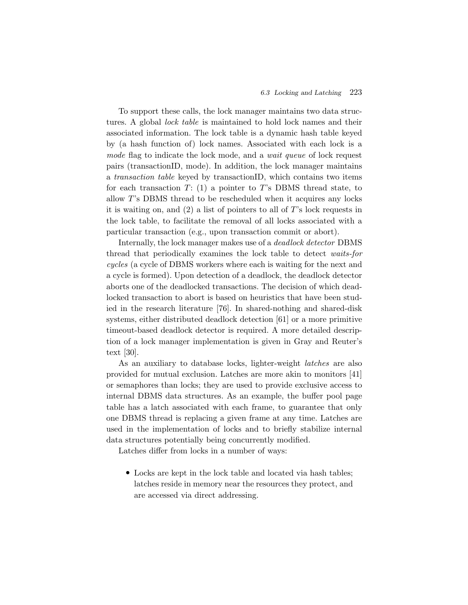To support these calls, the lock manager maintains two data structures. A global *lock table* is maintained to hold lock names and their associated information. The lock table is a dynamic hash table keyed by (a hash function of) lock names. Associated with each lock is a *mode* flag to indicate the lock mode, and a *wait queue* of lock request pairs (transactionID, mode). In addition, the lock manager maintains a *transaction table* keyed by transactionID, which contains two items for each transaction  $T: (1)$  a pointer to T's DBMS thread state, to allow T's DBMS thread to be rescheduled when it acquires any locks it is waiting on, and (2) a list of pointers to all of T's lock requests in the lock table, to facilitate the removal of all locks associated with a particular transaction (e.g., upon transaction commit or abort).

Internally, the lock manager makes use of a *deadlock detector* DBMS thread that periodically examines the lock table to detect *waits-for cycles* (a cycle of DBMS workers where each is waiting for the next and a cycle is formed). Upon detection of a deadlock, the deadlock detector aborts one of the deadlocked transactions. The decision of which deadlocked transaction to abort is based on heuristics that have been studied in the research literature [76]. In shared-nothing and shared-disk systems, either distributed deadlock detection [61] or a more primitive timeout-based deadlock detector is required. A more detailed description of a lock manager implementation is given in Gray and Reuter's text [30].

As an auxiliary to database locks, lighter-weight *latches* are also provided for mutual exclusion. Latches are more akin to monitors [41] or semaphores than locks; they are used to provide exclusive access to internal DBMS data structures. As an example, the buffer pool page table has a latch associated with each frame, to guarantee that only one DBMS thread is replacing a given frame at any time. Latches are used in the implementation of locks and to briefly stabilize internal data structures potentially being concurrently modified.

Latches differ from locks in a number of ways:

• Locks are kept in the lock table and located via hash tables; latches reside in memory near the resources they protect, and are accessed via direct addressing.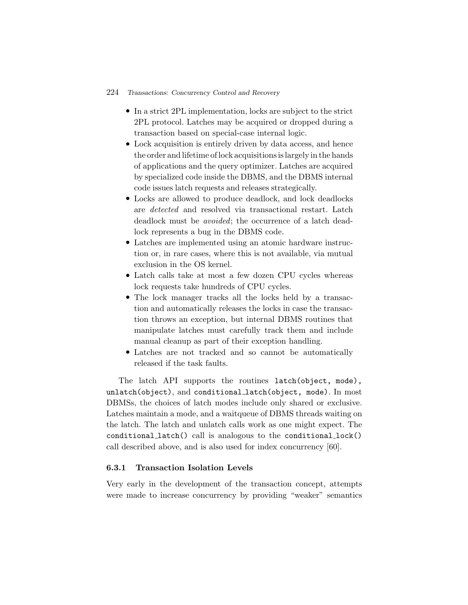### 224 *Transactions: Concurrency Control and Recovery*

- In a strict 2PL implementation, locks are subject to the strict 2PL protocol. Latches may be acquired or dropped during a transaction based on special-case internal logic.
- Lock acquisition is entirely driven by data access, and hence the order and lifetime of lock acquisitions is largely in the hands of applications and the query optimizer. Latches are acquired by specialized code inside the DBMS, and the DBMS internal code issues latch requests and releases strategically.
- Locks are allowed to produce deadlock, and lock deadlocks are *detected* and resolved via transactional restart. Latch deadlock must be *avoided*; the occurrence of a latch deadlock represents a bug in the DBMS code.
- Latches are implemented using an atomic hardware instruction or, in rare cases, where this is not available, via mutual exclusion in the OS kernel.
- Latch calls take at most a few dozen CPU cycles whereas lock requests take hundreds of CPU cycles.
- The lock manager tracks all the locks held by a transaction and automatically releases the locks in case the transaction throws an exception, but internal DBMS routines that manipulate latches must carefully track them and include manual cleanup as part of their exception handling.
- Latches are not tracked and so cannot be automatically released if the task faults.

The latch API supports the routines latch(object, mode), unlatch(object), and conditional latch(object, mode). In most DBMSs, the choices of latch modes include only shared or exclusive. Latches maintain a mode, and a waitqueue of DBMS threads waiting on the latch. The latch and unlatch calls work as one might expect. The conditional latch() call is analogous to the conditional lock() call described above, and is also used for index concurrency [60].

#### **6.3.1 Transaction Isolation Levels**

Very early in the development of the transaction concept, attempts were made to increase concurrency by providing "weaker" semantics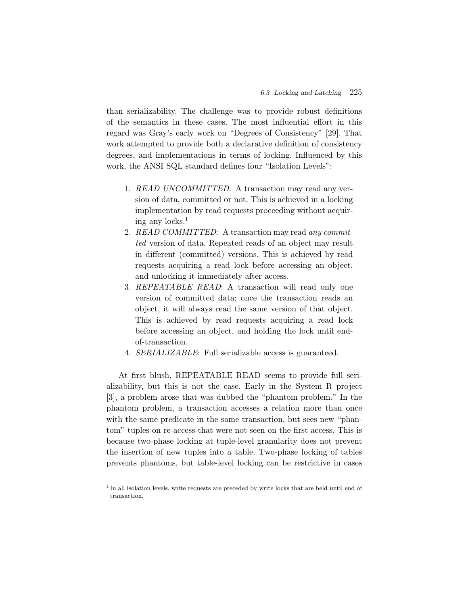than serializability. The challenge was to provide robust definitions of the semantics in these cases. The most influential effort in this regard was Gray's early work on "Degrees of Consistency" [29]. That work attempted to provide both a declarative definition of consistency degrees, and implementations in terms of locking. Influenced by this work, the ANSI SQL standard defines four "Isolation Levels":

- 1. *READ UNCOMMITTED*: A transaction may read any version of data, committed or not. This is achieved in a locking implementation by read requests proceeding without acquiring any locks.<sup>1</sup>
- 2. *READ COMMITTED*: A transaction may read *any committed* version of data. Repeated reads of an object may result in different (committed) versions. This is achieved by read requests acquiring a read lock before accessing an object, and unlocking it immediately after access.
- 3. *REPEATABLE READ*: A transaction will read only one version of committed data; once the transaction reads an object, it will always read the same version of that object. This is achieved by read requests acquiring a read lock before accessing an object, and holding the lock until endof-transaction.
- 4. *SERIALIZABLE*: Full serializable access is guaranteed.

At first blush, REPEATABLE READ seems to provide full serializability, but this is not the case. Early in the System R project [3], a problem arose that was dubbed the "phantom problem." In the phantom problem, a transaction accesses a relation more than once with the same predicate in the same transaction, but sees new "phantom" tuples on re-access that were not seen on the first access. This is because two-phase locking at tuple-level granularity does not prevent the insertion of new tuples into a table. Two-phase locking of tables prevents phantoms, but table-level locking can be restrictive in cases

 $1$ In all isolation levels, write requests are preceded by write locks that are held until end of transaction.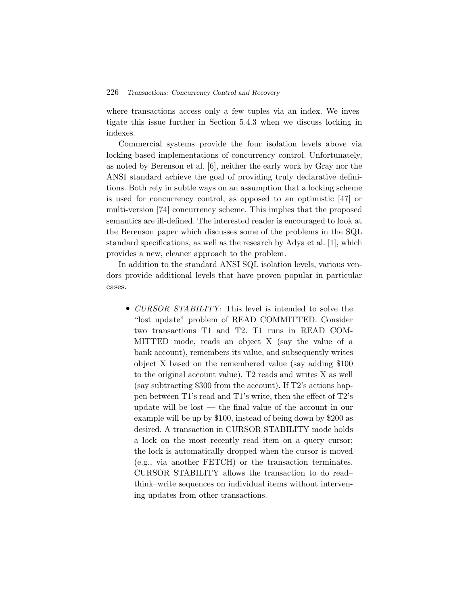#### 226 *Transactions: Concurrency Control and Recovery*

where transactions access only a few tuples via an index. We investigate this issue further in Section 5.4.3 when we discuss locking in indexes.

Commercial systems provide the four isolation levels above via locking-based implementations of concurrency control. Unfortunately, as noted by Berenson et al. [6], neither the early work by Gray nor the ANSI standard achieve the goal of providing truly declarative definitions. Both rely in subtle ways on an assumption that a locking scheme is used for concurrency control, as opposed to an optimistic [47] or multi-version [74] concurrency scheme. This implies that the proposed semantics are ill-defined. The interested reader is encouraged to look at the Berenson paper which discusses some of the problems in the SQL standard specifications, as well as the research by Adya et al. [1], which provides a new, cleaner approach to the problem.

In addition to the standard ANSI SQL isolation levels, various vendors provide additional levels that have proven popular in particular cases.

• *CURSOR STABILITY*: This level is intended to solve the "lost update" problem of READ COMMITTED. Consider two transactions T1 and T2. T1 runs in READ COM-MITTED mode, reads an object X (say the value of a bank account), remembers its value, and subsequently writes object X based on the remembered value (say adding \$100 to the original account value). T2 reads and writes X as well (say subtracting \$300 from the account). If T2's actions happen between T1's read and T1's write, then the effect of T2's update will be lost — the final value of the account in our example will be up by \$100, instead of being down by \$200 as desired. A transaction in CURSOR STABILITY mode holds a lock on the most recently read item on a query cursor; the lock is automatically dropped when the cursor is moved (e.g., via another FETCH) or the transaction terminates. CURSOR STABILITY allows the transaction to do read– think–write sequences on individual items without intervening updates from other transactions.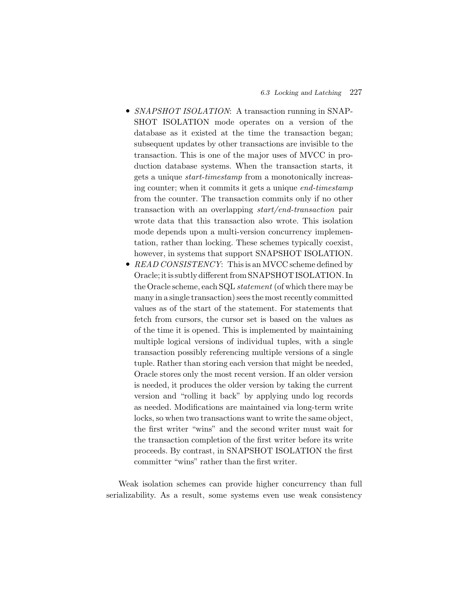- *SNAPSHOT ISOLATION*: A transaction running in SNAP-SHOT ISOLATION mode operates on a version of the database as it existed at the time the transaction began; subsequent updates by other transactions are invisible to the transaction. This is one of the major uses of MVCC in production database systems. When the transaction starts, it gets a unique *start-timestamp* from a monotonically increasing counter; when it commits it gets a unique *end-timestamp* from the counter. The transaction commits only if no other transaction with an overlapping *start/end-transaction* pair wrote data that this transaction also wrote. This isolation mode depends upon a multi-version concurrency implementation, rather than locking. These schemes typically coexist, however, in systems that support SNAPSHOT ISOLATION.
- *READ CONSISTENCY*: This is an MVCC scheme defined by Oracle; it is subtly different from SNAPSHOT ISOLATION. In the Oracle scheme, each SQL *statement* (of which there may be many in a single transaction) sees the most recently committed values as of the start of the statement. For statements that fetch from cursors, the cursor set is based on the values as of the time it is opened. This is implemented by maintaining multiple logical versions of individual tuples, with a single transaction possibly referencing multiple versions of a single tuple. Rather than storing each version that might be needed, Oracle stores only the most recent version. If an older version is needed, it produces the older version by taking the current version and "rolling it back" by applying undo log records as needed. Modifications are maintained via long-term write locks, so when two transactions want to write the same object, the first writer "wins" and the second writer must wait for the transaction completion of the first writer before its write proceeds. By contrast, in SNAPSHOT ISOLATION the first committer "wins" rather than the first writer.

Weak isolation schemes can provide higher concurrency than full serializability. As a result, some systems even use weak consistency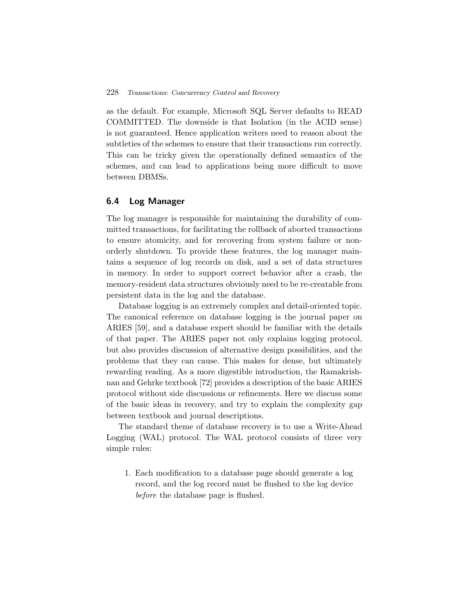as the default. For example, Microsoft SQL Server defaults to READ COMMITTED. The downside is that Isolation (in the ACID sense) is not guaranteed. Hence application writers need to reason about the subtleties of the schemes to ensure that their transactions run correctly. This can be tricky given the operationally defined semantics of the schemes, and can lead to applications being more difficult to move between DBMSs.

## **6.4 Log Manager**

The log manager is responsible for maintaining the durability of committed transactions, for facilitating the rollback of aborted transactions to ensure atomicity, and for recovering from system failure or nonorderly shutdown. To provide these features, the log manager maintains a sequence of log records on disk, and a set of data structures in memory. In order to support correct behavior after a crash, the memory-resident data structures obviously need to be re-creatable from persistent data in the log and the database.

Database logging is an extremely complex and detail-oriented topic. The canonical reference on database logging is the journal paper on ARIES [59], and a database expert should be familiar with the details of that paper. The ARIES paper not only explains logging protocol, but also provides discussion of alternative design possibilities, and the problems that they can cause. This makes for dense, but ultimately rewarding reading. As a more digestible introduction, the Ramakrishnan and Gehrke textbook [72] provides a description of the basic ARIES protocol without side discussions or refinements. Here we discuss some of the basic ideas in recovery, and try to explain the complexity gap between textbook and journal descriptions.

The standard theme of database recovery is to use a Write-Ahead Logging (WAL) protocol. The WAL protocol consists of three very simple rules:

1. Each modification to a database page should generate a log record, and the log record must be flushed to the log device *before* the database page is flushed.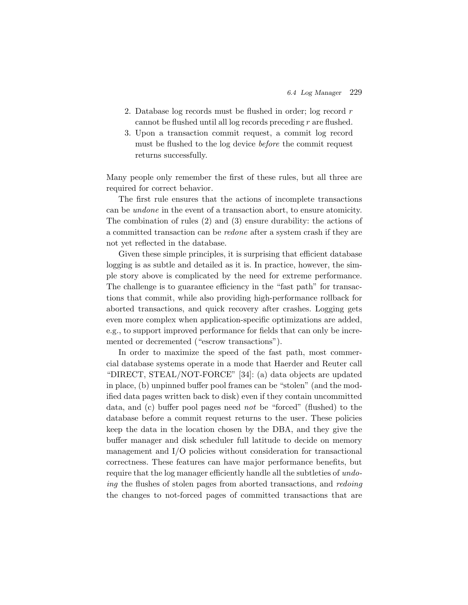- 2. Database log records must be flushed in order; log record r cannot be flushed until all log records preceding  $r$  are flushed.
- 3. Upon a transaction commit request, a commit log record must be flushed to the log device *before* the commit request returns successfully.

Many people only remember the first of these rules, but all three are required for correct behavior.

The first rule ensures that the actions of incomplete transactions can be *undone* in the event of a transaction abort, to ensure atomicity. The combination of rules (2) and (3) ensure durability: the actions of a committed transaction can be *redone* after a system crash if they are not yet reflected in the database.

Given these simple principles, it is surprising that efficient database logging is as subtle and detailed as it is. In practice, however, the simple story above is complicated by the need for extreme performance. The challenge is to guarantee efficiency in the "fast path" for transactions that commit, while also providing high-performance rollback for aborted transactions, and quick recovery after crashes. Logging gets even more complex when application-specific optimizations are added, e.g., to support improved performance for fields that can only be incremented or decremented ("escrow transactions").

In order to maximize the speed of the fast path, most commercial database systems operate in a mode that Haerder and Reuter call "DIRECT, STEAL/NOT-FORCE" [34]: (a) data objects are updated in place, (b) unpinned buffer pool frames can be "stolen" (and the modified data pages written back to disk) even if they contain uncommitted data, and (c) buffer pool pages need *not* be "forced" (flushed) to the database before a commit request returns to the user. These policies keep the data in the location chosen by the DBA, and they give the buffer manager and disk scheduler full latitude to decide on memory management and I/O policies without consideration for transactional correctness. These features can have major performance benefits, but require that the log manager efficiently handle all the subtleties of *undoing* the flushes of stolen pages from aborted transactions, and *redoing* the changes to not-forced pages of committed transactions that are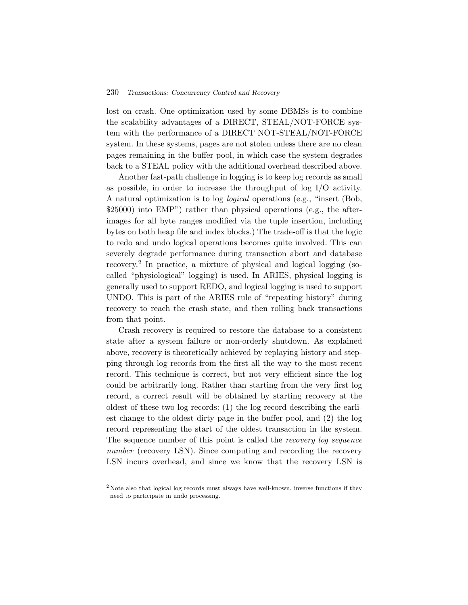#### 230 *Transactions: Concurrency Control and Recovery*

lost on crash. One optimization used by some DBMSs is to combine the scalability advantages of a DIRECT, STEAL/NOT-FORCE system with the performance of a DIRECT NOT-STEAL/NOT-FORCE system. In these systems, pages are not stolen unless there are no clean pages remaining in the buffer pool, in which case the system degrades back to a STEAL policy with the additional overhead described above.

Another fast-path challenge in logging is to keep log records as small as possible, in order to increase the throughput of log I/O activity. A natural optimization is to log *logical* operations (e.g., "insert (Bob, \$25000) into EMP") rather than physical operations (e.g., the afterimages for all byte ranges modified via the tuple insertion, including bytes on both heap file and index blocks.) The trade-off is that the logic to redo and undo logical operations becomes quite involved. This can severely degrade performance during transaction abort and database recovery.<sup>2</sup> In practice, a mixture of physical and logical logging (socalled "physiological" logging) is used. In ARIES, physical logging is generally used to support REDO, and logical logging is used to support UNDO. This is part of the ARIES rule of "repeating history" during recovery to reach the crash state, and then rolling back transactions from that point.

Crash recovery is required to restore the database to a consistent state after a system failure or non-orderly shutdown. As explained above, recovery is theoretically achieved by replaying history and stepping through log records from the first all the way to the most recent record. This technique is correct, but not very efficient since the log could be arbitrarily long. Rather than starting from the very first log record, a correct result will be obtained by starting recovery at the oldest of these two log records: (1) the log record describing the earliest change to the oldest dirty page in the buffer pool, and (2) the log record representing the start of the oldest transaction in the system. The sequence number of this point is called the *recovery log sequence number* (recovery LSN). Since computing and recording the recovery LSN incurs overhead, and since we know that the recovery LSN is

<sup>2</sup> Note also that logical log records must always have well-known, inverse functions if they need to participate in undo processing.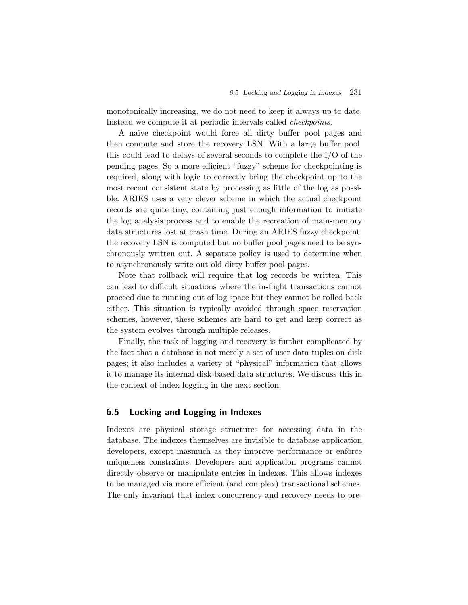monotonically increasing, we do not need to keep it always up to date. Instead we compute it at periodic intervals called *checkpoints*.

A naïve checkpoint would force all dirty buffer pool pages and then compute and store the recovery LSN. With a large buffer pool, this could lead to delays of several seconds to complete the I/O of the pending pages. So a more efficient "fuzzy" scheme for checkpointing is required, along with logic to correctly bring the checkpoint up to the most recent consistent state by processing as little of the log as possible. ARIES uses a very clever scheme in which the actual checkpoint records are quite tiny, containing just enough information to initiate the log analysis process and to enable the recreation of main-memory data structures lost at crash time. During an ARIES fuzzy checkpoint, the recovery LSN is computed but no buffer pool pages need to be synchronously written out. A separate policy is used to determine when to asynchronously write out old dirty buffer pool pages.

Note that rollback will require that log records be written. This can lead to difficult situations where the in-flight transactions cannot proceed due to running out of log space but they cannot be rolled back either. This situation is typically avoided through space reservation schemes, however, these schemes are hard to get and keep correct as the system evolves through multiple releases.

Finally, the task of logging and recovery is further complicated by the fact that a database is not merely a set of user data tuples on disk pages; it also includes a variety of "physical" information that allows it to manage its internal disk-based data structures. We discuss this in the context of index logging in the next section.

## **6.5 Locking and Logging in Indexes**

Indexes are physical storage structures for accessing data in the database. The indexes themselves are invisible to database application developers, except inasmuch as they improve performance or enforce uniqueness constraints. Developers and application programs cannot directly observe or manipulate entries in indexes. This allows indexes to be managed via more efficient (and complex) transactional schemes. The only invariant that index concurrency and recovery needs to pre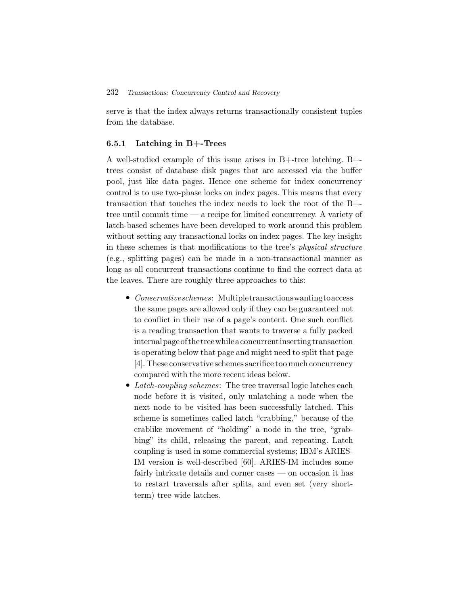serve is that the index always returns transactionally consistent tuples from the database.

## **6.5.1 Latching in B+-Trees**

A well-studied example of this issue arises in B+-tree latching. B+ trees consist of database disk pages that are accessed via the buffer pool, just like data pages. Hence one scheme for index concurrency control is to use two-phase locks on index pages. This means that every transaction that touches the index needs to lock the root of the B+ tree until commit time — a recipe for limited concurrency. A variety of latch-based schemes have been developed to work around this problem without setting any transactional locks on index pages. The key insight in these schemes is that modifications to the tree's *physical structure* (e.g., splitting pages) can be made in a non-transactional manner as long as all concurrent transactions continue to find the correct data at the leaves. There are roughly three approaches to this:

- *Conservativeschemes*: Multipletransactionswantingtoaccess the same pages are allowed only if they can be guaranteed not to conflict in their use of a page's content. One such conflict is a reading transaction that wants to traverse a fully packed internalpage of the treewhile aconcurrentinserting transaction is operating below that page and might need to split that page [4]. These conservative schemes sacrifice too much concurrency compared with the more recent ideas below.
- *Latch-coupling schemes*: The tree traversal logic latches each node before it is visited, only unlatching a node when the next node to be visited has been successfully latched. This scheme is sometimes called latch "crabbing," because of the crablike movement of "holding" a node in the tree, "grabbing" its child, releasing the parent, and repeating. Latch coupling is used in some commercial systems; IBM's ARIES-IM version is well-described [60]. ARIES-IM includes some fairly intricate details and corner cases — on occasion it has to restart traversals after splits, and even set (very shortterm) tree-wide latches.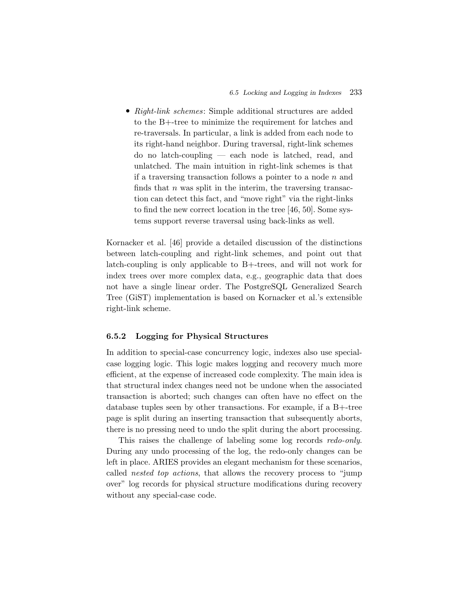• *Right-link schemes*: Simple additional structures are added to the B+-tree to minimize the requirement for latches and re-traversals. In particular, a link is added from each node to its right-hand neighbor. During traversal, right-link schemes do no latch-coupling — each node is latched, read, and unlatched. The main intuition in right-link schemes is that if a traversing transaction follows a pointer to a node  $n$  and finds that  $n$  was split in the interim, the traversing transaction can detect this fact, and "move right" via the right-links to find the new correct location in the tree [46, 50]. Some systems support reverse traversal using back-links as well.

Kornacker et al. [46] provide a detailed discussion of the distinctions between latch-coupling and right-link schemes, and point out that latch-coupling is only applicable to B+-trees, and will not work for index trees over more complex data, e.g., geographic data that does not have a single linear order. The PostgreSQL Generalized Search Tree (GiST) implementation is based on Kornacker et al.'s extensible right-link scheme.

## **6.5.2 Logging for Physical Structures**

In addition to special-case concurrency logic, indexes also use specialcase logging logic. This logic makes logging and recovery much more efficient, at the expense of increased code complexity. The main idea is that structural index changes need not be undone when the associated transaction is aborted; such changes can often have no effect on the database tuples seen by other transactions. For example, if a B+-tree page is split during an inserting transaction that subsequently aborts, there is no pressing need to undo the split during the abort processing.

This raises the challenge of labeling some log records *redo-only*. During any undo processing of the log, the redo-only changes can be left in place. ARIES provides an elegant mechanism for these scenarios, called *nested top actions*, that allows the recovery process to "jump over" log records for physical structure modifications during recovery without any special-case code.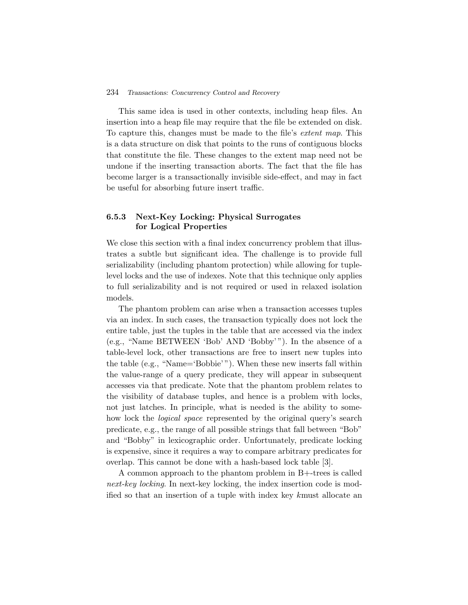#### 234 *Transactions: Concurrency Control and Recovery*

This same idea is used in other contexts, including heap files. An insertion into a heap file may require that the file be extended on disk. To capture this, changes must be made to the file's *extent map*. This is a data structure on disk that points to the runs of contiguous blocks that constitute the file. These changes to the extent map need not be undone if the inserting transaction aborts. The fact that the file has become larger is a transactionally invisible side-effect, and may in fact be useful for absorbing future insert traffic.

## **6.5.3 Next-Key Locking: Physical Surrogates for Logical Properties**

We close this section with a final index concurrency problem that illustrates a subtle but significant idea. The challenge is to provide full serializability (including phantom protection) while allowing for tuplelevel locks and the use of indexes. Note that this technique only applies to full serializability and is not required or used in relaxed isolation models.

The phantom problem can arise when a transaction accesses tuples via an index. In such cases, the transaction typically does not lock the entire table, just the tuples in the table that are accessed via the index (e.g., "Name BETWEEN 'Bob' AND 'Bobby' "). In the absence of a table-level lock, other transactions are free to insert new tuples into the table (e.g., "Name='Bobbie' "). When these new inserts fall within the value-range of a query predicate, they will appear in subsequent accesses via that predicate. Note that the phantom problem relates to the visibility of database tuples, and hence is a problem with locks, not just latches. In principle, what is needed is the ability to somehow lock the *logical space* represented by the original query's search predicate, e.g., the range of all possible strings that fall between "Bob" and "Bobby" in lexicographic order. Unfortunately, predicate locking is expensive, since it requires a way to compare arbitrary predicates for overlap. This cannot be done with a hash-based lock table [3].

A common approach to the phantom problem in B+-trees is called *next-key locking*. In next-key locking, the index insertion code is modified so that an insertion of a tuple with index key kmust allocate an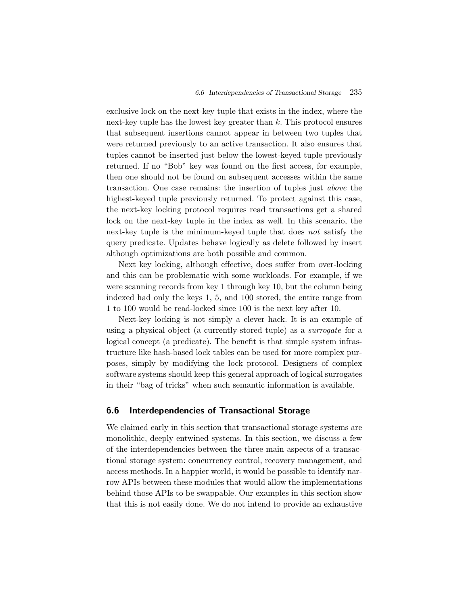exclusive lock on the next-key tuple that exists in the index, where the next-key tuple has the lowest key greater than  $k$ . This protocol ensures that subsequent insertions cannot appear in between two tuples that were returned previously to an active transaction. It also ensures that tuples cannot be inserted just below the lowest-keyed tuple previously returned. If no "Bob" key was found on the first access, for example, then one should not be found on subsequent accesses within the same transaction. One case remains: the insertion of tuples just *above* the highest-keyed tuple previously returned. To protect against this case, the next-key locking protocol requires read transactions get a shared lock on the next-key tuple in the index as well. In this scenario, the next-key tuple is the minimum-keyed tuple that does *not* satisfy the query predicate. Updates behave logically as delete followed by insert although optimizations are both possible and common.

Next key locking, although effective, does suffer from over-locking and this can be problematic with some workloads. For example, if we were scanning records from key 1 through key 10, but the column being indexed had only the keys 1, 5, and 100 stored, the entire range from 1 to 100 would be read-locked since 100 is the next key after 10.

Next-key locking is not simply a clever hack. It is an example of using a physical object (a currently-stored tuple) as a *surrogate* for a logical concept (a predicate). The benefit is that simple system infrastructure like hash-based lock tables can be used for more complex purposes, simply by modifying the lock protocol. Designers of complex software systems should keep this general approach of logical surrogates in their "bag of tricks" when such semantic information is available.

## **6.6 Interdependencies of Transactional Storage**

We claimed early in this section that transactional storage systems are monolithic, deeply entwined systems. In this section, we discuss a few of the interdependencies between the three main aspects of a transactional storage system: concurrency control, recovery management, and access methods. In a happier world, it would be possible to identify narrow APIs between these modules that would allow the implementations behind those APIs to be swappable. Our examples in this section show that this is not easily done. We do not intend to provide an exhaustive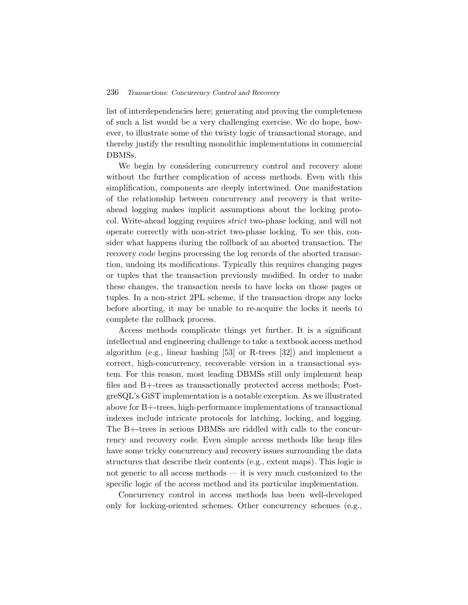#### 236 *Transactions: Concurrency Control and Recovery*

list of interdependencies here; generating and proving the completeness of such a list would be a very challenging exercise. We do hope, however, to illustrate some of the twisty logic of transactional storage, and thereby justify the resulting monolithic implementations in commercial DBMSs.

We begin by considering concurrency control and recovery alone without the further complication of access methods. Even with this simplification, components are deeply intertwined. One manifestation of the relationship between concurrency and recovery is that writeahead logging makes implicit assumptions about the locking protocol. Write-ahead logging requires *strict* two-phase locking, and will not operate correctly with non-strict two-phase locking. To see this, consider what happens during the rollback of an aborted transaction. The recovery code begins processing the log records of the aborted transaction, undoing its modifications. Typically this requires changing pages or tuples that the transaction previously modified. In order to make these changes, the transaction needs to have locks on those pages or tuples. In a non-strict 2PL scheme, if the transaction drops any locks before aborting, it may be unable to re-acquire the locks it needs to complete the rollback process.

Access methods complicate things yet further. It is a significant intellectual and engineering challenge to take a textbook access method algorithm (e.g., linear hashing [53] or R-trees [32]) and implement a correct, high-concurrency, recoverable version in a transactional system. For this reason, most leading DBMSs still only implement heap files and B+-trees as transactionally protected access methods; PostgreSQL's GiST implementation is a notable exception. As we illustrated above for B+-trees, high-performance implementations of transactional indexes include intricate protocols for latching, locking, and logging. The B+-trees in serious DBMSs are riddled with calls to the concurrency and recovery code. Even simple access methods like heap files have some tricky concurrency and recovery issues surrounding the data structures that describe their contents (e.g., extent maps). This logic is not generic to all access methods — it is very much customized to the specific logic of the access method and its particular implementation.

Concurrency control in access methods has been well-developed only for locking-oriented schemes. Other concurrency schemes (e.g.,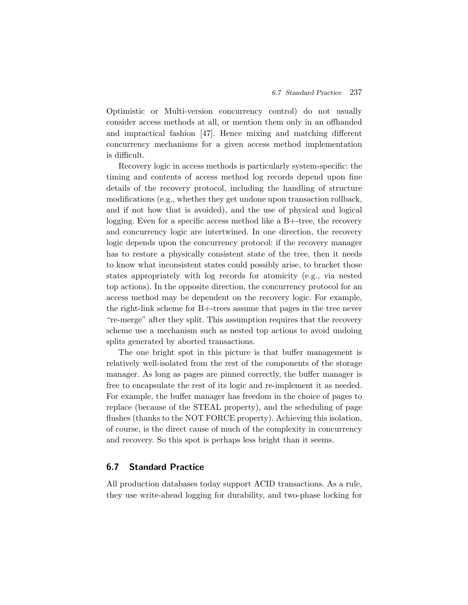Optimistic or Multi-version concurrency control) do not usually consider access methods at all, or mention them only in an offhanded and impractical fashion [47]. Hence mixing and matching different concurrency mechanisms for a given access method implementation is difficult.

Recovery logic in access methods is particularly system-specific: the timing and contents of access method log records depend upon fine details of the recovery protocol, including the handling of structure modifications (e.g., whether they get undone upon transaction rollback, and if not how that is avoided), and the use of physical and logical logging. Even for a specific access method like a B+-tree, the recovery and concurrency logic are intertwined. In one direction, the recovery logic depends upon the concurrency protocol: if the recovery manager has to restore a physically consistent state of the tree, then it needs to know what inconsistent states could possibly arise, to bracket those states appropriately with log records for atomicity (e.g., via nested top actions). In the opposite direction, the concurrency protocol for an access method may be dependent on the recovery logic. For example, the right-link scheme for B+-trees assume that pages in the tree never "re-merge" after they split. This assumption requires that the recovery scheme use a mechanism such as nested top actions to avoid undoing splits generated by aborted transactions.

The one bright spot in this picture is that buffer management is relatively well-isolated from the rest of the components of the storage manager. As long as pages are pinned correctly, the buffer manager is free to encapsulate the rest of its logic and re-implement it as needed. For example, the buffer manager has freedom in the choice of pages to replace (because of the STEAL property), and the scheduling of page flushes (thanks to the NOT FORCE property). Achieving this isolation, of course, is the direct cause of much of the complexity in concurrency and recovery. So this spot is perhaps less bright than it seems.

## **6.7 Standard Practice**

All production databases today support ACID transactions. As a rule, they use write-ahead logging for durability, and two-phase locking for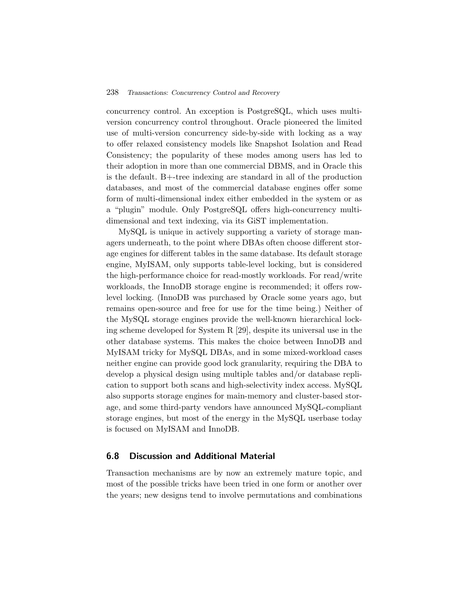#### 238 *Transactions: Concurrency Control and Recovery*

concurrency control. An exception is PostgreSQL, which uses multiversion concurrency control throughout. Oracle pioneered the limited use of multi-version concurrency side-by-side with locking as a way to offer relaxed consistency models like Snapshot Isolation and Read Consistency; the popularity of these modes among users has led to their adoption in more than one commercial DBMS, and in Oracle this is the default. B+-tree indexing are standard in all of the production databases, and most of the commercial database engines offer some form of multi-dimensional index either embedded in the system or as a "plugin" module. Only PostgreSQL offers high-concurrency multidimensional and text indexing, via its GiST implementation.

MySQL is unique in actively supporting a variety of storage managers underneath, to the point where DBAs often choose different storage engines for different tables in the same database. Its default storage engine, MyISAM, only supports table-level locking, but is considered the high-performance choice for read-mostly workloads. For read/write workloads, the InnoDB storage engine is recommended; it offers rowlevel locking. (InnoDB was purchased by Oracle some years ago, but remains open-source and free for use for the time being.) Neither of the MySQL storage engines provide the well-known hierarchical locking scheme developed for System R [29], despite its universal use in the other database systems. This makes the choice between InnoDB and MyISAM tricky for MySQL DBAs, and in some mixed-workload cases neither engine can provide good lock granularity, requiring the DBA to develop a physical design using multiple tables and/or database replication to support both scans and high-selectivity index access. MySQL also supports storage engines for main-memory and cluster-based storage, and some third-party vendors have announced MySQL-compliant storage engines, but most of the energy in the MySQL userbase today is focused on MyISAM and InnoDB.

## **6.8 Discussion and Additional Material**

Transaction mechanisms are by now an extremely mature topic, and most of the possible tricks have been tried in one form or another over the years; new designs tend to involve permutations and combinations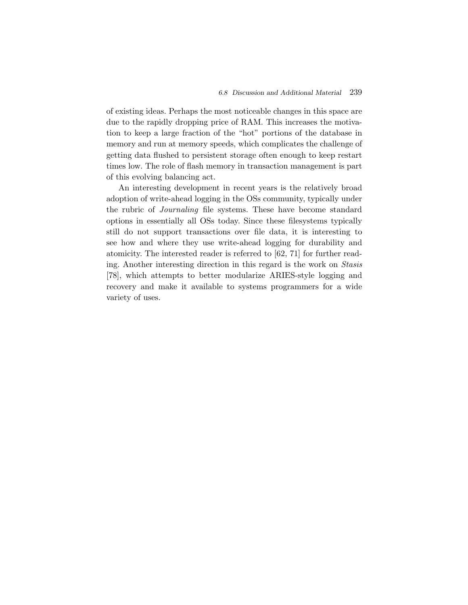of existing ideas. Perhaps the most noticeable changes in this space are due to the rapidly dropping price of RAM. This increases the motivation to keep a large fraction of the "hot" portions of the database in memory and run at memory speeds, which complicates the challenge of getting data flushed to persistent storage often enough to keep restart times low. The role of flash memory in transaction management is part of this evolving balancing act.

An interesting development in recent years is the relatively broad adoption of write-ahead logging in the OSs community, typically under the rubric of *Journaling* file systems. These have become standard options in essentially all OSs today. Since these filesystems typically still do not support transactions over file data, it is interesting to see how and where they use write-ahead logging for durability and atomicity. The interested reader is referred to [62, 71] for further reading. Another interesting direction in this regard is the work on *Stasis* [78], which attempts to better modularize ARIES-style logging and recovery and make it available to systems programmers for a wide variety of uses.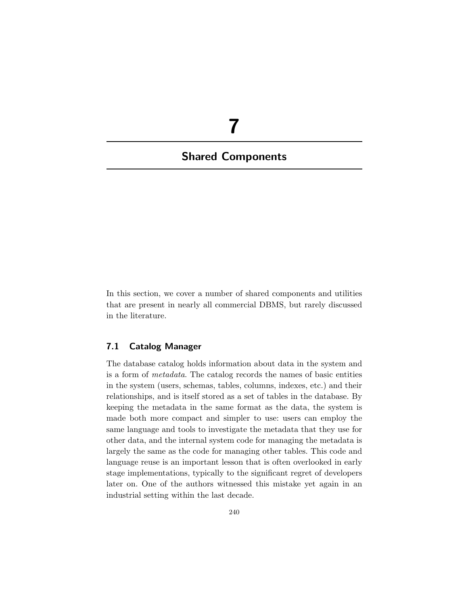# **7**

## **Shared Components**

In this section, we cover a number of shared components and utilities that are present in nearly all commercial DBMS, but rarely discussed in the literature.

## **7.1 Catalog Manager**

The database catalog holds information about data in the system and is a form of *metadata*. The catalog records the names of basic entities in the system (users, schemas, tables, columns, indexes, etc.) and their relationships, and is itself stored as a set of tables in the database. By keeping the metadata in the same format as the data, the system is made both more compact and simpler to use: users can employ the same language and tools to investigate the metadata that they use for other data, and the internal system code for managing the metadata is largely the same as the code for managing other tables. This code and language reuse is an important lesson that is often overlooked in early stage implementations, typically to the significant regret of developers later on. One of the authors witnessed this mistake yet again in an industrial setting within the last decade.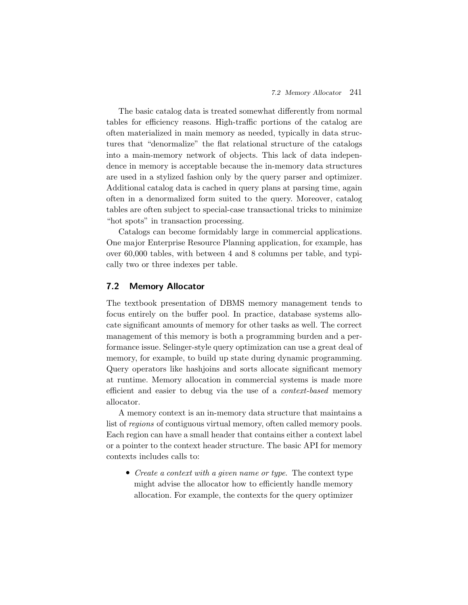The basic catalog data is treated somewhat differently from normal tables for efficiency reasons. High-traffic portions of the catalog are often materialized in main memory as needed, typically in data structures that "denormalize" the flat relational structure of the catalogs into a main-memory network of objects. This lack of data independence in memory is acceptable because the in-memory data structures are used in a stylized fashion only by the query parser and optimizer. Additional catalog data is cached in query plans at parsing time, again often in a denormalized form suited to the query. Moreover, catalog tables are often subject to special-case transactional tricks to minimize "hot spots" in transaction processing.

Catalogs can become formidably large in commercial applications. One major Enterprise Resource Planning application, for example, has over 60,000 tables, with between 4 and 8 columns per table, and typically two or three indexes per table.

## **7.2 Memory Allocator**

The textbook presentation of DBMS memory management tends to focus entirely on the buffer pool. In practice, database systems allocate significant amounts of memory for other tasks as well. The correct management of this memory is both a programming burden and a performance issue. Selinger-style query optimization can use a great deal of memory, for example, to build up state during dynamic programming. Query operators like hashjoins and sorts allocate significant memory at runtime. Memory allocation in commercial systems is made more efficient and easier to debug via the use of a *context-based* memory allocator.

A memory context is an in-memory data structure that maintains a list of *regions* of contiguous virtual memory, often called memory pools. Each region can have a small header that contains either a context label or a pointer to the context header structure. The basic API for memory contexts includes calls to:

• *Create a context with a given name or type*. The context type might advise the allocator how to efficiently handle memory allocation. For example, the contexts for the query optimizer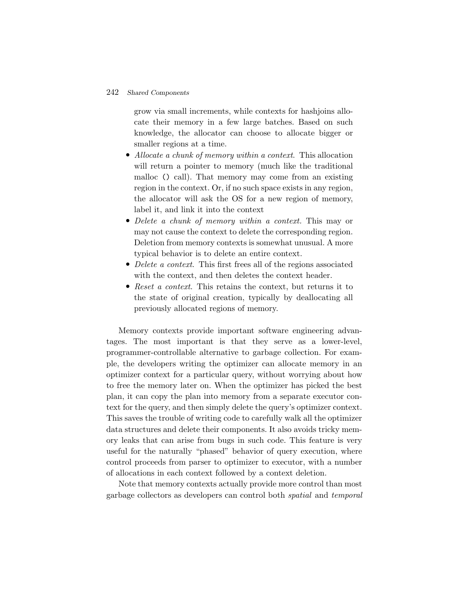#### 242 *Shared Components*

grow via small increments, while contexts for hashjoins allocate their memory in a few large batches. Based on such knowledge, the allocator can choose to allocate bigger or smaller regions at a time.

- *Allocate a chunk of memory within a context*. This allocation will return a pointer to memory (much like the traditional malloc () call). That memory may come from an existing region in the context. Or, if no such space exists in any region, the allocator will ask the OS for a new region of memory, label it, and link it into the context
- *Delete a chunk of memory within a context.* This may or may not cause the context to delete the corresponding region. Deletion from memory contexts is somewhat unusual. A more typical behavior is to delete an entire context.
- *Delete a context*. This first frees all of the regions associated with the context, and then deletes the context header.
- *Reset a context*. This retains the context, but returns it to the state of original creation, typically by deallocating all previously allocated regions of memory.

Memory contexts provide important software engineering advantages. The most important is that they serve as a lower-level, programmer-controllable alternative to garbage collection. For example, the developers writing the optimizer can allocate memory in an optimizer context for a particular query, without worrying about how to free the memory later on. When the optimizer has picked the best plan, it can copy the plan into memory from a separate executor context for the query, and then simply delete the query's optimizer context. This saves the trouble of writing code to carefully walk all the optimizer data structures and delete their components. It also avoids tricky memory leaks that can arise from bugs in such code. This feature is very useful for the naturally "phased" behavior of query execution, where control proceeds from parser to optimizer to executor, with a number of allocations in each context followed by a context deletion.

Note that memory contexts actually provide more control than most garbage collectors as developers can control both *spatial* and *temporal*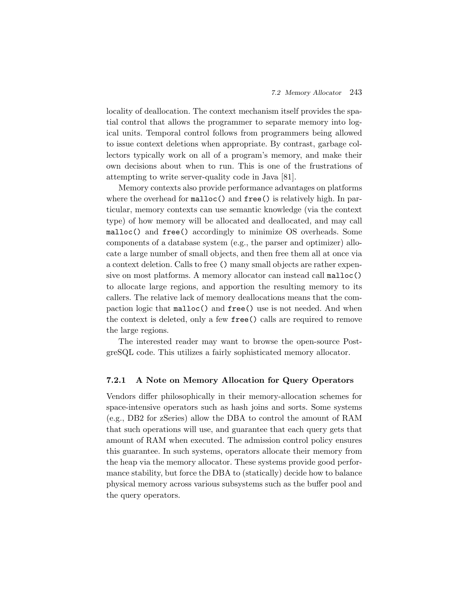locality of deallocation. The context mechanism itself provides the spatial control that allows the programmer to separate memory into logical units. Temporal control follows from programmers being allowed to issue context deletions when appropriate. By contrast, garbage collectors typically work on all of a program's memory, and make their own decisions about when to run. This is one of the frustrations of attempting to write server-quality code in Java [81].

Memory contexts also provide performance advantages on platforms where the overhead for malloc() and free() is relatively high. In particular, memory contexts can use semantic knowledge (via the context type) of how memory will be allocated and deallocated, and may call malloc() and free() accordingly to minimize OS overheads. Some components of a database system (e.g., the parser and optimizer) allocate a large number of small objects, and then free them all at once via a context deletion. Calls to free () many small objects are rather expensive on most platforms. A memory allocator can instead call malloc() to allocate large regions, and apportion the resulting memory to its callers. The relative lack of memory deallocations means that the compaction logic that malloc() and free() use is not needed. And when the context is deleted, only a few free() calls are required to remove the large regions.

The interested reader may want to browse the open-source PostgreSQL code. This utilizes a fairly sophisticated memory allocator.

## **7.2.1 A Note on Memory Allocation for Query Operators**

Vendors differ philosophically in their memory-allocation schemes for space-intensive operators such as hash joins and sorts. Some systems (e.g., DB2 for zSeries) allow the DBA to control the amount of RAM that such operations will use, and guarantee that each query gets that amount of RAM when executed. The admission control policy ensures this guarantee. In such systems, operators allocate their memory from the heap via the memory allocator. These systems provide good performance stability, but force the DBA to (statically) decide how to balance physical memory across various subsystems such as the buffer pool and the query operators.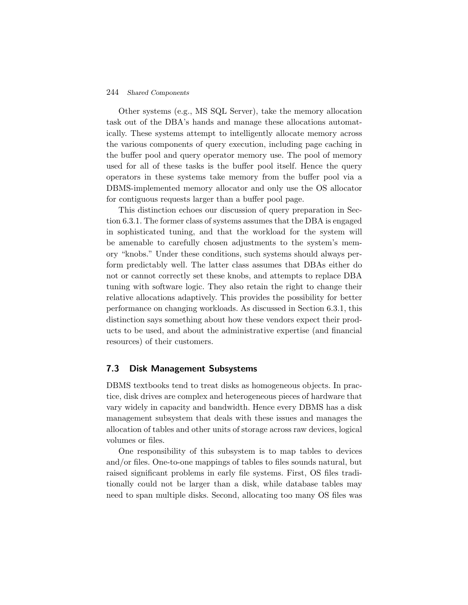### 244 *Shared Components*

Other systems (e.g., MS SQL Server), take the memory allocation task out of the DBA's hands and manage these allocations automatically. These systems attempt to intelligently allocate memory across the various components of query execution, including page caching in the buffer pool and query operator memory use. The pool of memory used for all of these tasks is the buffer pool itself. Hence the query operators in these systems take memory from the buffer pool via a DBMS-implemented memory allocator and only use the OS allocator for contiguous requests larger than a buffer pool page.

This distinction echoes our discussion of query preparation in Section 6.3.1. The former class of systems assumes that the DBA is engaged in sophisticated tuning, and that the workload for the system will be amenable to carefully chosen adjustments to the system's memory "knobs." Under these conditions, such systems should always perform predictably well. The latter class assumes that DBAs either do not or cannot correctly set these knobs, and attempts to replace DBA tuning with software logic. They also retain the right to change their relative allocations adaptively. This provides the possibility for better performance on changing workloads. As discussed in Section 6.3.1, this distinction says something about how these vendors expect their products to be used, and about the administrative expertise (and financial resources) of their customers.

## **7.3 Disk Management Subsystems**

DBMS textbooks tend to treat disks as homogeneous objects. In practice, disk drives are complex and heterogeneous pieces of hardware that vary widely in capacity and bandwidth. Hence every DBMS has a disk management subsystem that deals with these issues and manages the allocation of tables and other units of storage across raw devices, logical volumes or files.

One responsibility of this subsystem is to map tables to devices and/or files. One-to-one mappings of tables to files sounds natural, but raised significant problems in early file systems. First, OS files traditionally could not be larger than a disk, while database tables may need to span multiple disks. Second, allocating too many OS files was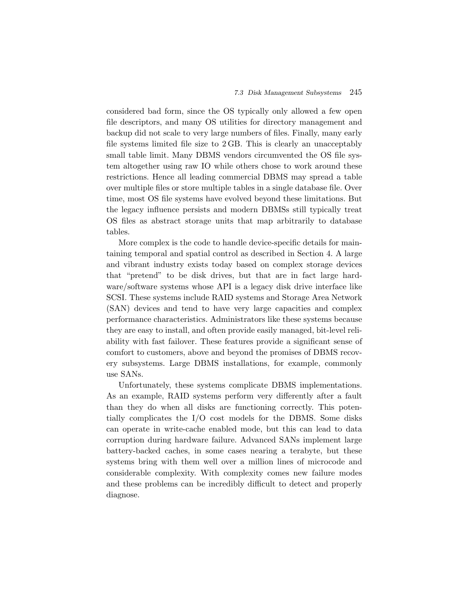considered bad form, since the OS typically only allowed a few open file descriptors, and many OS utilities for directory management and backup did not scale to very large numbers of files. Finally, many early file systems limited file size to 2 GB. This is clearly an unacceptably small table limit. Many DBMS vendors circumvented the OS file system altogether using raw IO while others chose to work around these restrictions. Hence all leading commercial DBMS may spread a table over multiple files or store multiple tables in a single database file. Over time, most OS file systems have evolved beyond these limitations. But the legacy influence persists and modern DBMSs still typically treat OS files as abstract storage units that map arbitrarily to database tables.

More complex is the code to handle device-specific details for maintaining temporal and spatial control as described in Section 4. A large and vibrant industry exists today based on complex storage devices that "pretend" to be disk drives, but that are in fact large hardware/software systems whose API is a legacy disk drive interface like SCSI. These systems include RAID systems and Storage Area Network (SAN) devices and tend to have very large capacities and complex performance characteristics. Administrators like these systems because they are easy to install, and often provide easily managed, bit-level reliability with fast failover. These features provide a significant sense of comfort to customers, above and beyond the promises of DBMS recovery subsystems. Large DBMS installations, for example, commonly use SANs.

Unfortunately, these systems complicate DBMS implementations. As an example, RAID systems perform very differently after a fault than they do when all disks are functioning correctly. This potentially complicates the I/O cost models for the DBMS. Some disks can operate in write-cache enabled mode, but this can lead to data corruption during hardware failure. Advanced SANs implement large battery-backed caches, in some cases nearing a terabyte, but these systems bring with them well over a million lines of microcode and considerable complexity. With complexity comes new failure modes and these problems can be incredibly difficult to detect and properly diagnose.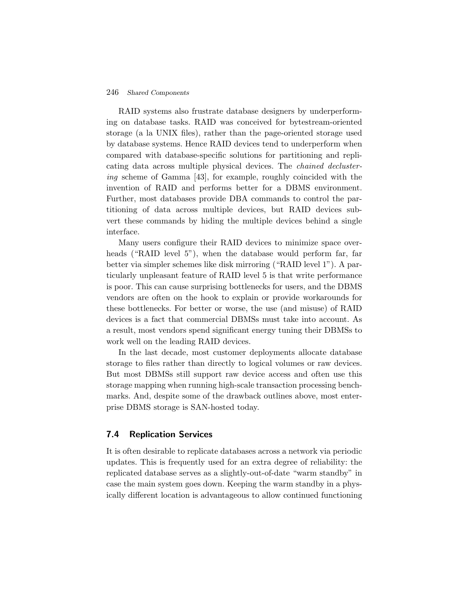## 246 *Shared Components*

RAID systems also frustrate database designers by underperforming on database tasks. RAID was conceived for bytestream-oriented storage (a la UNIX files), rather than the page-oriented storage used by database systems. Hence RAID devices tend to underperform when compared with database-specific solutions for partitioning and replicating data across multiple physical devices. The *chained declustering* scheme of Gamma [43], for example, roughly coincided with the invention of RAID and performs better for a DBMS environment. Further, most databases provide DBA commands to control the partitioning of data across multiple devices, but RAID devices subvert these commands by hiding the multiple devices behind a single interface.

Many users configure their RAID devices to minimize space overheads ("RAID level 5"), when the database would perform far, far better via simpler schemes like disk mirroring ("RAID level 1"). A particularly unpleasant feature of RAID level 5 is that write performance is poor. This can cause surprising bottlenecks for users, and the DBMS vendors are often on the hook to explain or provide workarounds for these bottlenecks. For better or worse, the use (and misuse) of RAID devices is a fact that commercial DBMSs must take into account. As a result, most vendors spend significant energy tuning their DBMSs to work well on the leading RAID devices.

In the last decade, most customer deployments allocate database storage to files rather than directly to logical volumes or raw devices. But most DBMSs still support raw device access and often use this storage mapping when running high-scale transaction processing benchmarks. And, despite some of the drawback outlines above, most enterprise DBMS storage is SAN-hosted today.

## **7.4 Replication Services**

It is often desirable to replicate databases across a network via periodic updates. This is frequently used for an extra degree of reliability: the replicated database serves as a slightly-out-of-date "warm standby" in case the main system goes down. Keeping the warm standby in a physically different location is advantageous to allow continued functioning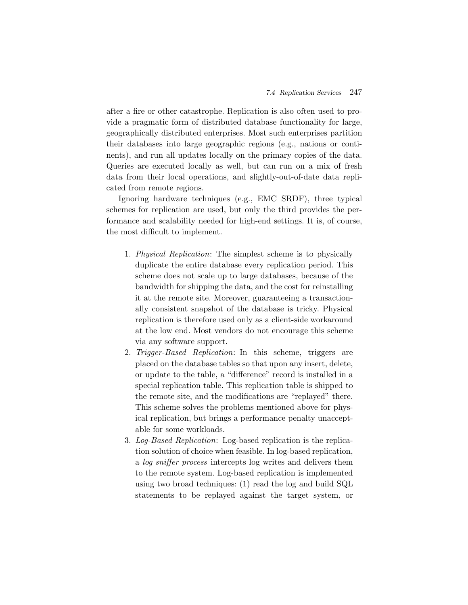after a fire or other catastrophe. Replication is also often used to provide a pragmatic form of distributed database functionality for large, geographically distributed enterprises. Most such enterprises partition their databases into large geographic regions (e.g., nations or continents), and run all updates locally on the primary copies of the data. Queries are executed locally as well, but can run on a mix of fresh data from their local operations, and slightly-out-of-date data replicated from remote regions.

Ignoring hardware techniques (e.g., EMC SRDF), three typical schemes for replication are used, but only the third provides the performance and scalability needed for high-end settings. It is, of course, the most difficult to implement.

- 1. *Physical Replication*: The simplest scheme is to physically duplicate the entire database every replication period. This scheme does not scale up to large databases, because of the bandwidth for shipping the data, and the cost for reinstalling it at the remote site. Moreover, guaranteeing a transactionally consistent snapshot of the database is tricky. Physical replication is therefore used only as a client-side workaround at the low end. Most vendors do not encourage this scheme via any software support.
- 2. *Trigger-Based Replication*: In this scheme, triggers are placed on the database tables so that upon any insert, delete, or update to the table, a "difference" record is installed in a special replication table. This replication table is shipped to the remote site, and the modifications are "replayed" there. This scheme solves the problems mentioned above for physical replication, but brings a performance penalty unacceptable for some workloads.
- 3. *Log-Based Replication*: Log-based replication is the replication solution of choice when feasible. In log-based replication, a *log sniffer process* intercepts log writes and delivers them to the remote system. Log-based replication is implemented using two broad techniques: (1) read the log and build SQL statements to be replayed against the target system, or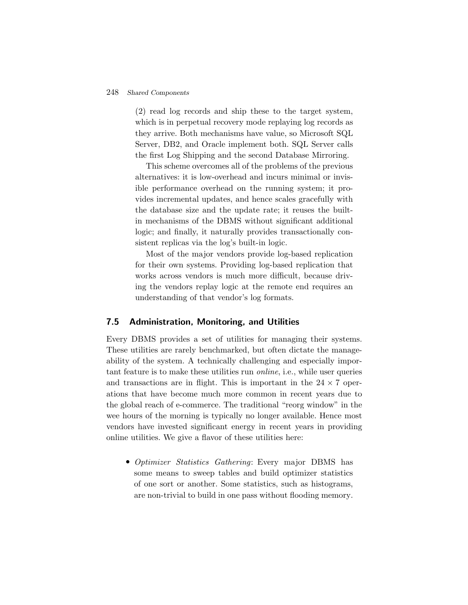### 248 *Shared Components*

(2) read log records and ship these to the target system, which is in perpetual recovery mode replaying log records as they arrive. Both mechanisms have value, so Microsoft SQL Server, DB2, and Oracle implement both. SQL Server calls the first Log Shipping and the second Database Mirroring.

This scheme overcomes all of the problems of the previous alternatives: it is low-overhead and incurs minimal or invisible performance overhead on the running system; it provides incremental updates, and hence scales gracefully with the database size and the update rate; it reuses the builtin mechanisms of the DBMS without significant additional logic; and finally, it naturally provides transactionally consistent replicas via the log's built-in logic.

Most of the major vendors provide log-based replication for their own systems. Providing log-based replication that works across vendors is much more difficult, because driving the vendors replay logic at the remote end requires an understanding of that vendor's log formats.

## **7.5 Administration, Monitoring, and Utilities**

Every DBMS provides a set of utilities for managing their systems. These utilities are rarely benchmarked, but often dictate the manageability of the system. A technically challenging and especially important feature is to make these utilities run *online*, i.e., while user queries and transactions are in flight. This is important in the  $24 \times 7$  operations that have become much more common in recent years due to the global reach of e-commerce. The traditional "reorg window" in the wee hours of the morning is typically no longer available. Hence most vendors have invested significant energy in recent years in providing online utilities. We give a flavor of these utilities here:

• *Optimizer Statistics Gathering*: Every major DBMS has some means to sweep tables and build optimizer statistics of one sort or another. Some statistics, such as histograms, are non-trivial to build in one pass without flooding memory.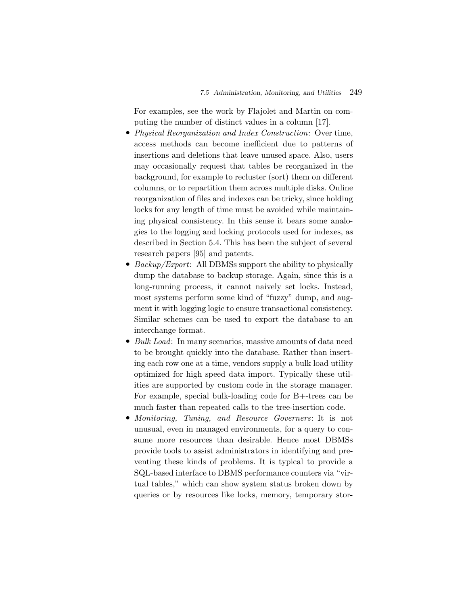For examples, see the work by Flajolet and Martin on computing the number of distinct values in a column [17].

- *Physical Reorganization and Index Construction*: Over time, access methods can become inefficient due to patterns of insertions and deletions that leave unused space. Also, users may occasionally request that tables be reorganized in the background, for example to recluster (sort) them on different columns, or to repartition them across multiple disks. Online reorganization of files and indexes can be tricky, since holding locks for any length of time must be avoided while maintaining physical consistency. In this sense it bears some analogies to the logging and locking protocols used for indexes, as described in Section 5.4. This has been the subject of several research papers [95] and patents.
- *Backup/Export*: All DBMSs support the ability to physically dump the database to backup storage. Again, since this is a long-running process, it cannot naively set locks. Instead, most systems perform some kind of "fuzzy" dump, and augment it with logging logic to ensure transactional consistency. Similar schemes can be used to export the database to an interchange format.
- *Bulk Load*: In many scenarios, massive amounts of data need to be brought quickly into the database. Rather than inserting each row one at a time, vendors supply a bulk load utility optimized for high speed data import. Typically these utilities are supported by custom code in the storage manager. For example, special bulk-loading code for B+-trees can be much faster than repeated calls to the tree-insertion code.
- *Monitoring, Tuning, and Resource Governers*: It is not unusual, even in managed environments, for a query to consume more resources than desirable. Hence most DBMSs provide tools to assist administrators in identifying and preventing these kinds of problems. It is typical to provide a SQL-based interface to DBMS performance counters via "virtual tables," which can show system status broken down by queries or by resources like locks, memory, temporary stor-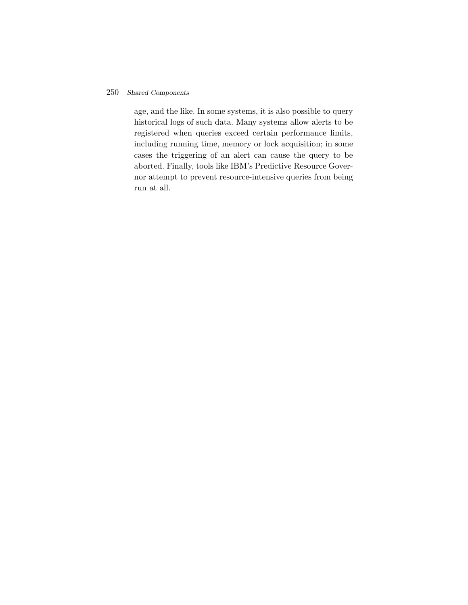## 250 *Shared Components*

age, and the like. In some systems, it is also possible to query historical logs of such data. Many systems allow alerts to be registered when queries exceed certain performance limits, including running time, memory or lock acquisition; in some cases the triggering of an alert can cause the query to be aborted. Finally, tools like IBM's Predictive Resource Governor attempt to prevent resource-intensive queries from being run at all.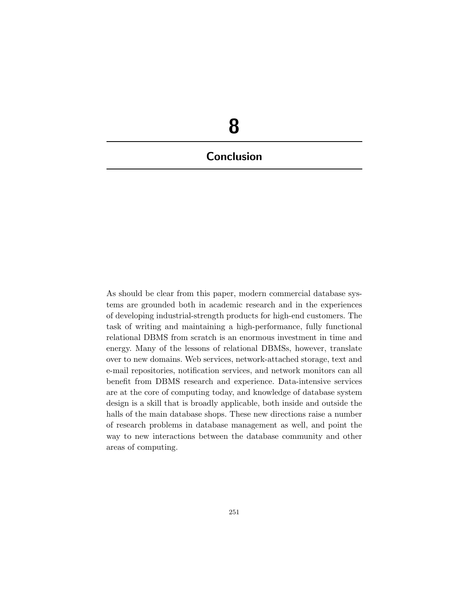# **8 Conclusion**

As should be clear from this paper, modern commercial database systems are grounded both in academic research and in the experiences of developing industrial-strength products for high-end customers. The task of writing and maintaining a high-performance, fully functional relational DBMS from scratch is an enormous investment in time and energy. Many of the lessons of relational DBMSs, however, translate over to new domains. Web services, network-attached storage, text and e-mail repositories, notification services, and network monitors can all benefit from DBMS research and experience. Data-intensive services are at the core of computing today, and knowledge of database system design is a skill that is broadly applicable, both inside and outside the halls of the main database shops. These new directions raise a number of research problems in database management as well, and point the way to new interactions between the database community and other areas of computing.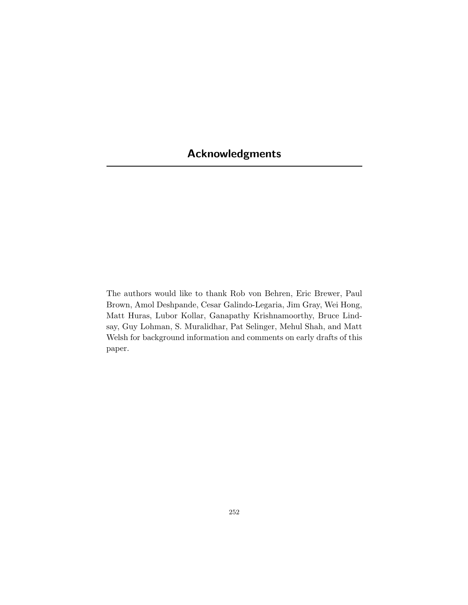## **Acknowledgments**

The authors would like to thank Rob von Behren, Eric Brewer, Paul Brown, Amol Deshpande, Cesar Galindo-Legaria, Jim Gray, Wei Hong, Matt Huras, Lubor Kollar, Ganapathy Krishnamoorthy, Bruce Lindsay, Guy Lohman, S. Muralidhar, Pat Selinger, Mehul Shah, and Matt Welsh for background information and comments on early drafts of this paper.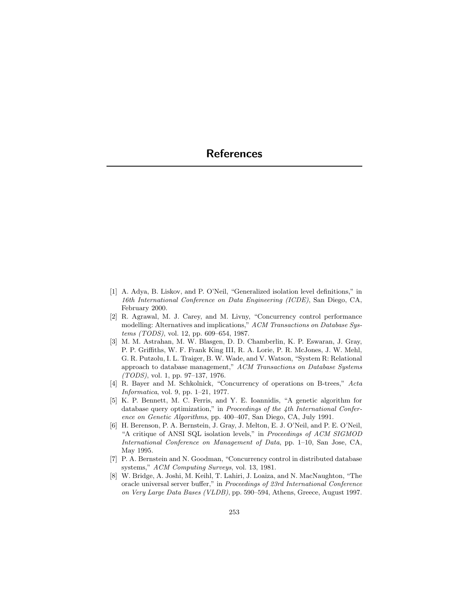- [1] A. Adya, B. Liskov, and P. O'Neil, "Generalized isolation level definitions," in 16th International Conference on Data Engineering (ICDE), San Diego, CA, February 2000.
- [2] R. Agrawal, M. J. Carey, and M. Livny, "Concurrency control performance modelling: Alternatives and implications," ACM Transactions on Database Systems (TODS), vol. 12, pp. 609–654, 1987.
- [3] M. M. Astrahan, M. W. Blasgen, D. D. Chamberlin, K. P. Eswaran, J. Gray, P. P. Griffiths, W. F. Frank King III, R. A. Lorie, P. R. McJones, J. W. Mehl, G. R. Putzolu, I. L. Traiger, B. W. Wade, and V. Watson, "System R: Relational approach to database management," ACM Transactions on Database Systems (TODS), vol. 1, pp. 97–137, 1976.
- [4] R. Bayer and M. Schkolnick, "Concurrency of operations on B-trees," Acta Informatica, vol. 9, pp. 1–21, 1977.
- [5] K. P. Bennett, M. C. Ferris, and Y. E. Ioannidis, "A genetic algorithm for database query optimization," in Proceedings of the 4th International Conference on Genetic Algorithms, pp. 400–407, San Diego, CA, July 1991.
- [6] H. Berenson, P. A. Bernstein, J. Gray, J. Melton, E. J. O'Neil, and P. E. O'Neil, "A critique of ANSI SQL isolation levels," in Proceedings of ACM SIGMOD International Conference on Management of Data, pp. 1–10, San Jose, CA, May 1995.
- [7] P. A. Bernstein and N. Goodman, "Concurrency control in distributed database systems," ACM Computing Surveys, vol. 13, 1981.
- [8] W. Bridge, A. Joshi, M. Keihl, T. Lahiri, J. Loaiza, and N. MacNaughton, "The oracle universal server buffer," in Proceedings of 23rd International Conference on Very Large Data Bases (VLDB), pp. 590–594, Athens, Greece, August 1997.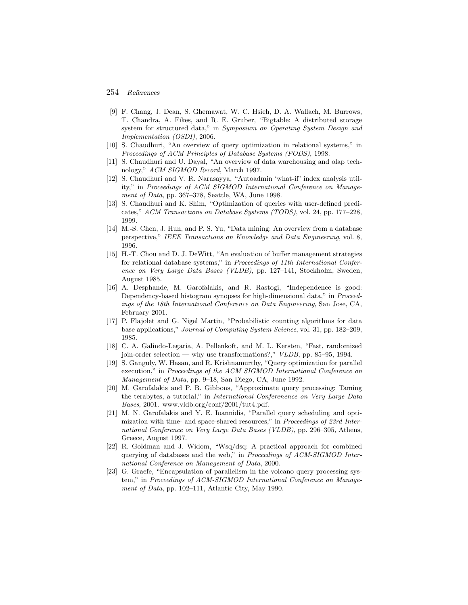- [9] F. Chang, J. Dean, S. Ghemawat, W. C. Hsieh, D. A. Wallach, M. Burrows, T. Chandra, A. Fikes, and R. E. Gruber, "Bigtable: A distributed storage system for structured data," in Symposium on Operating System Design and Implementation (OSDI), 2006.
- [10] S. Chaudhuri, "An overview of query optimization in relational systems," in Proceedings of ACM Principles of Database Systems (PODS), 1998.
- [11] S. Chaudhuri and U. Dayal, "An overview of data warehousing and olap technology," ACM SIGMOD Record, March 1997.
- [12] S. Chaudhuri and V. R. Narasayya, "Autoadmin 'what-if' index analysis utility," in Proceedings of ACM SIGMOD International Conference on Management of Data, pp. 367–378, Seattle, WA, June 1998.
- [13] S. Chaudhuri and K. Shim, "Optimization of queries with user-defined predicates," ACM Transactions on Database Systems (TODS), vol. 24, pp. 177–228, 1999.
- [14] M.-S. Chen, J. Hun, and P. S. Yu, "Data mining: An overview from a database perspective," IEEE Transactions on Knowledge and Data Engineering, vol. 8, 1996.
- [15] H.-T. Chou and D. J. DeWitt, "An evaluation of buffer management strategies for relational database systems," in Proceedings of 11th International Conference on Very Large Data Bases (VLDB), pp. 127–141, Stockholm, Sweden, August 1985.
- [16] A. Desphande, M. Garofalakis, and R. Rastogi, "Independence is good: Dependency-based histogram synopses for high-dimensional data," in *Proceed*ings of the 18th International Conference on Data Engineering, San Jose, CA, February 2001.
- [17] P. Flajolet and G. Nigel Martin, "Probabilistic counting algorithms for data base applications," Journal of Computing System Science, vol. 31, pp. 182–209, 1985.
- [18] C. A. Galindo-Legaria, A. Pellenkoft, and M. L. Kersten, "Fast, randomized join-order selection — why use transformations?," VLDB, pp. 85–95, 1994.
- [19] S. Ganguly, W. Hasan, and R. Krishnamurthy, "Query optimization for parallel execution," in Proceedings of the ACM SIGMOD International Conference on Management of Data, pp. 9–18, San Diego, CA, June 1992.
- [20] M. Garofalakis and P. B. Gibbons, "Approximate query processing: Taming the terabytes, a tutorial," in International Conferenence on Very Large Data Bases, 2001. www.vldb.org/conf/2001/tut4.pdf.
- [21] M. N. Garofalakis and Y. E. Ioannidis, "Parallel query scheduling and optimization with time- and space-shared resources," in Proceedings of 23rd International Conference on Very Large Data Bases (VLDB), pp. 296–305, Athens, Greece, August 1997.
- [22] R. Goldman and J. Widom, "Wsq/dsq: A practical approach for combined querying of databases and the web," in Proceedings of ACM-SIGMOD International Conference on Management of Data, 2000.
- [23] G. Graefe, "Encapsulation of parallelism in the volcano query processing system," in Proceedings of ACM-SIGMOD International Conference on Management of Data, pp. 102–111, Atlantic City, May 1990.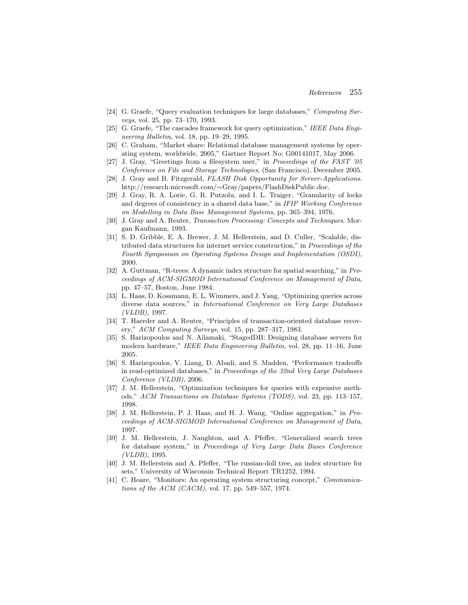- [24] G. Graefe, "Query evaluation techniques for large databases," Computing Surveys, vol. 25, pp. 73–170, 1993.
- [25] G. Graefe, "The cascades framework for query optimization," IEEE Data Engineering Bulletin, vol. 18, pp. 19–29, 1995.
- [26] C. Graham, "Market share: Relational database management systems by operating system, worldwide, 2005," Gartner Report No: G00141017, May 2006.
- [27] J. Gray, "Greetings from a filesystem user," in Proceedings of the FAST '05 Conference on File and Storage Technologies, (San Francisco), December 2005.
- [28] J. Gray and B. Fitzgerald, FLASH Disk Opportunity for Server-Applications. http://research.microsoft.com/∼Gray/papers/FlashDiskPublic.doc.
- [29] J. Gray, R. A. Lorie, G. R. Putzolu, and I. L. Traiger, "Granularity of locks and degrees of consistency in a shared data base," in IFIP Working Conference on Modelling in Data Base Management Systems, pp. 365–394, 1976.
- [30] J. Gray and A. Reuter, Transaction Processing: Concepts and Techniques. Morgan Kaufmann, 1993.
- [31] S. D. Gribble, E. A. Brewer, J. M. Hellerstein, and D. Culler, "Scalable, distributed data structures for internet service construction," in Proceedings of the Fourth Symposium on Operating Systems Design and Implementation (OSDI), 2000.
- [32] A. Guttman, "R-trees: A dynamic index structure for spatial searching," in Proceedings of ACM-SIGMOD International Conference on Management of Data, pp. 47–57, Boston, June 1984.
- [33] L. Haas, D. Kossmann, E. L. Wimmers, and J. Yang, "Optimizing queries across diverse data sources," in International Conference on Very Large Databases (VLDB), 1997.
- [34] T. Haerder and A. Reuter, "Principles of transaction-oriented database recovery," ACM Computing Surveys, vol. 15, pp. 287–317, 1983.
- [35] S. Harizopoulos and N. Ailamaki, "StagedDB: Designing database servers for modern hardware," IEEE Data Engineering Bulletin, vol. 28, pp. 11–16, June 2005.
- [36] S. Harizopoulos, V. Liang, D. Abadi, and S. Madden, "Performance tradeoffs in read-optimized databases," in Proceedings of the 32nd Very Large Databases Conference (VLDB), 2006.
- [37] J. M. Hellerstein, "Optimization techniques for queries with expensive methods," ACM Transactions on Database Systems (TODS), vol. 23, pp. 113–157, 1998.
- [38] J. M. Hellerstein, P. J. Haas, and H. J. Wang, "Online aggregation," in Proceedings of ACM-SIGMOD International Conference on Management of Data, 1997.
- [39] J. M. Hellerstein, J. Naughton, and A. Pfeffer, "Generalized search trees for database system," in Proceedings of Very Large Data Bases Conference (VLDB), 1995.
- [40] J. M. Hellerstein and A. Pfeffer, "The russian-doll tree, an index structure for sets," University of Wisconsin Technical Report TR1252, 1994.
- [41] C. Hoare, "Monitors: An operating system structuring concept," Communications of the ACM (CACM), vol. 17, pp. 549–557, 1974.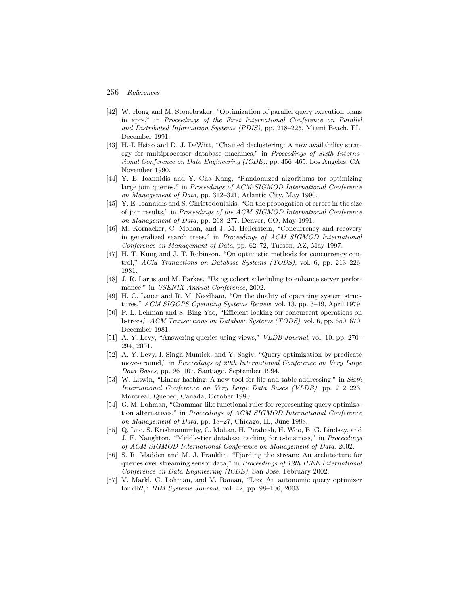- [42] W. Hong and M. Stonebraker, "Optimization of parallel query execution plans in xprs," in Proceedings of the First International Conference on Parallel and Distributed Information Systems (PDIS), pp. 218–225, Miami Beach, FL, December 1991.
- [43] H.-I. Hsiao and D. J. DeWitt, "Chained declustering: A new availability strategy for multiprocessor database machines," in Proceedings of Sixth International Conference on Data Engineering (ICDE), pp. 456–465, Los Angeles, CA, November 1990.
- [44] Y. E. Ioannidis and Y. Cha Kang, "Randomized algorithms for optimizing large join queries," in Proceedings of ACM-SIGMOD International Conference on Management of Data, pp. 312–321, Atlantic City, May 1990.
- [45] Y. E. Ioannidis and S. Christodoulakis, "On the propagation of errors in the size of join results," in Proceedings of the ACM SIGMOD International Conference on Management of Data, pp. 268–277, Denver, CO, May 1991.
- [46] M. Kornacker, C. Mohan, and J. M. Hellerstein, "Concurrency and recovery in generalized search trees," in Proceedings of ACM SIGMOD International Conference on Management of Data, pp. 62–72, Tucson, AZ, May 1997.
- [47] H. T. Kung and J. T. Robinson, "On optimistic methods for concurrency control," ACM Tranactions on Database Systems (TODS), vol. 6, pp. 213–226, 1981.
- [48] J. R. Larus and M. Parkes, "Using cohort scheduling to enhance server performance," in USENIX Annual Conference, 2002.
- [49] H. C. Lauer and R. M. Needham, "On the duality of operating system structures," ACM SIGOPS Operating Systems Review, vol. 13, pp. 3–19, April 1979.
- [50] P. L. Lehman and S. Bing Yao, "Efficient locking for concurrent operations on b-trees," ACM Transactions on Database Systems (TODS), vol. 6, pp. 650–670, December 1981.
- [51] A. Y. Levy, "Answering queries using views," VLDB Journal, vol. 10, pp. 270– 294, 2001.
- [52] A. Y. Levy, I. Singh Mumick, and Y. Sagiv, "Query optimization by predicate move-around," in Proceedings of 20th International Conference on Very Large Data Bases, pp. 96–107, Santiago, September 1994.
- [53] W. Litwin, "Linear hashing: A new tool for file and table addressing," in Sixth International Conference on Very Large Data Bases (VLDB), pp. 212–223, Montreal, Quebec, Canada, October 1980.
- [54] G. M. Lohman, "Grammar-like functional rules for representing query optimization alternatives," in Proceedings of ACM SIGMOD International Conference on Management of Data, pp. 18–27, Chicago, IL, June 1988.
- [55] Q. Luo, S. Krishnamurthy, C. Mohan, H. Pirahesh, H. Woo, B. G. Lindsay, and J. F. Naughton, "Middle-tier database caching for e-business," in Proceedings of ACM SIGMOD International Conference on Management of Data, 2002.
- [56] S. R. Madden and M. J. Franklin, "Fjording the stream: An architecture for queries over streaming sensor data," in Proceedings of 12th IEEE International Conference on Data Engineering (ICDE), San Jose, February 2002.
- [57] V. Markl, G. Lohman, and V. Raman, "Leo: An autonomic query optimizer for db2," IBM Systems Journal, vol. 42, pp. 98–106, 2003.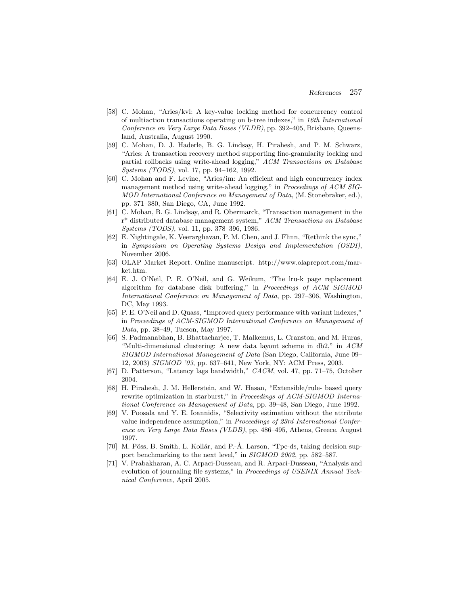- [58] C. Mohan, "Aries/kvl: A key-value locking method for concurrency control of multiaction transactions operating on b-tree indexes," in 16th International Conference on Very Large Data Bases (VLDB), pp. 392–405, Brisbane, Queensland, Australia, August 1990.
- [59] C. Mohan, D. J. Haderle, B. G. Lindsay, H. Pirahesh, and P. M. Schwarz, "Aries: A transaction recovery method supporting fine-granularity locking and partial rollbacks using write-ahead logging," ACM Transactions on Database Systems (TODS), vol. 17, pp. 94–162, 1992.
- [60] C. Mohan and F. Levine, "Aries/im: An efficient and high concurrency index management method using write-ahead logging," in Proceedings of ACM SIG-MOD International Conference on Management of Data, (M. Stonebraker, ed.), pp. 371–380, San Diego, CA, June 1992.
- [61] C. Mohan, B. G. Lindsay, and R. Obermarck, "Transaction management in the r\* distributed database management system," ACM Transactions on Database Systems (TODS), vol. 11, pp. 378–396, 1986.
- [62] E. Nightingale, K. Veerarghavan, P. M. Chen, and J. Flinn, "Rethink the sync," in Symposium on Operating Systems Design and Implementation (OSDI), November 2006.
- [63] OLAP Market Report. Online manuscript. http://www.olapreport.com/market.htm.
- [64] E. J. O'Neil, P. E. O'Neil, and G. Weikum, "The lru-k page replacement algorithm for database disk buffering," in Proceedings of ACM SIGMOD International Conference on Management of Data, pp. 297–306, Washington, DC, May 1993.
- [65] P. E. O'Neil and D. Quass, "Improved query performance with variant indexes," in Proceedings of ACM-SIGMOD International Conference on Management of Data, pp. 38–49, Tucson, May 1997.
- [66] S. Padmanabhan, B. Bhattacharjee, T. Malkemus, L. Cranston, and M. Huras, "Multi-dimensional clustering: A new data layout scheme in db2," in ACM SIGMOD International Management of Data (San Diego, California, June 09– 12, 2003) SIGMOD '03, pp. 637–641, New York, NY: ACM Press, 2003.
- [67] D. Patterson, "Latency lags bandwidth," CACM, vol. 47, pp. 71–75, October 2004.
- [68] H. Pirahesh, J. M. Hellerstein, and W. Hasan, "Extensible/rule- based query rewrite optimization in starburst," in Proceedings of ACM-SIGMOD International Conference on Management of Data, pp. 39–48, San Diego, June 1992.
- [69] V. Poosala and Y. E. Ioannidis, "Selectivity estimation without the attribute value independence assumption," in Proceedings of 23rd International Conference on Very Large Data Bases (VLDB), pp. 486–495, Athens, Greece, August 1997.
- [70] M. Pöss, B. Smith, L. Kollár, and P.-Å. Larson, "Tpc-ds, taking decision support benchmarking to the next level," in SIGMOD 2002, pp. 582–587.
- [71] V. Prabakharan, A. C. Arpaci-Dusseau, and R. Arpaci-Dusseau, "Analysis and evolution of journaling file systems," in *Proceedings of USENIX Annual Tech*nical Conference, April 2005.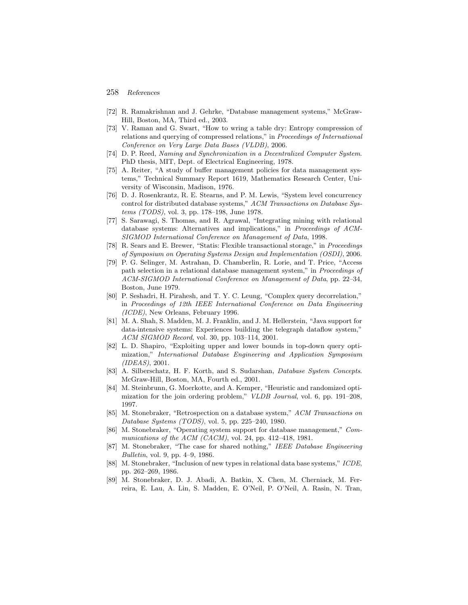- [72] R. Ramakrishnan and J. Gehrke, "Database management systems," McGraw-Hill, Boston, MA, Third ed., 2003.
- [73] V. Raman and G. Swart, "How to wring a table dry: Entropy compression of relations and querying of compressed relations," in Proceedings of International Conference on Very Large Data Bases (VLDB), 2006.
- [74] D. P. Reed, Naming and Synchronization in a Decentralized Computer System. PhD thesis, MIT, Dept. of Electrical Engineering, 1978.
- [75] A. Reiter, "A study of buffer management policies for data management systems," Technical Summary Report 1619, Mathematics Research Center, University of Wisconsin, Madison, 1976.
- [76] D. J. Rosenkrantz, R. E. Stearns, and P. M. Lewis, "System level concurrency control for distributed database systems," ACM Transactions on Database Systems (TODS), vol. 3, pp. 178–198, June 1978.
- [77] S. Sarawagi, S. Thomas, and R. Agrawal, "Integrating mining with relational database systems: Alternatives and implications," in Proceedings of ACM-SIGMOD International Conference on Management of Data, 1998.
- [78] R. Sears and E. Brewer, "Statis: Flexible transactional storage," in Proceedings of Symposium on Operating Systems Design and Implementation (OSDI), 2006.
- [79] P. G. Selinger, M. Astrahan, D. Chamberlin, R. Lorie, and T. Price, "Access path selection in a relational database management system," in Proceedings of ACM-SIGMOD International Conference on Management of Data, pp. 22–34, Boston, June 1979.
- [80] P. Seshadri, H. Pirahesh, and T. Y. C. Leung, "Complex query decorrelation," in Proceedings of 12th IEEE International Conference on Data Engineering (ICDE), New Orleans, February 1996.
- [81] M. A. Shah, S. Madden, M. J. Franklin, and J. M. Hellerstein, "Java support for data-intensive systems: Experiences building the telegraph dataflow system," ACM SIGMOD Record, vol. 30, pp. 103–114, 2001.
- [82] L. D. Shapiro, "Exploiting upper and lower bounds in top-down query optimization," International Database Engineering and Application Symposium (IDEAS), 2001.
- [83] A. Silberschatz, H. F. Korth, and S. Sudarshan, Database System Concepts. McGraw-Hill, Boston, MA, Fourth ed., 2001.
- [84] M. Steinbrunn, G. Moerkotte, and A. Kemper, "Heuristic and randomized optimization for the join ordering problem," VLDB Journal, vol. 6, pp. 191–208, 1997.
- [85] M. Stonebraker, "Retrospection on a database system," ACM Transactions on Database Systems (TODS), vol. 5, pp. 225–240, 1980.
- [86] M. Stonebraker, "Operating system support for database management," Communications of the ACM (CACM), vol. 24, pp. 412-418, 1981.
- [87] M. Stonebraker, "The case for shared nothing," IEEE Database Engineering Bulletin, vol. 9, pp. 4–9, 1986.
- [88] M. Stonebraker, "Inclusion of new types in relational data base systems," ICDE, pp. 262–269, 1986.
- [89] M. Stonebraker, D. J. Abadi, A. Batkin, X. Chen, M. Cherniack, M. Ferreira, E. Lau, A. Lin, S. Madden, E. O'Neil, P. O'Neil, A. Rasin, N. Tran,